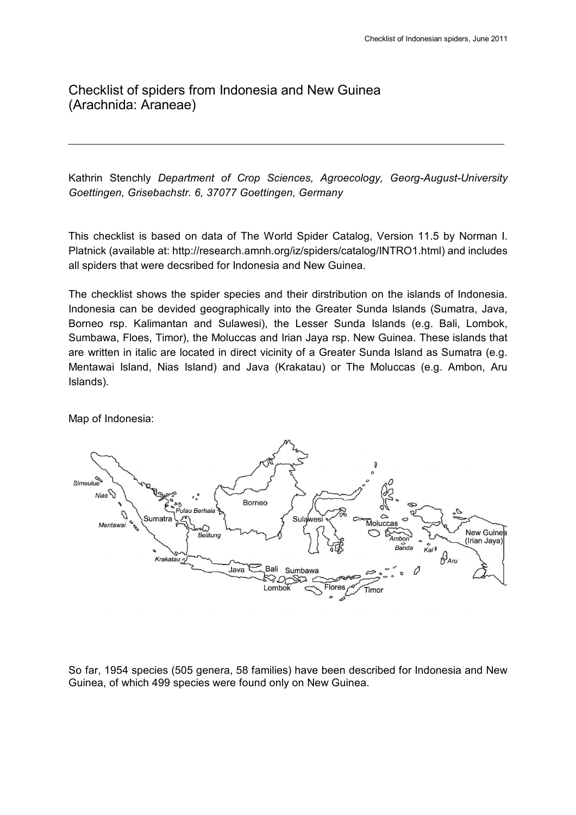Checklist of spiders from Indonesia and New Guinea (Arachnida: Araneae)

Kathrin Stenchly *Department of Crop Sciences, Agroecology, Georg-August-University Goettingen, Grisebachstr. 6, 37077 Goettingen, Germany*

This checklist is based on data of The World Spider Catalog, Version 11.5 by Norman I. Platnick (available at: http://research.amnh.org/iz/spiders/catalog/INTRO1.html) and includes all spiders that were decsribed for Indonesia and New Guinea.

The checklist shows the spider species and their dirstribution on the islands of Indonesia. Indonesia can be devided geographically into the Greater Sunda Islands (Sumatra, Java, Borneo rsp. Kalimantan and Sulawesi), the Lesser Sunda Islands (e.g. Bali, Lombok, Sumbawa, Floes, Timor), the Moluccas and Irian Jaya rsp. New Guinea. These islands that are written in italic are located in direct vicinity of a Greater Sunda Island as Sumatra (e.g. Mentawai Island, Nias Island) and Java (Krakatau) or The Moluccas (e.g. Ambon, Aru Islands).

Map of Indonesia:



So far, 1954 species (505 genera, 58 families) have been described for Indonesia and New Guinea, of which 499 species were found only on New Guinea.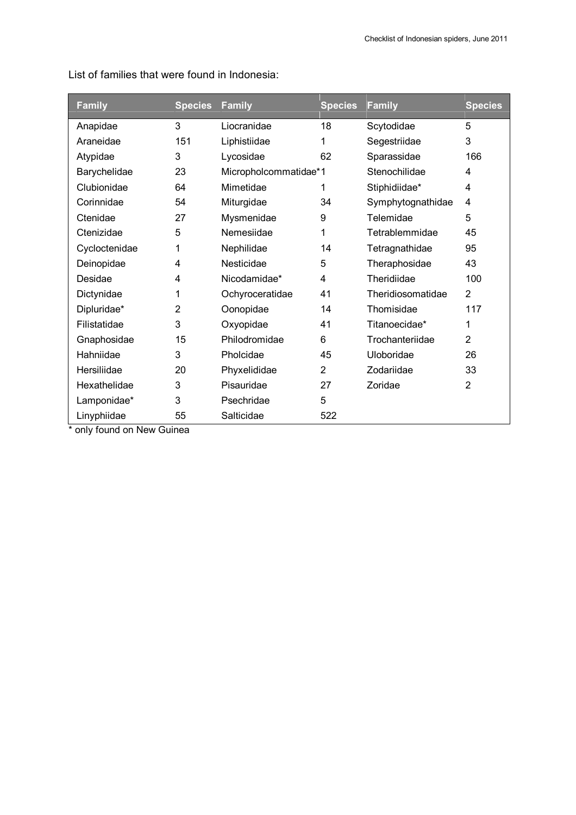| <b>Family</b> | <b>Species</b> | Family                | <b>Species</b> | <b>Family</b>     | <b>Species</b> |
|---------------|----------------|-----------------------|----------------|-------------------|----------------|
| Anapidae      | 3              | Liocranidae           | 18             | Scytodidae        | 5              |
| Araneidae     | 151            | Liphistiidae          | 1              | Segestriidae      | 3              |
| Atypidae      | 3              | Lycosidae             | 62             | Sparassidae       | 166            |
| Barychelidae  | 23             | Micropholcommatidae*1 |                | Stenochilidae     | 4              |
| Clubionidae   | 64             | Mimetidae             |                | Stiphidiidae*     | 4              |
| Corinnidae    | 54             | Miturgidae            | 34             | Symphytognathidae | 4              |
| Ctenidae      | 27             | Mysmenidae            | 9              | Telemidae         | 5              |
| Ctenizidae    | 5              | Nemesiidae            | 1              | Tetrablemmidae    | 45             |
| Cycloctenidae | 1              | Nephilidae            | 14             | Tetragnathidae    | 95             |
| Deinopidae    | 4              | Nesticidae            | 5              | Theraphosidae     | 43             |
| Desidae       | 4              | Nicodamidae*          | 4              | Theridiidae       | 100            |
| Dictynidae    | 1              | Ochyroceratidae       | 41             | Theridiosomatidae | $\overline{2}$ |
| Dipluridae*   | $\overline{2}$ | Oonopidae             | 14             | Thomisidae        | 117            |
| Filistatidae  | 3              | Oxyopidae             | 41             | Titanoecidae*     | 1              |
| Gnaphosidae   | 15             | Philodromidae         | 6              | Trochanteriidae   | $\overline{2}$ |
| Hahniidae     | 3              | Pholcidae             | 45             | Uloboridae        | 26             |
| Hersiliidae   | 20             | Phyxelididae          | $\overline{2}$ | Zodariidae        | 33             |
| Hexathelidae  | 3              | Pisauridae            | 27             | Zoridae           | $\overline{2}$ |
| Lamponidae*   | 3              | Psechridae            | 5              |                   |                |
| Linyphiidae   | 55             | Salticidae            | 522            |                   |                |

List of families that were found in Indonesia:

\* only found on New Guinea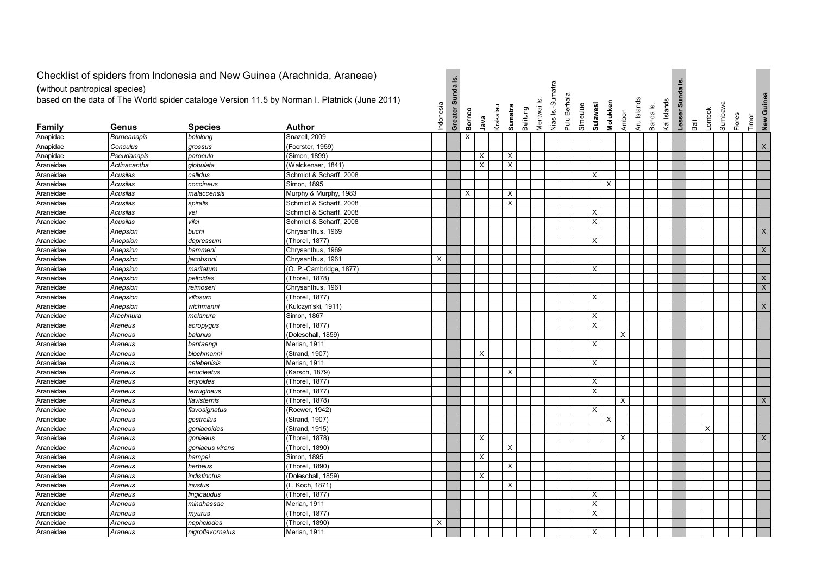|                               |                      | Checklist of spiders from Indonesia and New Guinea (Arachnida, Araneae) |                                                                                               |           |                  |          |          |          |                                       |          |           |                  |                   |                             |          |          |             |           |             |                  |      |        |         |                 |                           |
|-------------------------------|----------------------|-------------------------------------------------------------------------|-----------------------------------------------------------------------------------------------|-----------|------------------|----------|----------|----------|---------------------------------------|----------|-----------|------------------|-------------------|-----------------------------|----------|----------|-------------|-----------|-------------|------------------|------|--------|---------|-----------------|---------------------------|
|                               |                      |                                                                         |                                                                                               |           | Greater Sunda Is |          |          |          |                                       |          |           |                  |                   |                             |          |          |             |           |             |                  |      |        |         |                 |                           |
| (without pantropical species) |                      |                                                                         |                                                                                               |           |                  |          |          |          |                                       |          |           |                  |                   |                             |          |          |             |           |             |                  |      |        |         |                 |                           |
|                               |                      |                                                                         | based on the data of The World spider cataloge Version 11.5 by Norman I. Platnick (June 2011) |           |                  |          |          |          |                                       |          | <u>نه</u> | Nias Is.-Sumatra | Berhala           |                             |          |          |             |           |             | Lesser Sunda Is. |      |        |         |                 | New Guinea                |
|                               |                      |                                                                         |                                                                                               |           |                  |          |          |          |                                       |          |           |                  |                   |                             |          |          |             |           |             |                  |      |        |         |                 |                           |
|                               |                      |                                                                         |                                                                                               | Indonesia |                  | Borneo   | Java     | Krakatau | Sumatra                               | Belitung | Mentwai   |                  | Pulu <sup>1</sup> | <b>Sulawesi</b><br>Simeulue | Molukken | Ambon    | Aru Islands | Banda Is. | Kai Islands |                  | Baii | Lombok | Sumbawa | Flores<br>Timor |                           |
| Family                        | Genus                | <b>Species</b>                                                          | Author                                                                                        |           |                  |          |          |          |                                       |          |           |                  |                   |                             |          |          |             |           |             |                  |      |        |         |                 |                           |
| Anapidae                      | <b>Borneanapis</b>   | belalong                                                                | Snazell, 2009                                                                                 |           |                  | $\times$ |          |          |                                       |          |           |                  |                   |                             |          |          |             |           |             |                  |      |        |         |                 |                           |
| Anapidae                      | Conculus             | grossus                                                                 | (Foerster, 1959)                                                                              |           |                  |          | X        |          |                                       |          |           |                  |                   |                             |          |          |             |           |             |                  |      |        |         |                 | $\mathsf X$               |
| Anapidae                      | Pseudanapis          | parocula                                                                | (Simon, 1899)                                                                                 |           |                  |          | $\times$ |          | $\times$<br>$\boldsymbol{\mathsf{X}}$ |          |           |                  |                   |                             |          |          |             |           |             |                  |      |        |         |                 |                           |
| Araneidae                     | Actinacantha         | globulata                                                               | (Walckenaer, 1841)<br>Schmidt & Scharff, 2008                                                 |           |                  |          |          |          |                                       |          |           |                  |                   | X                           |          |          |             |           |             |                  |      |        |         |                 |                           |
| Araneidae<br>Araneidae        | Acusilas             | callidus                                                                | Simon, 1895                                                                                   |           |                  |          |          |          |                                       |          |           |                  |                   |                             | X        |          |             |           |             |                  |      |        |         |                 |                           |
|                               | Acusilas             | coccineus                                                               |                                                                                               |           |                  | $\times$ |          |          | $\times$                              |          |           |                  |                   |                             |          |          |             |           |             |                  |      |        |         |                 |                           |
| Araneidae<br>Araneidae        | Acusilas<br>Acusilas | malaccensis<br>spiralis                                                 | Murphy & Murphy, 1983<br>Schmidt & Scharff, 2008                                              |           |                  |          |          |          | $\times$                              |          |           |                  |                   |                             |          |          |             |           |             |                  |      |        |         |                 |                           |
|                               | Acusilas             | vei                                                                     | Schmidt & Scharff, 2008                                                                       |           |                  |          |          |          |                                       |          |           |                  |                   | X                           |          |          |             |           |             |                  |      |        |         |                 |                           |
| Araneidae<br>Araneidae        | Acusilas             | vilei                                                                   | Schmidt & Scharff, 2008                                                                       |           |                  |          |          |          |                                       |          |           |                  |                   | $\mathsf{X}$                |          |          |             |           |             |                  |      |        |         |                 |                           |
| Araneidae                     |                      | buchi                                                                   | Chrysanthus, 1969                                                                             |           |                  |          |          |          |                                       |          |           |                  |                   |                             |          |          |             |           |             |                  |      |        |         |                 | X                         |
| Araneidae                     | Anepsion<br>Anepsion |                                                                         | (Thorell, 1877)                                                                               |           |                  |          |          |          |                                       |          |           |                  |                   | $\times$                    |          |          |             |           |             |                  |      |        |         |                 |                           |
|                               |                      | depressum                                                               | Chrysanthus, 1969                                                                             |           |                  |          |          |          |                                       |          |           |                  |                   |                             |          |          |             |           |             |                  |      |        |         |                 | $\mathsf{X}$              |
| Araneidae<br>Araneidae        | Anepsion<br>Anepsion | hammeni                                                                 | Chrysanthus, 1961                                                                             | X         |                  |          |          |          |                                       |          |           |                  |                   |                             |          |          |             |           |             |                  |      |        |         |                 |                           |
|                               |                      | jacobsoni                                                               | (O. P.-Cambridge, 1877)                                                                       |           |                  |          |          |          |                                       |          |           |                  |                   | $\times$                    |          |          |             |           |             |                  |      |        |         |                 |                           |
| Araneidae<br>Araneidae        | Anepsion<br>Anepsion | maritatum<br>peltoides                                                  | (Thorell, 1878)                                                                               |           |                  |          |          |          |                                       |          |           |                  |                   |                             |          |          |             |           |             |                  |      |        |         |                 | X                         |
| Araneidae                     | Anepsion             | reimoseri                                                               | Chrysanthus, 1961                                                                             |           |                  |          |          |          |                                       |          |           |                  |                   |                             |          |          |             |           |             |                  |      |        |         |                 | $\boldsymbol{\mathsf{X}}$ |
| Araneidae                     | Anepsion             | villosum                                                                | (Thorell, 1877)                                                                               |           |                  |          |          |          |                                       |          |           |                  |                   | X                           |          |          |             |           |             |                  |      |        |         |                 |                           |
| Araneidae                     | Anepsion             | wichmanni                                                               | (Kulczyn'ski, 1911)                                                                           |           |                  |          |          |          |                                       |          |           |                  |                   |                             |          |          |             |           |             |                  |      |        |         |                 | X                         |
| Araneidae                     | Arachnura            | melanura                                                                | Simon, 1867                                                                                   |           |                  |          |          |          |                                       |          |           |                  |                   | Χ                           |          |          |             |           |             |                  |      |        |         |                 |                           |
| Araneidae                     | Araneus              |                                                                         | (Thorell, 1877)                                                                               |           |                  |          |          |          |                                       |          |           |                  |                   | X                           |          |          |             |           |             |                  |      |        |         |                 |                           |
| Araneidae                     | Araneus              | acropygus<br>balanus                                                    | (Doleschall, 1859)                                                                            |           |                  |          |          |          |                                       |          |           |                  |                   |                             |          | $\times$ |             |           |             |                  |      |        |         |                 |                           |
| Araneidae                     | Araneus              | bantaengi                                                               | Merian, 1911                                                                                  |           |                  |          |          |          |                                       |          |           |                  |                   | X                           |          |          |             |           |             |                  |      |        |         |                 |                           |
| Araneidae                     | Araneus              | blochmanni                                                              | (Strand, 1907)                                                                                |           |                  |          | X        |          |                                       |          |           |                  |                   |                             |          |          |             |           |             |                  |      |        |         |                 |                           |
| Araneidae                     | Araneus              | celebenisis                                                             | Merian, 1911                                                                                  |           |                  |          |          |          |                                       |          |           |                  |                   | X                           |          |          |             |           |             |                  |      |        |         |                 |                           |
| Araneidae                     | Araneus              | enucleatus                                                              | (Karsch, 1879)                                                                                |           |                  |          |          |          | X                                     |          |           |                  |                   |                             |          |          |             |           |             |                  |      |        |         |                 |                           |
| Araneidae                     | Araneus              | enyoides                                                                | (Thorell, 1877)                                                                               |           |                  |          |          |          |                                       |          |           |                  |                   | $\times$                    |          |          |             |           |             |                  |      |        |         |                 |                           |
| Araneidae                     | Araneus              | ferrugineus                                                             | (Thorell, 1877)                                                                               |           |                  |          |          |          |                                       |          |           |                  |                   | X                           |          |          |             |           |             |                  |      |        |         |                 |                           |
| Araneidae                     | Araneus              | flavisternis                                                            | (Thorell, 1878)                                                                               |           |                  |          |          |          |                                       |          |           |                  |                   |                             |          | X        |             |           |             |                  |      |        |         |                 | X                         |
| Araneidae                     | Araneus              | flavosignatus                                                           | (Roewer, 1942)                                                                                |           |                  |          |          |          |                                       |          |           |                  |                   | X                           |          |          |             |           |             |                  |      |        |         |                 |                           |
| Araneidae                     | Araneus              | gestrellus                                                              | (Strand, 1907)                                                                                |           |                  |          |          |          |                                       |          |           |                  |                   |                             | X        |          |             |           |             |                  |      |        |         |                 |                           |
| Araneidae                     | Araneus              | goniaeoides                                                             | (Strand, 1915)                                                                                |           |                  |          |          |          |                                       |          |           |                  |                   |                             |          |          |             |           |             |                  |      | X      |         |                 |                           |
| Araneidae                     | Araneus              | goniaeus                                                                | (Thorell, 1878)                                                                               |           |                  |          | X        |          |                                       |          |           |                  |                   |                             |          | $\times$ |             |           |             |                  |      |        |         |                 | X                         |
| Araneidae                     | Araneus              | goniaeus virens                                                         | (Thorell, 1890)                                                                               |           |                  |          |          |          | $\times$                              |          |           |                  |                   |                             |          |          |             |           |             |                  |      |        |         |                 |                           |
| Araneidae                     | Araneus              | hampei                                                                  | Simon, 1895                                                                                   |           |                  |          | $\times$ |          |                                       |          |           |                  |                   |                             |          |          |             |           |             |                  |      |        |         |                 |                           |
| Araneidae                     | Araneus              | herbeus                                                                 | (Thorell, 1890)                                                                               |           |                  |          |          |          | $\boldsymbol{\mathsf{X}}$             |          |           |                  |                   |                             |          |          |             |           |             |                  |      |        |         |                 |                           |
| Araneidae                     | Araneus              | indistinctus                                                            | (Doleschall, 1859)                                                                            |           |                  |          | $\times$ |          |                                       |          |           |                  |                   |                             |          |          |             |           |             |                  |      |        |         |                 |                           |
| Araneidae                     | Araneus              | inustus                                                                 | (L. Koch, 1871)                                                                               |           |                  |          |          |          | $\boldsymbol{\mathsf{X}}$             |          |           |                  |                   |                             |          |          |             |           |             |                  |      |        |         |                 |                           |
| Araneidae                     | Araneus              | lingicaudus                                                             | (Thorell, 1877)                                                                               |           |                  |          |          |          |                                       |          |           |                  |                   | $\boldsymbol{\mathsf{X}}$   |          |          |             |           |             |                  |      |        |         |                 |                           |
| Araneidae                     | Araneus              | minahassae                                                              | Merian, 1911                                                                                  |           |                  |          |          |          |                                       |          |           |                  |                   | $\times$                    |          |          |             |           |             |                  |      |        |         |                 |                           |
| Araneidae                     | Araneus              | myurus                                                                  | (Thorell, 1877)                                                                               |           |                  |          |          |          |                                       |          |           |                  |                   | X                           |          |          |             |           |             |                  |      |        |         |                 |                           |
| Araneidae                     | Araneus              | nephelodes                                                              | (Thorell, 1890)                                                                               | X         |                  |          |          |          |                                       |          |           |                  |                   |                             |          |          |             |           |             |                  |      |        |         |                 |                           |
| Araneidae                     | Araneus              | nigroflavornatus                                                        | Merian, 1911                                                                                  |           |                  |          |          |          |                                       |          |           |                  |                   | X                           |          |          |             |           |             |                  |      |        |         |                 |                           |
|                               |                      |                                                                         |                                                                                               |           |                  |          |          |          |                                       |          |           |                  |                   |                             |          |          |             |           |             |                  |      |        |         |                 |                           |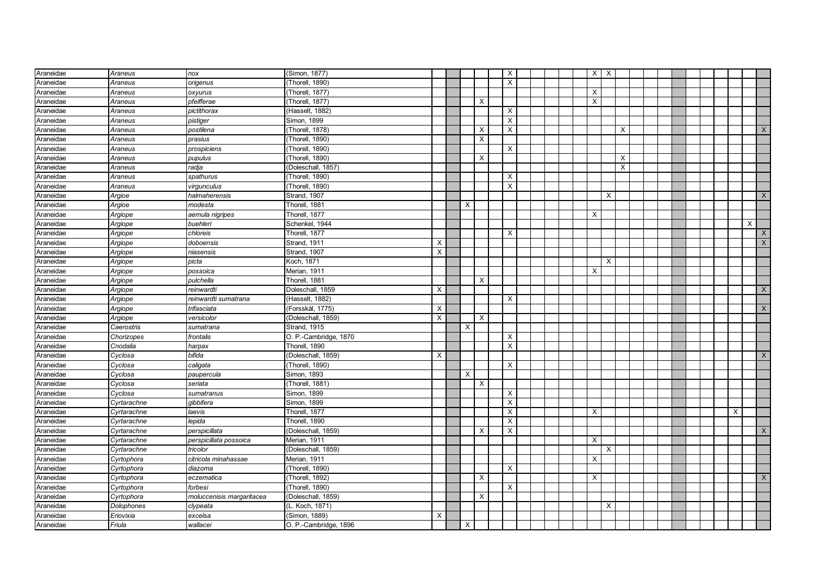| Araneidae              | Araneus                 | nox                       | (Simon, 1877)                         |   |          |                           | X        |  | $X$ $\mid$ $X$ |          |          |  |  |  |          |              |
|------------------------|-------------------------|---------------------------|---------------------------------------|---|----------|---------------------------|----------|--|----------------|----------|----------|--|--|--|----------|--------------|
| Araneidae              | Araneus                 | origenus                  | (Thorell, 1890)                       |   |          |                           | $\times$ |  |                |          |          |  |  |  |          |              |
| Araneidae              | Araneus                 | oxyurus                   | (Thorell, 1877)                       |   |          |                           |          |  | X              |          |          |  |  |  |          |              |
| Araneidae              | Araneus                 | pfeifferae                | (Thorell, 1877)                       |   |          | $\times$                  |          |  | X              |          |          |  |  |  |          |              |
| Araneidae              | Araneus                 | pictithorax               | (Hasselt, 1882)                       |   |          |                           | $\times$ |  |                |          |          |  |  |  |          |              |
| Araneidae              | Araneus                 | pistiger                  | Simon, 1899                           |   |          |                           | $\sf X$  |  |                |          |          |  |  |  |          |              |
| Araneidae              | Araneus                 | postilena                 | (Thorell, 1878)                       |   |          | X                         | X        |  |                |          | $\times$ |  |  |  |          | X            |
| Araneidae              | Araneus                 | prasius                   | (Thorell, 1890)                       |   |          | X                         |          |  |                |          |          |  |  |  |          |              |
| Araneidae              | Araneus                 | prospiciens               | (Thorell, 1890)                       |   |          |                           | $\times$ |  |                |          |          |  |  |  |          |              |
| Araneidae              | Araneus                 | pupulus                   | (Thorell, 1890)                       |   |          | $\boldsymbol{\mathsf{x}}$ |          |  |                |          | $\times$ |  |  |  |          |              |
| Araneidae              | Araneus                 | radja                     | (Doleschall, 1857)                    |   |          |                           |          |  |                |          | X        |  |  |  |          |              |
| Araneidae              | Araneus                 | spathurus                 | (Thorell, 1890)                       |   |          |                           | X        |  |                |          |          |  |  |  |          |              |
| Araneidae              | Araneus                 | virgunculus               | (Thorell, 1890)                       |   |          |                           | $\times$ |  |                |          |          |  |  |  |          |              |
| Araneidae              | Argioe                  | halmaherensis             | Strand, 1907                          |   |          |                           |          |  |                | $\times$ |          |  |  |  |          | $\times$     |
| Araneidae              | Argioe                  | modesta                   | Thorell, 1881                         |   | X        |                           |          |  |                |          |          |  |  |  |          |              |
| Araneidae              | Argiope                 | aemula nigripes           | Thorell, 1877                         |   |          |                           |          |  | X              |          |          |  |  |  |          |              |
| Araneidae              | Argiope                 | buehleri                  | Schenkel, 1944                        |   |          |                           |          |  |                |          |          |  |  |  |          | X            |
| Araneidae              | Argiope                 | chloreis                  | Thorell, 1877                         |   |          |                           | X        |  |                |          |          |  |  |  |          | $\mathsf{X}$ |
| Araneidae              | Argiope                 | doboensis                 | Strand, 1911                          | Х |          |                           |          |  |                |          |          |  |  |  |          | X            |
| Araneidae              | Argiope                 | niasensis                 | Strand, 1907                          | X |          |                           |          |  |                |          |          |  |  |  |          |              |
| Araneidae              | Argiope                 | picta                     | Koch, 1871                            |   |          |                           |          |  |                | $\times$ |          |  |  |  |          |              |
| Araneidae              | Argiope                 | possoica                  | Merian, 1911                          |   |          |                           |          |  | X              |          |          |  |  |  |          |              |
| Araneidae              | Argiope                 | pulchella                 | Thorell, 1881                         |   |          | $\times$                  |          |  |                |          |          |  |  |  |          |              |
| Araneidae              | Argiope                 | reinwardti                | Doleschall, 1859                      | X |          |                           |          |  |                |          |          |  |  |  |          | X            |
| Araneidae              | Argiope                 | reinwardti sumatrana      | (Hasselt, 1882)                       |   |          |                           | $\times$ |  |                |          |          |  |  |  |          |              |
| Araneidae              | Argiope                 | trifasciata               | (Forsskål, 1775)                      | X |          |                           |          |  |                |          |          |  |  |  |          | $\mathsf{X}$ |
| Araneidae              | Argiope                 | versicolor                | (Doleschall, 1859)                    | X |          | $\boldsymbol{\mathsf{X}}$ |          |  |                |          |          |  |  |  |          |              |
| Araneidae              | Caerostris              | sumatrana                 | Strand, 1915                          |   | $\times$ |                           |          |  |                |          |          |  |  |  |          |              |
| Araneidae              | Chorizopes              | frontalis                 | O. P.-Cambridge, 1870                 |   |          |                           | X        |  |                |          |          |  |  |  |          |              |
| Araneidae              | Cnodalia                | harpax                    | Thorell, 1890                         |   |          |                           | X        |  |                |          |          |  |  |  |          |              |
| Araneidae              | Cyclosa                 | bifida                    | (Doleschall, 1859)                    | X |          |                           |          |  |                |          |          |  |  |  |          | X            |
| Araneidae              | Cyclosa                 | caligata                  | (Thorell, 1890)                       |   |          |                           | X        |  |                |          |          |  |  |  |          |              |
| Araneidae              | Cyclosa                 | paupercula                | Simon, 1893                           |   | X        |                           |          |  |                |          |          |  |  |  |          |              |
| Araneidae              | Cyclosa                 | seriata                   | (Thorell, 1881)                       |   |          | $\boldsymbol{\mathsf{X}}$ |          |  |                |          |          |  |  |  |          |              |
| Araneidae              | Cyclosa                 | sumatranus                | Simon, 1899                           |   |          |                           | X        |  |                |          |          |  |  |  |          |              |
| Araneidae              | Cyrtarachne             | qibbifera                 | Simon, 1899                           |   |          |                           | X        |  |                |          |          |  |  |  |          |              |
| Araneidae              | Cyrtarachne             | laevis                    | Thorell, 1877                         |   |          |                           | $\times$ |  | X              |          |          |  |  |  | $\times$ |              |
| Araneidae              | Cyrtarachne             | lepida                    | Thorell, 1890                         |   |          |                           | X        |  |                |          |          |  |  |  |          |              |
| Araneidae              | Cyrtarachne             | perspicillata             | (Doleschall, 1859)                    |   |          | $\times$                  | X        |  |                |          |          |  |  |  |          | $\mathsf{X}$ |
| Araneidae              | Cyrtarachne             | perspicillata possoica    | Merian, 1911                          |   |          |                           |          |  | X              |          |          |  |  |  |          |              |
| Araneidae              | Cyrtarachne             | tricolor                  | (Doleschall, 1859)                    |   |          |                           |          |  |                | $\times$ |          |  |  |  |          |              |
| Araneidae              | Cyrtophora              | citricola minahassae      | Merian, 1911                          |   |          |                           |          |  | X              |          |          |  |  |  |          |              |
| Araneidae              | Cyrtophora              | diazoma                   | (Thorell, 1890)<br>(Thorell, 1892)    |   |          |                           | $\times$ |  | $\times$       |          |          |  |  |  |          | $\times$     |
| Araneidae              | Cyrtophora              | eczematica                |                                       |   |          | $\times$                  |          |  |                |          |          |  |  |  |          |              |
| Araneidae              | Cyrtophora              | forbesi                   | (Thorell, 1890)                       |   |          |                           | $\times$ |  |                |          |          |  |  |  |          |              |
| Araneidae              | Cyrtophora              | moluccenisis margaritacea | (Doleschall, 1859)<br>(L. Koch, 1871) |   |          | $\boldsymbol{\mathsf{X}}$ |          |  |                | $\times$ |          |  |  |  |          |              |
| Araneidae<br>Araneidae | Dolophones<br>Eriovixia | clypeata                  | (Simon, 1889)                         | X |          |                           |          |  |                |          |          |  |  |  |          |              |
|                        |                         | excelsa                   |                                       |   |          |                           |          |  |                |          |          |  |  |  |          |              |
| Araneidae              | Friula                  | wallacei                  | O. P.-Cambridge, 1896                 |   | X        |                           |          |  |                |          |          |  |  |  |          |              |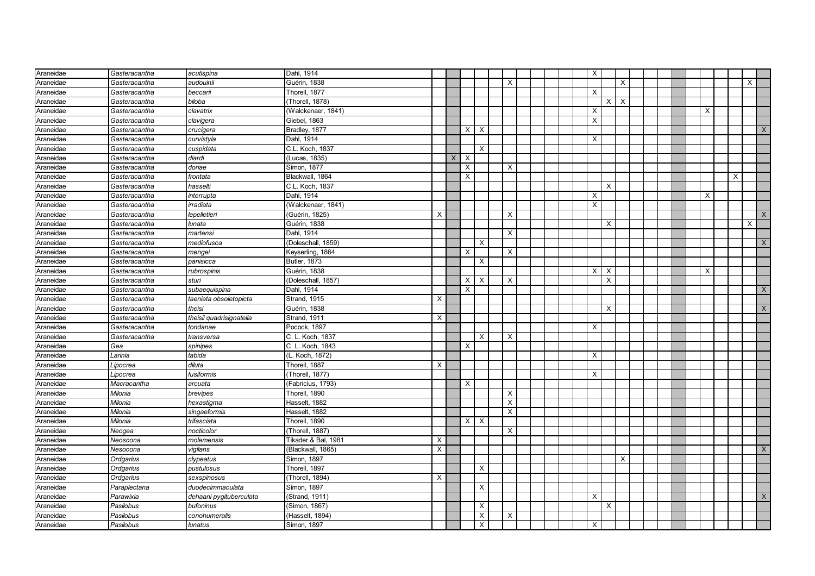| Araneidae | Gasteracantha | acutispina               | Dahl, 1914          |   |   |          |                           |                           |  |  | $\times$ |              |   |  |  |          |   |              |
|-----------|---------------|--------------------------|---------------------|---|---|----------|---------------------------|---------------------------|--|--|----------|--------------|---|--|--|----------|---|--------------|
| Araneidae | Gasteracantha | audouinii                | Guérin, 1838        |   |   |          |                           | $\boldsymbol{\mathsf{X}}$ |  |  |          |              | X |  |  |          |   | $\times$     |
| Araneidae | Gasteracantha | beccarii                 | Thorell, 1877       |   |   |          |                           |                           |  |  | X        |              |   |  |  |          |   |              |
| Araneidae | Gasteracantha | biloba                   | (Thorell, 1878)     |   |   |          |                           |                           |  |  |          | $x \mid x$   |   |  |  |          |   |              |
| Araneidae | Gasteracantha | clavatrix                | (Walckenaer, 1841)  |   |   |          |                           |                           |  |  | X        |              |   |  |  | $\times$ |   |              |
| Araneidae | Gasteracantha | clavigera                | Giebel, 1863        |   |   |          |                           |                           |  |  | X        |              |   |  |  |          |   |              |
| Araneidae | Gasteracantha | crucigera                | Bradley, 1877       |   |   | X        | $\boldsymbol{\mathsf{X}}$ |                           |  |  |          |              |   |  |  |          |   | X            |
| Araneidae | Gasteracantha | curvistyla               | Dahl, 1914          |   |   |          |                           |                           |  |  | X        |              |   |  |  |          |   |              |
| Araneidae | Gasteracantha | cuspidata                | C.L. Koch, 1837     |   |   |          | X                         |                           |  |  |          |              |   |  |  |          |   |              |
| Araneidae | Gasteracantha | diardi                   | (Lucas, 1835)       |   | X | X        |                           |                           |  |  |          |              |   |  |  |          |   |              |
| Araneidae | Gasteracantha | doriae                   | Simon, 1877         |   |   | X        |                           | X                         |  |  |          |              |   |  |  |          |   |              |
| Araneidae | Gasteracantha | frontata                 | Blackwall, 1864     |   |   | X        |                           |                           |  |  |          |              |   |  |  |          | X |              |
| Araneidae | Gasteracantha | hasselti                 | C.L. Koch, 1837     |   |   |          |                           |                           |  |  |          | $\times$     |   |  |  |          |   |              |
| Araneidae | Gasteracantha | interrupta               | Dahl, 1914          |   |   |          |                           |                           |  |  | X        |              |   |  |  | $\times$ |   |              |
| Araneidae | Gasteracantha | irradiata                | (Walckenaer, 1841)  |   |   |          |                           |                           |  |  | X        |              |   |  |  |          |   |              |
| Araneidae | Gasteracantha | lepelletieri             | (Guérin, 1825)      | X |   |          |                           | X                         |  |  |          |              |   |  |  |          |   | $\mathsf{X}$ |
| Araneidae | Gasteracantha | lunata                   | Guérin, 1838        |   |   |          |                           |                           |  |  |          | X            |   |  |  |          |   | X            |
| Araneidae | Gasteracantha | martensi                 | Dahl, 1914          |   |   |          |                           | X                         |  |  |          |              |   |  |  |          |   |              |
| Araneidae | Gasteracantha | mediofusca               | (Doleschall, 1859)  |   |   |          | $\times$                  |                           |  |  |          |              |   |  |  |          |   | X            |
| Araneidae | Gasteracantha | mengei                   | Keyserling, 1864    |   |   | X        |                           | $\boldsymbol{\mathsf{X}}$ |  |  |          |              |   |  |  |          |   |              |
| Araneidae | Gasteracantha | panisicca                | <b>Butler, 1873</b> |   |   |          | $\times$                  |                           |  |  |          |              |   |  |  |          |   |              |
| Araneidae | Gasteracantha | rubrospinis              | Guérin, 1838        |   |   |          |                           |                           |  |  | X        | $\mathsf{X}$ |   |  |  | X        |   |              |
| Araneidae | Gasteracantha | sturi                    | (Doleschall, 1857)  |   |   | X        | $\times$                  | $\times$                  |  |  |          | $\times$     |   |  |  |          |   |              |
| Araneidae | Gasteracantha | subaequispina            | Dahl, 1914          |   |   | X        |                           |                           |  |  |          |              |   |  |  |          |   | X            |
| Araneidae | Gasteracantha | taeniata obsoletopicta   | <b>Strand, 1915</b> | X |   |          |                           |                           |  |  |          |              |   |  |  |          |   |              |
| Araneidae | Gasteracantha | theisi                   | Guérin, 1838        |   |   |          |                           |                           |  |  |          | $\times$     |   |  |  |          |   | $\times$     |
| Araneidae | Gasteracantha | theisii quadrisignatella | Strand, 1911        | X |   |          |                           |                           |  |  |          |              |   |  |  |          |   |              |
| Araneidae | Gasteracantha | tondanae                 | Pocock, 1897        |   |   |          |                           |                           |  |  | X        |              |   |  |  |          |   |              |
| Araneidae | Gasteracantha | transversa               | C. L. Koch, 1837    |   |   |          | X                         | X                         |  |  |          |              |   |  |  |          |   |              |
| Araneidae | Gea           | spinipes                 | C. L. Koch, 1843    |   |   | X        |                           |                           |  |  |          |              |   |  |  |          |   |              |
| Araneidae | Larinia       | tabida                   | (L. Koch, 1872)     |   |   |          |                           |                           |  |  | X        |              |   |  |  |          |   |              |
| Araneidae | Lipocrea      | diluta                   | Thorell, 1887       | X |   |          |                           |                           |  |  |          |              |   |  |  |          |   |              |
| Araneidae | Lipocrea      | fusiformis               | (Thorell, 1877)     |   |   |          |                           |                           |  |  | X        |              |   |  |  |          |   |              |
| Araneidae | Macracantha   | arcuata                  | (Fabricius, 1793)   |   |   | X        |                           |                           |  |  |          |              |   |  |  |          |   |              |
| Araneidae | Milonia       | brevipes                 | Thorell, 1890       |   |   |          |                           | X                         |  |  |          |              |   |  |  |          |   |              |
| Araneidae | Milonia       | hexastigma               | Hasselt, 1882       |   |   |          |                           | X                         |  |  |          |              |   |  |  |          |   |              |
| Araneidae | Milonia       | singaeformis             | Hasselt, 1882       |   |   |          |                           | $\boldsymbol{\mathsf{x}}$ |  |  |          |              |   |  |  |          |   |              |
| Araneidae | Milonia       | trifasciata              | Thorell, 1890       |   |   | $\times$ | $\boldsymbol{\mathsf{X}}$ |                           |  |  |          |              |   |  |  |          |   |              |
| Araneidae | Neogea        | nocticolor               | (Thorell, 1887)     |   |   |          |                           | $\times$                  |  |  |          |              |   |  |  |          |   |              |
| Araneidae | Neoscona      | molemensis               | Tikader & Bal, 1981 | X |   |          |                           |                           |  |  |          |              |   |  |  |          |   |              |
| Araneidae | Nesocona      | vigilans                 | (Blackwall, 1865)   | X |   |          |                           |                           |  |  |          |              |   |  |  |          |   | $\mathsf{X}$ |
| Araneidae | Ordgarius     | clypeatus                | Simon, 1897         |   |   |          |                           |                           |  |  |          |              | X |  |  |          |   |              |
| Araneidae | Ordgarius     | pustulosus               | Thorell, 1897       |   |   |          | $\boldsymbol{\mathsf{X}}$ |                           |  |  |          |              |   |  |  |          |   |              |
| Araneidae | Ordgarius     | sexspinosus              | (Thorell, 1894)     | X |   |          |                           |                           |  |  |          |              |   |  |  |          |   |              |
| Araneidae | Paraplectana  | duodecimmaculata         | Simon, 1897         |   |   |          | $\boldsymbol{\mathsf{X}}$ |                           |  |  |          |              |   |  |  |          |   |              |
| Araneidae | Parawixia     | dehaani pygituberculata  | Strand, 1911)       |   |   |          |                           |                           |  |  | X        |              |   |  |  |          |   | $\mathsf{X}$ |
| Araneidae | Pasilobus     | bufoninus                | Simon, 1867)        |   |   |          | $\times$                  |                           |  |  |          | $\times$     |   |  |  |          |   |              |
| Araneidae | Pasilobus     | conohumeralis            | (Hasselt, 1894)     |   |   |          | $\boldsymbol{\mathsf{X}}$ | X                         |  |  |          |              |   |  |  |          |   |              |
| Araneidae | Pasilobus     | lunatus                  | Simon, 1897         |   |   |          | X                         |                           |  |  | х        |              |   |  |  |          |   |              |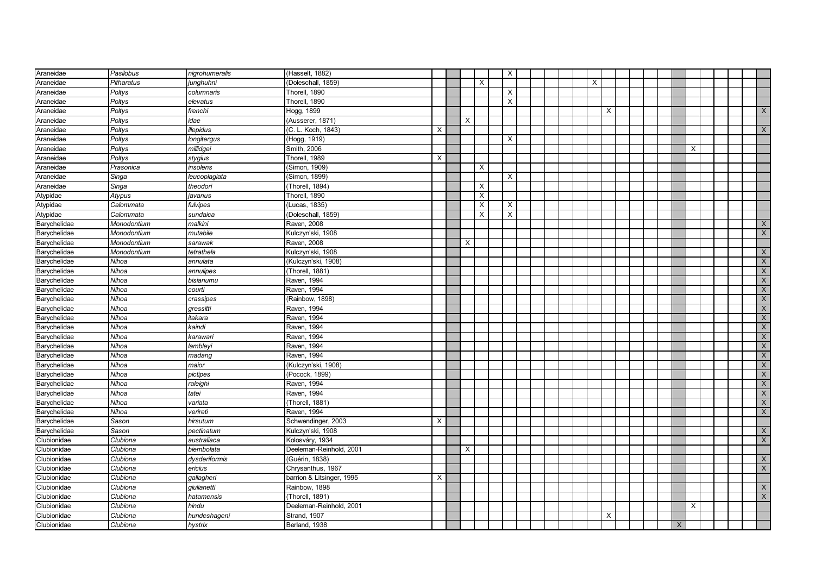| Araneidae    | Pasilobus   | nigrohumeralis | (Hasselt, 1882)           |          |   |          | $\boldsymbol{\mathsf{X}}$ |  |  |   |          |  |          |   |  |                         |
|--------------|-------------|----------------|---------------------------|----------|---|----------|---------------------------|--|--|---|----------|--|----------|---|--|-------------------------|
| Araneidae    | Pitharatus  | junghuhni      | (Doleschall, 1859)        |          |   | X        |                           |  |  | X |          |  |          |   |  |                         |
| Araneidae    | Poltys      | columnaris     | Thorell, 1890             |          |   |          | $\boldsymbol{\mathsf{X}}$ |  |  |   |          |  |          |   |  |                         |
| Araneidae    | Poltys      | elevatus       | Thorell, 1890             |          |   |          | $\times$                  |  |  |   |          |  |          |   |  |                         |
| Araneidae    | Poltys      | frenchi        | Hogg, 1899                |          |   |          |                           |  |  |   | X        |  |          |   |  | X                       |
| Araneidae    | Poltys      | idae           | (Ausserer, 1871)          |          | X |          |                           |  |  |   |          |  |          |   |  |                         |
| Araneidae    | Poltys      | illepidus      | (C. L. Koch, 1843)        | $\times$ |   |          |                           |  |  |   |          |  |          |   |  | X                       |
| Araneidae    | Poltys      | longitergus    | (Hogg, 1919)              |          |   |          | X                         |  |  |   |          |  |          |   |  |                         |
| Araneidae    | Poltys      | millidgei      | Smith, 2006               |          |   |          |                           |  |  |   |          |  |          | X |  |                         |
| Araneidae    | Poltys      | stygius        | Thorell, 1989             | X        |   |          |                           |  |  |   |          |  |          |   |  |                         |
| Araneidae    | Prasonica   | insolens       | (Simon, 1909)             |          |   | Х        |                           |  |  |   |          |  |          |   |  |                         |
| Araneidae    | Singa       | leucoplagiata  | (Simon, 1899)             |          |   |          | $\boldsymbol{\mathsf{X}}$ |  |  |   |          |  |          |   |  |                         |
| Araneidae    | Singa       | theodori       | (Thorell, 1894)           |          |   | X        |                           |  |  |   |          |  |          |   |  |                         |
| Atypidae     | Atypus      | javanus        | Thorell, 1890             |          |   | X        |                           |  |  |   |          |  |          |   |  |                         |
| Atypidae     | Calommata   | fulvipes       | Lucas, 1835)              |          |   | $\times$ | $\times$                  |  |  |   |          |  |          |   |  |                         |
| Atypidae     | Calommata   | sundaica       | (Doleschall, 1859)        |          |   | $\times$ | $\times$                  |  |  |   |          |  |          |   |  |                         |
| Barychelidae | Monodontium | malkini        | Raven, 2008               |          |   |          |                           |  |  |   |          |  |          |   |  | X                       |
| Barychelidae | Monodontium | mutabile       | Kulczyn'ski, 1908         |          |   |          |                           |  |  |   |          |  |          |   |  | $\mathsf{X}$            |
| Barychelidae | Monodontium | sarawak        | Raven, 2008               |          | X |          |                           |  |  |   |          |  |          |   |  |                         |
| Barychelidae | Monodontium | tetrathela     | Kulczyn'ski, 1908         |          |   |          |                           |  |  |   |          |  |          |   |  | $\mathsf{X}$            |
| Barychelidae | Nihoa       | annulata       | (Kulczyn'ski, 1908)       |          |   |          |                           |  |  |   |          |  |          |   |  | $\mathsf{X}$            |
| Barychelidae | Nihoa       | annulipes      | (Thorell, 1881)           |          |   |          |                           |  |  |   |          |  |          |   |  | $\mathsf{X}$            |
| Barychelidae | Nihoa       | bisianumu      | Raven, 1994               |          |   |          |                           |  |  |   |          |  |          |   |  | $\mathsf X$             |
| Barychelidae | Nihoa       | courti         | Raven, 1994               |          |   |          |                           |  |  |   |          |  |          |   |  | $\overline{\mathsf{X}}$ |
| Barychelidae | Nihoa       | crassipes      | (Rainbow, 1898)           |          |   |          |                           |  |  |   |          |  |          |   |  | $\mathsf X$             |
| Barychelidae | Nihoa       | qressitti      | Raven, 1994               |          |   |          |                           |  |  |   |          |  |          |   |  | $\mathsf X$             |
| Barychelidae | Nihoa       | itakara        | Raven, 1994               |          |   |          |                           |  |  |   |          |  |          |   |  | $\mathsf X$             |
| Barychelidae | Nihoa       | kaindi         | Raven, 1994               |          |   |          |                           |  |  |   |          |  |          |   |  | $\mathsf X$             |
| Barychelidae | Nihoa       | karawari       | Raven, 1994               |          |   |          |                           |  |  |   |          |  |          |   |  | $\mathsf X$             |
| Barychelidae | Nihoa       | lambleyi       | Raven, 1994               |          |   |          |                           |  |  |   |          |  |          |   |  | $\overline{X}$          |
| Barychelidae | Nihoa       | madang         | Raven, 1994               |          |   |          |                           |  |  |   |          |  |          |   |  | X                       |
| Barychelidae | Nihoa       | maior          | (Kulczyn'ski, 1908)       |          |   |          |                           |  |  |   |          |  |          |   |  | $\mathsf X$             |
| Barychelidae | Nihoa       | pictipes       | (Pocock, 1899)            |          |   |          |                           |  |  |   |          |  |          |   |  | X                       |
| Barychelidae | Nihoa       | raleighi       | Raven, 1994               |          |   |          |                           |  |  |   |          |  |          |   |  | $\mathsf X$             |
| Barychelidae | Nihoa       | tatei          | Raven, 1994               |          |   |          |                           |  |  |   |          |  |          |   |  | $\mathsf{X}$            |
| Barychelidae | Nihoa       | variata        | (Thorell, 1881)           |          |   |          |                           |  |  |   |          |  |          |   |  | $\mathsf{X}$            |
| Barychelidae | Nihoa       | verireti       | Raven, 1994               |          |   |          |                           |  |  |   |          |  |          |   |  | X                       |
| Barychelidae | Sason       | hirsutum       | Schwendinger, 2003        | X        |   |          |                           |  |  |   |          |  |          |   |  |                         |
| Barychelidae | Sason       | pectinatum     | Kulczyn'ski, 1908         |          |   |          |                           |  |  |   |          |  |          |   |  | $\mathsf X$             |
| Clubionidae  | Clubiona    | australiaca    | Kolosváry, 1934           |          |   |          |                           |  |  |   |          |  |          |   |  | $\mathsf X$             |
| Clubionidae  | Clubiona    | biembolata     | Deeleman-Reinhold, 2001   |          | X |          |                           |  |  |   |          |  |          |   |  |                         |
| Clubionidae  | Clubiona    | dysderiformis  | (Guérin, 1838)            |          |   |          |                           |  |  |   |          |  |          |   |  | X                       |
| Clubionidae  | Clubiona    | ericius        | Chrysanthus, 1967         |          |   |          |                           |  |  |   |          |  |          |   |  | $\overline{X}$          |
| Clubionidae  | Clubiona    | gallagheri     | barrion & Litsinger, 1995 | X        |   |          |                           |  |  |   |          |  |          |   |  |                         |
| Clubionidae  | Clubiona    | qiulianetti    | Rainbow, 1898             |          |   |          |                           |  |  |   |          |  |          |   |  | X                       |
| Clubionidae  | Clubiona    | hatamensis     | (Thorell, 1891)           |          |   |          |                           |  |  |   |          |  |          |   |  | X                       |
| Clubionidae  | Clubiona    | hindu          | Deeleman-Reinhold, 2001   |          |   |          |                           |  |  |   |          |  |          | X |  |                         |
| Clubionidae  | Clubiona    | hundeshageni   | Strand, 1907              |          |   |          |                           |  |  |   | $\times$ |  |          |   |  |                         |
| Clubionidae  | Clubiona    | hystrix        | Berland, 1938             |          |   |          |                           |  |  |   |          |  | $\times$ |   |  |                         |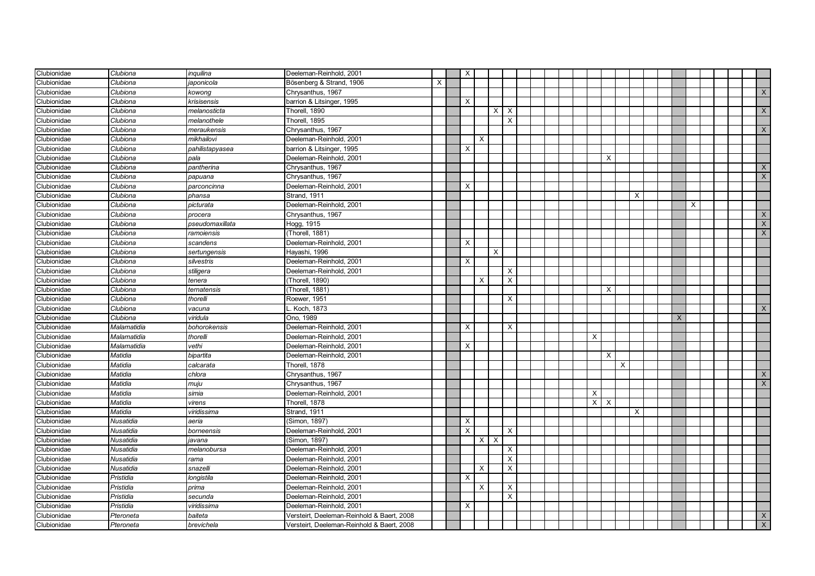| Clubionidae        | Clubiona         | inquilina       | Deeleman-Reinhold, 2001                    |   | $\times$ |          |              |                           |  |  |          |                           |          |          |  |   |   |  |              |
|--------------------|------------------|-----------------|--------------------------------------------|---|----------|----------|--------------|---------------------------|--|--|----------|---------------------------|----------|----------|--|---|---|--|--------------|
| Clubionidae        | Clubiona         | aponicola       | Bösenberg & Strand, 1906                   | X |          |          |              |                           |  |  |          |                           |          |          |  |   |   |  |              |
| Clubionidae        | Clubiona         | kowong          | Chrysanthus, 1967                          |   |          |          |              |                           |  |  |          |                           |          |          |  |   |   |  | X            |
| Clubionidae        | Clubiona         | krisisensis     | barrion & Litsinger, 1995                  |   | X        |          |              |                           |  |  |          |                           |          |          |  |   |   |  |              |
| Clubionidae        | Clubiona         | melanosticta    | Thorell, 1890                              |   |          |          | X            | $\boldsymbol{\mathsf{X}}$ |  |  |          |                           |          |          |  |   |   |  | $\times$     |
| Clubionidae        | Clubiona         | melanothele     | Thorell, 1895                              |   |          |          |              | X                         |  |  |          |                           |          |          |  |   |   |  |              |
| Clubionidae        | Clubiona         | meraukensis     | Chrysanthus, 1967                          |   |          |          |              |                           |  |  |          |                           |          |          |  |   |   |  | X            |
| Clubionidae        | Clubiona         | mikhailovi      | Deeleman-Reinhold, 2001                    |   |          | X        |              |                           |  |  |          |                           |          |          |  |   |   |  |              |
| Clubionidae        | Clubiona         | pahilistapyasea | barrion & Litsinger, 1995                  |   | X        |          |              |                           |  |  |          |                           |          |          |  |   |   |  |              |
| Clubionidae        | Clubiona         | pala            | Deeleman-Reinhold, 2001                    |   |          |          |              |                           |  |  |          | $\times$                  |          |          |  |   |   |  |              |
| Clubionidae        | Clubiona         | pantherina      | Chrysanthus, 1967                          |   |          |          |              |                           |  |  |          |                           |          |          |  |   |   |  | X            |
| Clubionidae        | Clubiona         | papuana         | Chrysanthus, 1967                          |   |          |          |              |                           |  |  |          |                           |          |          |  |   |   |  | $\mathsf{X}$ |
| Clubionidae        | Clubiona         | parconcinna     | Deeleman-Reinhold, 2001                    |   | $\times$ |          |              |                           |  |  |          |                           |          |          |  |   |   |  |              |
| Clubionidae        | Clubiona         | phansa          | Strand, 1911                               |   |          |          |              |                           |  |  |          |                           |          | $\times$ |  |   |   |  |              |
| Clubionidae        | Clubiona         | picturata       | Deeleman-Reinhold, 2001                    |   |          |          |              |                           |  |  |          |                           |          |          |  |   | X |  |              |
| Clubionidae        | Clubiona         | procera         | Chrysanthus, 1967                          |   |          |          |              |                           |  |  |          |                           |          |          |  |   |   |  | $\times$     |
| Clubionidae        | Clubiona         | pseudomaxillata | Hogg, 1915                                 |   |          |          |              |                           |  |  |          |                           |          |          |  |   |   |  | $\times$     |
| Clubionidae        | Clubiona         | ramoiensis      | (Thorell, 1881)                            |   |          |          |              |                           |  |  |          |                           |          |          |  |   |   |  | $\mathsf{X}$ |
| Clubionidae        | Clubiona         | scandens        | Deeleman-Reinhold, 2001                    |   | X        |          |              |                           |  |  |          |                           |          |          |  |   |   |  |              |
| Clubionidae        | Clubiona         | sertungensis    | Hayashi, 1996                              |   |          |          | X            |                           |  |  |          |                           |          |          |  |   |   |  |              |
| Clubionidae        | Clubiona         | silvestris      | Deeleman-Reinhold, 2001                    |   | $\times$ |          |              |                           |  |  |          |                           |          |          |  |   |   |  |              |
| Clubionidae        | Clubiona         | stiligera       | Deeleman-Reinhold, 2001                    |   |          |          |              | X                         |  |  |          |                           |          |          |  |   |   |  |              |
| Clubionidae        | Clubiona         | tenera          | (Thorell, 1890)                            |   |          | $\times$ |              | $\times$                  |  |  |          |                           |          |          |  |   |   |  |              |
| Clubionidae        | Clubiona         | ternatensis     | Thorell, 1881)                             |   |          |          |              |                           |  |  |          | $\times$                  |          |          |  |   |   |  |              |
| <b>Clubionidae</b> | Clubiona         | thorelli        | Roewer, 1951                               |   |          |          |              | $\times$                  |  |  |          |                           |          |          |  |   |   |  |              |
| Clubionidae        | Clubiona         | vacuna          | . Koch, 1873                               |   |          |          |              |                           |  |  |          |                           |          |          |  |   |   |  | $\times$     |
| Clubionidae        | Clubiona         | viridula        | Ono, 1989                                  |   |          |          |              |                           |  |  |          |                           |          |          |  | X |   |  |              |
| Clubionidae        | Malamatidia      | bohorokensis    | Deeleman-Reinhold, 2001                    |   | X        |          |              | X                         |  |  |          |                           |          |          |  |   |   |  |              |
| Clubionidae        | Malamatidia      | thorelli        | Deeleman-Reinhold, 2001                    |   |          |          |              |                           |  |  | X        |                           |          |          |  |   |   |  |              |
| Clubionidae        | Malamatidia      | vethi           | Deeleman-Reinhold, 2001                    |   | X        |          |              |                           |  |  |          |                           |          |          |  |   |   |  |              |
| Clubionidae        | Matidia          | bipartita       | Deeleman-Reinhold, 2001                    |   |          |          |              |                           |  |  |          | $\times$                  |          |          |  |   |   |  |              |
| Clubionidae        | Matidia          | calcarata       | Thorell, 1878                              |   |          |          |              |                           |  |  |          |                           | $\times$ |          |  |   |   |  |              |
| Clubionidae        | Matidia          | chlora          | Chrysanthus, 1967                          |   |          |          |              |                           |  |  |          |                           |          |          |  |   |   |  | $\times$     |
| Clubionidae        | Matidia          | тији            | Chrysanthus, 1967                          |   |          |          |              |                           |  |  |          |                           |          |          |  |   |   |  | $\mathsf{X}$ |
| Clubionidae        | Matidia          | simia           | Deeleman-Reinhold, 2001                    |   |          |          |              |                           |  |  | $\times$ |                           |          |          |  |   |   |  |              |
| Clubionidae        | Matidia          | virens          | Thorell, 1878                              |   |          |          |              |                           |  |  | X        | $\boldsymbol{\mathsf{X}}$ |          |          |  |   |   |  |              |
| Clubionidae        | Matidia          | viridissima     | Strand, 1911                               |   |          |          |              |                           |  |  |          |                           |          | X        |  |   |   |  |              |
| Clubionidae        | Nusatidia        | aeria           | (Simon, 1897)                              |   | $\times$ |          |              |                           |  |  |          |                           |          |          |  |   |   |  |              |
| Clubionidae        | Nusatidia        | borneensis      | Deeleman-Reinhold, 2001                    |   | $\times$ |          |              | $\times$                  |  |  |          |                           |          |          |  |   |   |  |              |
| Clubionidae        | Nusatidia        | javana          | (Simon, 1897)                              |   |          | $\times$ | $\mathsf{X}$ |                           |  |  |          |                           |          |          |  |   |   |  |              |
| Clubionidae        | <b>Nusatidia</b> | melanobursa     | Deeleman-Reinhold, 2001                    |   |          |          |              | $\times$                  |  |  |          |                           |          |          |  |   |   |  |              |
| Clubionidae        | Nusatidia        | rama            | Deeleman-Reinhold, 2001                    |   |          |          |              | X                         |  |  |          |                           |          |          |  |   |   |  |              |
| Clubionidae        | Nusatidia        | snazelli        | Deeleman-Reinhold, 2001                    |   |          | X        |              | $\times$                  |  |  |          |                           |          |          |  |   |   |  |              |
| Clubionidae        | Pristidia        | longistila      | Deeleman-Reinhold, 2001                    |   | X        |          |              |                           |  |  |          |                           |          |          |  |   |   |  |              |
| Clubionidae        | Pristidia        | prima           | Deeleman-Reinhold, 2001                    |   |          | X        |              | $\times$                  |  |  |          |                           |          |          |  |   |   |  |              |
| Clubionidae        | Pristidia        | secunda         | Deeleman-Reinhold, 2001                    |   |          |          |              | $\times$                  |  |  |          |                           |          |          |  |   |   |  |              |
| <b>Clubionidae</b> | Pristidia        | viridissima     | Deeleman-Reinhold, 2001                    |   | $\times$ |          |              |                           |  |  |          |                           |          |          |  |   |   |  |              |
| Clubionidae        | Pteroneta        | baiteta         | Versteirt. Deeleman-Reinhold & Baert. 2008 |   |          |          |              |                           |  |  |          |                           |          |          |  |   |   |  | $\times$     |
| Clubionidae        | Pteroneta        | brevichela      | Versteirt, Deeleman-Reinhold & Baert, 2008 |   |          |          |              |                           |  |  |          |                           |          |          |  |   |   |  | $\mathsf{X}$ |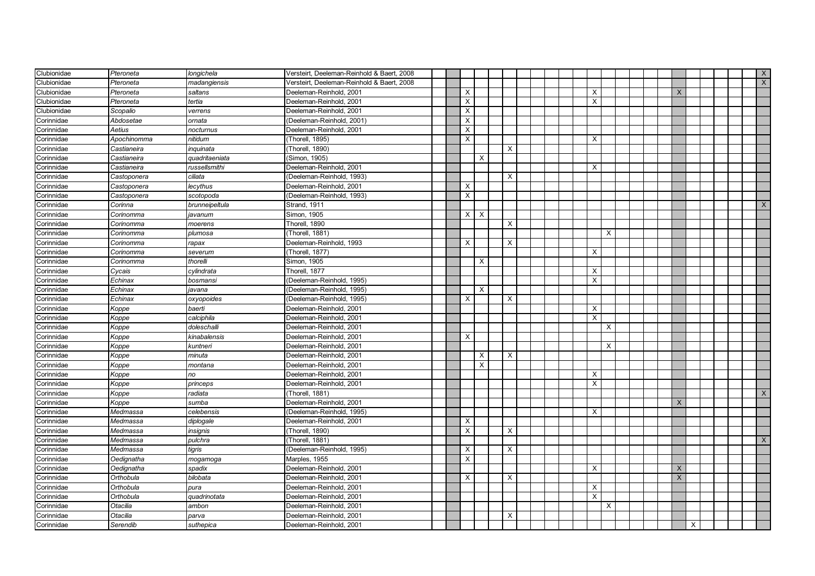| Clubionidae              | Pteroneta   | longichela     | Versteirt, Deeleman-Reinhold & Baert, 2008 |  |                          |                           |  |   |          |  |          |          |  | X              |
|--------------------------|-------------|----------------|--------------------------------------------|--|--------------------------|---------------------------|--|---|----------|--|----------|----------|--|----------------|
| Clubionidae              | Pteroneta   | madangiensis   | Versteirt. Deeleman-Reinhold & Baert. 2008 |  |                          |                           |  |   |          |  |          |          |  | $\overline{X}$ |
| Clubionidae              | Pteroneta   | saltans        | Deeleman-Reinhold, 2001                    |  | $\times$                 |                           |  | X |          |  | X        |          |  |                |
| Clubionidae              | Pteroneta   | tertia         | Deeleman-Reinhold, 2001                    |  | Χ                        |                           |  | X |          |  |          |          |  |                |
| Clubionidae              | Scopalio    | verrens        | Deeleman-Reinhold, 2001                    |  | X                        |                           |  |   |          |  |          |          |  |                |
| Corinnidae               | Abdosetae   | ornata         | (Deeleman-Reinhold, 2001)                  |  | X                        |                           |  |   |          |  |          |          |  |                |
| Corinnidae               | Aetius      | nocturnus      | Deeleman-Reinhold, 2001                    |  | X                        |                           |  |   |          |  |          |          |  |                |
| Corinnidae               | Apochinomma | nitidum        | (Thorell, 1895)                            |  | Х                        |                           |  | X |          |  |          |          |  |                |
| Corinnidae               | Castianeira | inquinata      | (Thorell, 1890)                            |  |                          | X                         |  |   |          |  |          |          |  |                |
| Corinnidae               | Castianeira | quadritaeniata | (Simon, 1905)                              |  | $\times$                 |                           |  |   |          |  |          |          |  |                |
| Corinnidae               | Castianeira | russellsmithi  | Deeleman-Reinhold, 2001                    |  |                          |                           |  | X |          |  |          |          |  |                |
| Corinnidae               | Castoponera | ciliata        | (Deeleman-Reinhold, 1993)                  |  |                          | X                         |  |   |          |  |          |          |  |                |
| Corinnidae               | Castoponera | lecythus       | Deeleman-Reinhold, 2001                    |  | $\times$                 |                           |  |   |          |  |          |          |  |                |
| Corinnidae               | Castoponera | scotopoda      | (Deeleman-Reinhold, 1993)                  |  | X                        |                           |  |   |          |  |          |          |  |                |
| Corinnidae               | Corinna     | brunneipeltula | Strand, 1911                               |  |                          |                           |  |   |          |  |          |          |  | X              |
| Corinnidae               | Corinomma   | javanum        | Simon, 1905                                |  | $\times$<br>$\mathsf{X}$ |                           |  |   |          |  |          |          |  |                |
| Corinnidae               | Corinomma   | moerens        | Thorell, 1890                              |  |                          | $\times$                  |  |   |          |  |          |          |  |                |
| Corinnidae               | Corinomma   | plumosa        | (Thorell, 1881)                            |  |                          |                           |  |   | $\times$ |  |          |          |  |                |
| Corinnidae               | Corinomma   | rapax          | Deeleman-Reinhold, 1993                    |  | X                        | X                         |  |   |          |  |          |          |  |                |
| Corinnidae               | Corinomma   | severum        | (Thorell, 1877)                            |  |                          |                           |  | X |          |  |          |          |  |                |
| Corinnidae               | Corinomma   | thorelli       | Simon, 1905                                |  | $\times$                 |                           |  |   |          |  |          |          |  |                |
| Corinnidae               | Cycais      | cylindrata     | Thorell, 1877                              |  |                          |                           |  | X |          |  |          |          |  |                |
| Corinnidae               | Echinax     | bosmansi       | (Deeleman-Reinhold, 1995)                  |  |                          |                           |  | X |          |  |          |          |  |                |
| Corinnidae               | Echinax     | javana         | (Deeleman-Reinhold, 1995)                  |  | $\times$                 |                           |  |   |          |  |          |          |  |                |
| Corinnidae               | Echinax     | oxyopoides     | (Deeleman-Reinhold, 1995)                  |  | X                        | X                         |  |   |          |  |          |          |  |                |
| Corinnidae               | Koppe       | baerti         | Deeleman-Reinhold, 2001                    |  |                          |                           |  | X |          |  |          |          |  |                |
| Corinnidae               | Koppe       | calciphila     | Deeleman-Reinhold, 2001                    |  |                          |                           |  | X |          |  |          |          |  |                |
| Corinnidae               | Koppe       | doleschalli    | Deeleman-Reinhold, 2001                    |  |                          |                           |  |   | $\times$ |  |          |          |  |                |
| $\overline{C}$ orinnidae | Koppe       | kinabalensis   | Deeleman-Reinhold, 2001                    |  | X                        |                           |  |   |          |  |          |          |  |                |
| Corinnidae               | Koppe       | kuntneri       | Deeleman-Reinhold, 2001                    |  |                          |                           |  |   | X        |  |          |          |  |                |
| Corinnidae               | Koppe       | minuta         | Deeleman-Reinhold, 2001                    |  | $\times$                 | $\times$                  |  |   |          |  |          |          |  |                |
| Corinnidae               | Koppe       | montana        | Deeleman-Reinhold, 2001                    |  | $\times$                 |                           |  |   |          |  |          |          |  |                |
| Corinnidae               | Koppe       | no             | Deeleman-Reinhold, 2001                    |  |                          |                           |  | X |          |  |          |          |  |                |
| Corinnidae               | Koppe       | princeps       | Deeleman-Reinhold, 2001                    |  |                          |                           |  | X |          |  |          |          |  |                |
| Corinnidae               | Koppe       | radiata        | (Thorell, 1881)                            |  |                          |                           |  |   |          |  |          |          |  | $\mathsf{X}$   |
| Corinnidae               | Koppe       | sumba          | Deeleman-Reinhold, 2001                    |  |                          |                           |  |   |          |  | $\times$ |          |  |                |
| Corinnidae               | Medmassa    | celebensis     | (Deeleman-Reinhold, 1995)                  |  |                          |                           |  | X |          |  |          |          |  |                |
| Corinnidae               | Medmassa    | diplogale      | Deeleman-Reinhold, 2001                    |  | X                        |                           |  |   |          |  |          |          |  |                |
| Corinnidae               | Medmassa    | insignis       | (Thorell, 1890)                            |  | X                        | $\boldsymbol{\mathsf{X}}$ |  |   |          |  |          |          |  |                |
| Corinnidae               | Medmassa    | pulchra        | (Thorell, 1881)                            |  |                          |                           |  |   |          |  |          |          |  | $\times$       |
| Corinnidae               | Medmassa    | tigris         | (Deeleman-Reinhold, 1995)                  |  | $\times$                 | $\times$                  |  |   |          |  |          |          |  |                |
| Corinnidae               | Oedignatha  | mogamoga       | Marples, 1955                              |  | $\times$                 |                           |  |   |          |  |          |          |  |                |
| Corinnidae               | Oedignatha  | spadix         | Deeleman-Reinhold, 2001                    |  |                          |                           |  | X |          |  | X        |          |  |                |
| Corinnidae               | Orthobula   | bilobata       | Deeleman-Reinhold, 2001                    |  | X                        | X                         |  |   |          |  | X        |          |  |                |
| Corinnidae               | Orthobula   | pura           | Deeleman-Reinhold, 2001                    |  |                          |                           |  | X |          |  |          |          |  |                |
| Corinnidae               | Orthobula   | quadrinotata   | Deeleman-Reinhold, 2001                    |  |                          |                           |  | X |          |  |          |          |  |                |
| Corinnidae               | Otacilia    | ambon          | Deeleman-Reinhold, 2001                    |  |                          |                           |  |   | Х        |  |          |          |  |                |
| Corinnidae               | Otacilia    | parva          | Deeleman-Reinhold, 2001                    |  |                          | $\times$                  |  |   |          |  |          |          |  |                |
| Corinnidae               | Serendib    | suthepica      | Deeleman-Reinhold, 2001                    |  |                          |                           |  |   |          |  |          | $\times$ |  |                |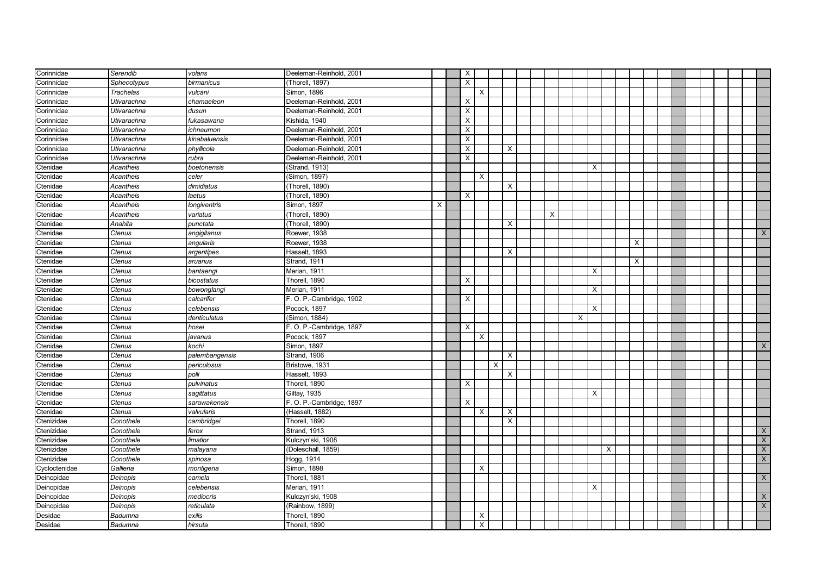| Corinnidae    | Serendib         | volans         | Deeleman-Reinhold, 2001  |   | X                         |   |   |                           |  |   |   |   |          |   |  |  |  |                |
|---------------|------------------|----------------|--------------------------|---|---------------------------|---|---|---------------------------|--|---|---|---|----------|---|--|--|--|----------------|
| Corinnidae    | Sphecotypus      | birmanicus     | (Thorell, 1897)          |   | $\boldsymbol{\mathsf{x}}$ |   |   |                           |  |   |   |   |          |   |  |  |  |                |
| Corinnidae    | <b>Trachelas</b> | vulcani        | Simon, 1896              |   |                           | X |   |                           |  |   |   |   |          |   |  |  |  |                |
| Corinnidae    | Utivarachna      | chamaeleon     | Deeleman-Reinhold, 2001  |   | $\times$                  |   |   |                           |  |   |   |   |          |   |  |  |  |                |
| Corinnidae    | Utivarachna      | dusun          | Deeleman-Reinhold, 2001  |   | $\times$                  |   |   |                           |  |   |   |   |          |   |  |  |  |                |
| Corinnidae    | Utivarachna      | fukasawana     | Kishida, 1940            |   | $\times$                  |   |   |                           |  |   |   |   |          |   |  |  |  |                |
| Corinnidae    | Utivarachna      | ichneumon      | Deeleman-Reinhold, 2001  |   | $\times$                  |   |   |                           |  |   |   |   |          |   |  |  |  |                |
| Corinnidae    | Utivarachna      | kinabaluensis  | Deeleman-Reinhold, 2001  |   | X                         |   |   |                           |  |   |   |   |          |   |  |  |  |                |
| Corinnidae    | Utivarachna      | phyllicola     | Deeleman-Reinhold, 2001  |   | X                         |   |   | $\times$                  |  |   |   |   |          |   |  |  |  |                |
| Corinnidae    | Utivarachna      | rubra          | Deeleman-Reinhold, 2001  |   | X                         |   |   |                           |  |   |   |   |          |   |  |  |  |                |
| Ctenidae      | Acantheis        | boetonensis    | (Strand, 1913)           |   |                           |   |   |                           |  |   |   | X |          |   |  |  |  |                |
| Ctenidae      | Acantheis        | celer          | (Simon, 1897)            |   |                           | X |   |                           |  |   |   |   |          |   |  |  |  |                |
| Ctenidae      | Acantheis        | dimidiatus     | (Thorell, 1890)          |   |                           |   |   | $\times$                  |  |   |   |   |          |   |  |  |  |                |
| Ctenidae      | Acantheis        | laetus         | (Thorell, 1890)          |   | $\times$                  |   |   |                           |  |   |   |   |          |   |  |  |  |                |
| Ctenidae      | Acantheis        | longiventris   | Simon, 1897              | X |                           |   |   |                           |  |   |   |   |          |   |  |  |  |                |
| Ctenidae      | Acantheis        | variatus       | (Thorell, 1890)          |   |                           |   |   |                           |  | Х |   |   |          |   |  |  |  |                |
| Ctenidae      | Anahita          | punctata       | (Thorell, 1890)          |   |                           |   |   | X                         |  |   |   |   |          |   |  |  |  |                |
| Ctenidae      | Ctenus           | angigitanus    | Roewer, 1938             |   |                           |   |   |                           |  |   |   |   |          |   |  |  |  | $\mathsf{X}$   |
| Ctenidae      | Ctenus           | angularis      | Roewer, 1938             |   |                           |   |   |                           |  |   |   |   |          | X |  |  |  |                |
| Ctenidae      | Ctenus           | argentipes     | Hasselt, 1893            |   |                           |   |   | $\times$                  |  |   |   |   |          |   |  |  |  |                |
| Ctenidae      | Ctenus           | aruanus        | Strand, 1911             |   |                           |   |   |                           |  |   |   |   |          | Χ |  |  |  |                |
| Ctenidae      | Ctenus           | bantaengi      | Merian, 1911             |   |                           |   |   |                           |  |   |   | X |          |   |  |  |  |                |
| Ctenidae      | Ctenus           | bicostatus     | Thorell, 1890            |   | $\times$                  |   |   |                           |  |   |   |   |          |   |  |  |  |                |
| Ctenidae      | Ctenus           | bowonglangi    | Merian, 1911             |   |                           |   |   |                           |  |   |   | X |          |   |  |  |  |                |
| Ctenidae      | Ctenus           | calcarifer     | F. O. P.-Cambridge, 1902 |   | $\times$                  |   |   |                           |  |   |   |   |          |   |  |  |  |                |
| Ctenidae      | Ctenus           | celebensis     | Pocock, 1897             |   |                           |   |   |                           |  |   |   | X |          |   |  |  |  |                |
| Ctenidae      | Ctenus           | denticulatus   | (Simon, 1884)            |   |                           |   |   |                           |  |   | X |   |          |   |  |  |  |                |
| Ctenidae      | Ctenus           | hosei          | F. O. P.-Cambridge, 1897 |   | $\times$                  |   |   |                           |  |   |   |   |          |   |  |  |  |                |
| Ctenidae      | Ctenus           | javanus        | Pocock, 1897             |   |                           | X |   |                           |  |   |   |   |          |   |  |  |  |                |
| Ctenidae      | Ctenus           | kochi          | Simon, 1897              |   |                           |   |   |                           |  |   |   |   |          |   |  |  |  | X              |
| Ctenidae      | Ctenus           | palembangensis | Strand, 1906             |   |                           |   |   | $\times$                  |  |   |   |   |          |   |  |  |  |                |
| Ctenidae      | Ctenus           | periculosus    | Bristowe, 1931           |   |                           |   | X |                           |  |   |   |   |          |   |  |  |  |                |
| Ctenidae      | Ctenus           | polli          | Hasselt, 1893            |   |                           |   |   | $\boldsymbol{\mathsf{X}}$ |  |   |   |   |          |   |  |  |  |                |
| Ctenidae      | Ctenus           | pulvinatus     | Thorell, 1890            |   | $\times$                  |   |   |                           |  |   |   |   |          |   |  |  |  |                |
| Ctenidae      | Ctenus           | sagittatus     | Giltay, 1935             |   |                           |   |   |                           |  |   |   | X |          |   |  |  |  |                |
| Ctenidae      | Ctenus           | sarawakensis   | F. O. P.-Cambridge, 1897 |   | $\times$                  |   |   |                           |  |   |   |   |          |   |  |  |  |                |
| Ctenidae      | Ctenus           | valvularis     | (Hasselt, 1882)          |   |                           | X |   | $\boldsymbol{\mathsf{X}}$ |  |   |   |   |          |   |  |  |  |                |
| Ctenizidae    | Conothele        | cambridgei     | Thorell, 1890            |   |                           |   |   | $\times$                  |  |   |   |   |          |   |  |  |  |                |
| Ctenizidae    | Conothele        | ferox          | <b>Strand, 1913</b>      |   |                           |   |   |                           |  |   |   |   |          |   |  |  |  | $\mathsf{X}$   |
| Ctenizidae    | Conothele        | limatior       | Kulczyn'ski, 1908        |   |                           |   |   |                           |  |   |   |   |          |   |  |  |  | $\mathsf X$    |
| Ctenizidae    | Conothele        | malayana       | (Doleschall, 1859)       |   |                           |   |   |                           |  |   |   |   | $\times$ |   |  |  |  | $\mathsf X$    |
| Ctenizidae    | Conothele        | spinosa        | Hogg, 1914               |   |                           |   |   |                           |  |   |   |   |          |   |  |  |  | $\overline{X}$ |
| Cycloctenidae | Galliena         | montigena      | Simon, 1898              |   |                           | X |   |                           |  |   |   |   |          |   |  |  |  |                |
| Deinopidae    | Deinopis         | camela         | Thorell, 1881            |   |                           |   |   |                           |  |   |   |   |          |   |  |  |  | $\mathsf{X}$   |
| Deinopidae    | Deinopis         | celebensis     | Merian, 1911             |   |                           |   |   |                           |  |   |   | X |          |   |  |  |  |                |
| Deinopidae    | Deinopis         | mediocris      | Kulczyn'ski, 1908        |   |                           |   |   |                           |  |   |   |   |          |   |  |  |  | $\mathsf X$    |
| Deinopidae    | Deinopis         | reticulata     | (Rainbow, 1899)          |   |                           |   |   |                           |  |   |   |   |          |   |  |  |  | $\mathsf X$    |
| Desidae       | Badumna          | exilis         | Thorell, 1890            |   |                           | Χ |   |                           |  |   |   |   |          |   |  |  |  |                |
| Desidae       | Badumna          | hirsuta        | Thorell, 1890            |   |                           | X |   |                           |  |   |   |   |          |   |  |  |  |                |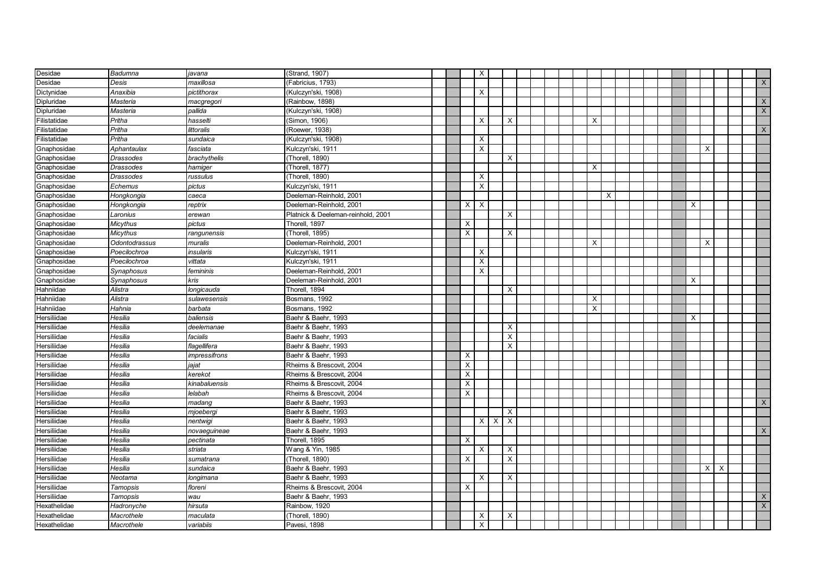| Desidae      | Badumna          | javana        | (Strand, 1907)                     |  |          | $\times$       |                           |  |  |          |          |  |  |   |          |                           |              |
|--------------|------------------|---------------|------------------------------------|--|----------|----------------|---------------------------|--|--|----------|----------|--|--|---|----------|---------------------------|--------------|
| Desidae      | Desis            | maxillosa     | (Fabricius, 1793)                  |  |          |                |                           |  |  |          |          |  |  |   |          |                           | $\mathsf{X}$ |
| Dictynidae   | Anaxibia         | pictithorax   | (Kulczyn'ski, 1908)                |  |          | $\times$       |                           |  |  |          |          |  |  |   |          |                           |              |
| Dipluridae   | Masteria         | macgregori    | (Rainbow, 1898)                    |  |          |                |                           |  |  |          |          |  |  |   |          |                           | $\mathsf{X}$ |
| Dipluridae   | Masteria         | pallida       | Kulczyn'ski, 1908)                 |  |          |                |                           |  |  |          |          |  |  |   |          |                           | $\mathsf{X}$ |
| Filistatidae | Pritha           | hasselti      | (Simon, 1906)                      |  |          | X              | $\boldsymbol{\mathsf{X}}$ |  |  | X        |          |  |  |   |          |                           |              |
| Filistatidae | Pritha           | littoralis    | (Roewer, 1938)                     |  |          |                |                           |  |  |          |          |  |  |   |          |                           | X            |
| Filistatidae | Pritha           | sundaica      | (Kulczyn'ski, 1908)                |  |          | X              |                           |  |  |          |          |  |  |   |          |                           |              |
| Gnaphosidae  | Aphantaulax      | fasciata      | Kulczyn'ski, 1911                  |  |          | X              |                           |  |  |          |          |  |  |   | X        |                           |              |
| Gnaphosidae  | <b>Drassodes</b> | brachythelis  | (Thorell, 1890)                    |  |          |                | $\boldsymbol{\mathsf{X}}$ |  |  |          |          |  |  |   |          |                           |              |
| Gnaphosidae  | Drassodes        | hamiger       | (Thorell, 1877)                    |  |          |                |                           |  |  | X        |          |  |  |   |          |                           |              |
| Gnaphosidae  | <b>Drassodes</b> | russulus      | (Thorell, 1890)                    |  |          | $\times$       |                           |  |  |          |          |  |  |   |          |                           |              |
| Gnaphosidae  | Echemus          | pictus        | Kulczyn'ski, 1911                  |  |          | $\times$       |                           |  |  |          |          |  |  |   |          |                           |              |
| Gnaphosidae  | Hongkongia       | caeca         | Deeleman-Reinhold, 2001            |  |          |                |                           |  |  |          | $\times$ |  |  |   |          |                           |              |
| Gnaphosidae  | Hongkongia       | reptrix       | Deeleman-Reinhold, 2001            |  | X        | X              |                           |  |  |          |          |  |  | X |          |                           |              |
| Gnaphosidae  | Laronius         | erewan        | Platnick & Deeleman-reinhold, 2001 |  |          |                | $\times$                  |  |  |          |          |  |  |   |          |                           |              |
| Gnaphosidae  | <b>Micythus</b>  | pictus        | Thorell, 1897                      |  | X        |                |                           |  |  |          |          |  |  |   |          |                           |              |
| Gnaphosidae  | <b>Micythus</b>  | rangunensis   | (Thorell, 1895)                    |  | $\times$ |                | $\times$                  |  |  |          |          |  |  |   |          |                           |              |
| Gnaphosidae  | Odontodrassus    | muralis       | Deeleman-Reinhold, 2001            |  |          |                |                           |  |  | Х        |          |  |  |   | X        |                           |              |
| Gnaphosidae  | Poecilochroa     | insularis     | Kulczyn'ski, 1911                  |  |          | X              |                           |  |  |          |          |  |  |   |          |                           |              |
| Gnaphosidae  | Poecilochroa     | vittata       | Kulczyn'ski, 1911                  |  |          | X              |                           |  |  |          |          |  |  |   |          |                           |              |
| Gnaphosidae  | Synaphosus       | femininis     | Deeleman-Reinhold, 2001            |  |          | $\overline{X}$ |                           |  |  |          |          |  |  |   |          |                           |              |
| Gnaphosidae  | Synaphosus       | kris          | Deeleman-Reinhold, 2001            |  |          |                |                           |  |  |          |          |  |  | X |          |                           |              |
| Hahniidae    | Alistra          | longicauda    | Thorell, 1894                      |  |          |                | $\times$                  |  |  |          |          |  |  |   |          |                           |              |
| Hahniidae    | Alistra          | sulawesensis  | Bosmans, 1992                      |  |          |                |                           |  |  | X        |          |  |  |   |          |                           |              |
| Hahniidae    | Hahnia           | barbata       | Bosmans, 1992                      |  |          |                |                           |  |  | $\times$ |          |  |  |   |          |                           |              |
| Hersiliidae  | Hesilia          | baliensis     | Baehr & Baehr, 1993                |  |          |                |                           |  |  |          |          |  |  | X |          |                           |              |
| Hersiliidae  | Hesilia          | deelemanae    | Baehr & Baehr, 1993                |  |          |                | X                         |  |  |          |          |  |  |   |          |                           |              |
| Hersiliidae  | Hesilia          | facialis      | Baehr & Baehr, 1993                |  |          |                | X                         |  |  |          |          |  |  |   |          |                           |              |
| Hersiliidae  | Hesilia          | flagellifera  | Baehr & Baehr, 1993                |  |          |                | X                         |  |  |          |          |  |  |   |          |                           |              |
| Hersiliidae  | Hesilia          | impressifrons | Baehr & Baehr, 1993                |  | X        |                |                           |  |  |          |          |  |  |   |          |                           |              |
| Hersiliidae  | Hesilia          | iajat         | Rheims & Brescovit, 2004           |  | $\times$ |                |                           |  |  |          |          |  |  |   |          |                           |              |
| Hersiliidae  | Hesilia          | kerekot       | Rheims & Brescovit, 2004           |  | $\times$ |                |                           |  |  |          |          |  |  |   |          |                           |              |
| Hersiliidae  | Hesilia          | kinabaluensis | Rheims & Brescovit, 2004           |  | $\times$ |                |                           |  |  |          |          |  |  |   |          |                           |              |
| Hersiliidae  | Hesilia          | lelabah       | Rheims & Brescovit, 2004           |  | $\times$ |                |                           |  |  |          |          |  |  |   |          |                           |              |
| Hersiliidae  | Hesilia          | madang        | Baehr & Baehr, 1993                |  |          |                |                           |  |  |          |          |  |  |   |          |                           | X            |
| Hersiliidae  | Hesilia          | mjoebergi     | Baehr & Baehr, 1993                |  |          |                | $\boldsymbol{\mathsf{X}}$ |  |  |          |          |  |  |   |          |                           |              |
| Hersiliidae  | Hesilia          | nentwigi      | Baehr & Baehr, 1993                |  |          | $\times$       | X<br>$\times$             |  |  |          |          |  |  |   |          |                           |              |
| Hersiliidae  | Hesilia          | novaeguineae  | Baehr & Baehr, 1993                |  |          |                |                           |  |  |          |          |  |  |   |          |                           | $\times$     |
| Hersiliidae  | Hesilia          | pectinata     | Thorell, 1895                      |  | X        |                |                           |  |  |          |          |  |  |   |          |                           |              |
| Hersiliidae  | Hesilia          | striata       | Wang & Yin, 1985                   |  |          | X              | $\times$                  |  |  |          |          |  |  |   |          |                           |              |
| Hersiliidae  | Hesilia          | sumatrana     | (Thorell, 1890)                    |  | X        |                | X                         |  |  |          |          |  |  |   |          |                           |              |
| Hersiliidae  | Hesilia          | sundaica      | Baehr & Baehr, 1993                |  |          |                |                           |  |  |          |          |  |  |   | $\times$ | $\boldsymbol{\mathsf{X}}$ |              |
| Hersiliidae  | Neotama          | longimana     | Baehr & Baehr, 1993                |  |          | X              | X                         |  |  |          |          |  |  |   |          |                           |              |
| Hersiliidae  | Tamopsis         | floreni       | Rheims & Brescovit, 2004           |  | X        |                |                           |  |  |          |          |  |  |   |          |                           |              |
| Hersiliidae  | Tamopsis         | wau           | Baehr & Baehr, 1993                |  |          |                |                           |  |  |          |          |  |  |   |          |                           | X            |
| Hexathelidae | Hadronyche       | hirsuta       | Rainbow, 1920                      |  |          |                |                           |  |  |          |          |  |  |   |          |                           | X            |
| Hexathelidae | Macrothele       | maculata      | (Thorell, 1890)                    |  |          | X              | X                         |  |  |          |          |  |  |   |          |                           |              |
| Hexathelidae | Macrothele       | variabiis     | Pavesi, 1898                       |  |          | X              |                           |  |  |          |          |  |  |   |          |                           |              |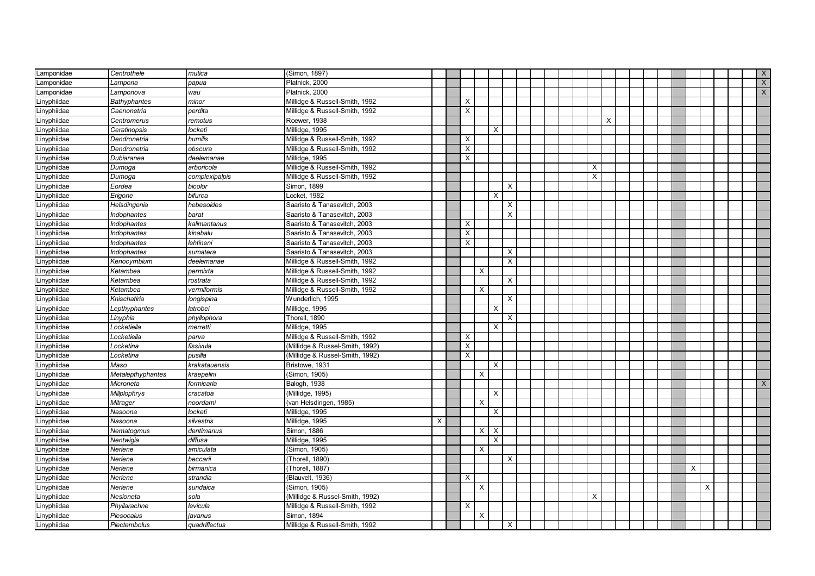| Lamponidae  | Centrothele              | mutica         | (Simon, 1897)                   |   |                |              |          |          |  |  |          |   |  |  |   |   |  | X            |
|-------------|--------------------------|----------------|---------------------------------|---|----------------|--------------|----------|----------|--|--|----------|---|--|--|---|---|--|--------------|
| Lamponidae  | Lampona                  | papua          | Platnick, 2000                  |   |                |              |          |          |  |  |          |   |  |  |   |   |  | $\mathsf{X}$ |
| Lamponidae  | Lamponova                | wau            | Platnick, 2000                  |   |                |              |          |          |  |  |          |   |  |  |   |   |  | X            |
| Linyphiidae | <b>Bathyphantes</b>      | minor          | Millidge & Russell-Smith, 1992  |   | $\times$       |              |          |          |  |  |          |   |  |  |   |   |  |              |
| Linyphiidae | Caenonetria              | perdita        | Millidge & Russell-Smith, 1992  |   | X              |              |          |          |  |  |          |   |  |  |   |   |  |              |
| Linyphiidae | Centromerus              | remotus        | Roewer, 1938                    |   |                |              |          |          |  |  |          | Х |  |  |   |   |  |              |
| Linyphiidae | Ceratinopsis             | locketi        | Millidge, 1995                  |   |                |              | Χ        |          |  |  |          |   |  |  |   |   |  |              |
| Linyphiidae | Dendronetria             | humilis        | Millidge & Russell-Smith, 1992  |   | X              |              |          |          |  |  |          |   |  |  |   |   |  |              |
| Linyphiidae | Dendronetria             | obscura        | Millidge & Russell-Smith, 1992  |   | X              |              |          |          |  |  |          |   |  |  |   |   |  |              |
| Linyphiidae | Dubiaranea               | deelemanae     | Millidge, 1995                  |   | $\times$       |              |          |          |  |  |          |   |  |  |   |   |  |              |
| Linyphiidae | Dumoga                   | arboricola     | Millidge & Russell-Smith, 1992  |   |                |              |          |          |  |  | X        |   |  |  |   |   |  |              |
| Linyphiidae | Dumoga                   | complexipalpis | Millidge & Russell-Smith, 1992  |   |                |              |          |          |  |  | $\times$ |   |  |  |   |   |  |              |
| Linyphiidae | Eordea                   | bicolor        | Simon, 1899                     |   |                |              |          | X        |  |  |          |   |  |  |   |   |  |              |
| Linyphiidae | Erigone                  | bifurca        | Locket, 1982                    |   |                |              | $\times$ |          |  |  |          |   |  |  |   |   |  |              |
| Linyphiidae | Helsdingenia             | hebesoides     | Saaristo & Tanasevitch, 2003    |   |                |              |          | X        |  |  |          |   |  |  |   |   |  |              |
| Linyphiidae | Indophantes              | barat          | Saaristo & Tanasevitch, 2003    |   |                |              |          | X        |  |  |          |   |  |  |   |   |  |              |
| Linyphiidae | Indophantes              | kalimantanus   | Saaristo & Tanasevitch, 2003    |   | X              |              |          |          |  |  |          |   |  |  |   |   |  |              |
| Linyphiidae | Indophantes              | kinabalu       | Saaristo & Tanasevitch, 2003    |   | $\pmb{\times}$ |              |          |          |  |  |          |   |  |  |   |   |  |              |
| Linyphiidae | Indophantes              | lehtineni      | Saaristo & Tanasevitch, 2003    |   | Χ              |              |          |          |  |  |          |   |  |  |   |   |  |              |
| Linyphiidae | Indophantes              | sumatera       | Saaristo & Tanasevitch, 2003    |   |                |              |          | X        |  |  |          |   |  |  |   |   |  |              |
| Linyphiidae | Kenocymbium              | deelemanae     | Millidge & Russell-Smith, 1992  |   |                |              |          | $\times$ |  |  |          |   |  |  |   |   |  |              |
| Linyphiidae | Ketambea                 | permixta       | Millidge & Russell-Smith, 1992  |   |                | $\times$     |          |          |  |  |          |   |  |  |   |   |  |              |
| Linyphiidae | Ketambea                 | rostrata       | Millidge & Russell-Smith, 1992  |   |                |              |          | $\times$ |  |  |          |   |  |  |   |   |  |              |
| Linyphiidae | Ketambea                 | vermiformis    | Millidge & Russell-Smith, 1992  |   |                | $\times$     |          |          |  |  |          |   |  |  |   |   |  |              |
| Linyphiidae | Knischatiria             | longispina     | Wunderlich, 1995                |   |                |              |          | $\times$ |  |  |          |   |  |  |   |   |  |              |
| Linyphiidae | -epthyphantes            | latrobei       | Millidge, 1995                  |   |                |              | х        |          |  |  |          |   |  |  |   |   |  |              |
| Linyphiidae | Linyphia                 | phyllophora    | Thorell, 1890                   |   |                |              |          | X        |  |  |          |   |  |  |   |   |  |              |
| Linyphiidae | Locketiella              | merretti       | Millidge, 1995                  |   |                |              | X        |          |  |  |          |   |  |  |   |   |  |              |
| Linyphiidae | Locketiella              | parva          | Millidge & Russell-Smith, 1992  |   | X              |              |          |          |  |  |          |   |  |  |   |   |  |              |
| Linyphiidae | Locketina                | fissivula      | (Millidge & Russel-Smith, 1992) |   | х              |              |          |          |  |  |          |   |  |  |   |   |  |              |
| Linyphiidae | Locketina                | pusilla        | (Millidge & Russel-Smith, 1992) |   | X              |              |          |          |  |  |          |   |  |  |   |   |  |              |
| Linyphiidae | Maso                     | krakatauensis  | Bristowe, 1931                  |   |                |              | X        |          |  |  |          |   |  |  |   |   |  |              |
| Linyphiidae | <b>Metalepthyphantes</b> | kraepelini     | (Simon, 1905)                   |   |                | $\times$     |          |          |  |  |          |   |  |  |   |   |  |              |
| Linyphiidae | Microneta                | formicaria     | Balogh, 1938                    |   |                |              |          |          |  |  |          |   |  |  |   |   |  | $\times$     |
| Linyphiidae | Millplophrys             | cracatoa       | (Millidge, 1995)                |   |                |              | $\times$ |          |  |  |          |   |  |  |   |   |  |              |
| Linyphiidae | Mitrager                 | noordami       | (van Helsdingen, 1985)          |   |                | $\times$     |          |          |  |  |          |   |  |  |   |   |  |              |
| Linyphiidae | Nasoona                  | locketi        | Millidge, 1995                  |   |                |              | X        |          |  |  |          |   |  |  |   |   |  |              |
| Linyphiidae | Nasoona                  | silvestris     | Millidge, 1995                  | Χ |                |              |          |          |  |  |          |   |  |  |   |   |  |              |
| Linyphiidae | Nematogmus               | dentimanus     | Simon, 1886                     |   |                | $\mathsf{X}$ | $\times$ |          |  |  |          |   |  |  |   |   |  |              |
| Linyphiidae | Nentwigia                | diffusa        | Millidge, 1995                  |   |                |              | X        |          |  |  |          |   |  |  |   |   |  |              |
| Linyphiidae | Neriene                  | amiculata      | Simon, 1905)                    |   |                | $\times$     |          |          |  |  |          |   |  |  |   |   |  |              |
| Linyphiidae | Neriene                  | beccarii       | (Thorell, 1890)                 |   |                |              |          | X        |  |  |          |   |  |  |   |   |  |              |
| Linyphiidae | Neriene                  | birmanica      | Thorell, 1887)                  |   |                |              |          |          |  |  |          |   |  |  | X |   |  |              |
| Linyphiidae | Neriene                  | strandia       | (Blauvelt, 1936)                |   | X              |              |          |          |  |  |          |   |  |  |   |   |  |              |
| Linyphiidae | Neriene                  | sundaica       | (Simon, 1905)                   |   |                | $\times$     |          |          |  |  |          |   |  |  |   | X |  |              |
| Linyphiidae | Nesioneta                | sola           | (Millidge & Russel-Smith, 1992) |   |                |              |          |          |  |  | X        |   |  |  |   |   |  |              |
| Linyphiidae | Phyllarachne             | levicula       | Millidge & Russell-Smith, 1992  |   | X              |              |          |          |  |  |          |   |  |  |   |   |  |              |
| Linyphiidae | Piesocalus               | javanus        | Simon, 1894                     |   |                | $\times$     |          |          |  |  |          |   |  |  |   |   |  |              |
| Linyphiidae | Plectembolus             | quadriflectus  | Millidge & Russell-Smith, 1992  |   |                |              |          | $\times$ |  |  |          |   |  |  |   |   |  |              |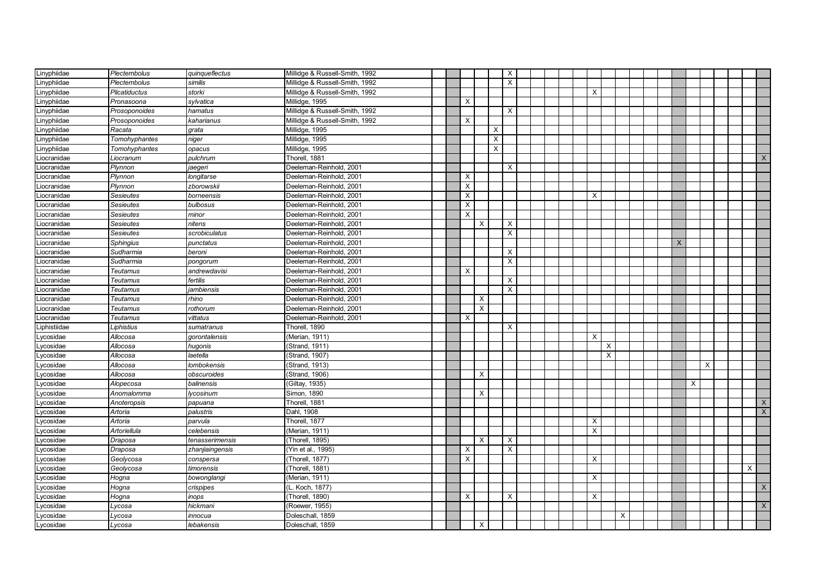| Linyphiidae  | Plectembolus     | quinqueflectus  | Millidge & Russell-Smith, 1992 |  |          |                           |          | $\boldsymbol{\mathsf{X}}$ |  |          |          |   |  |          |          |   |  |              |
|--------------|------------------|-----------------|--------------------------------|--|----------|---------------------------|----------|---------------------------|--|----------|----------|---|--|----------|----------|---|--|--------------|
| Linyphiidae  | Plectembolus     | similis         | Millidge & Russell-Smith, 1992 |  |          |                           |          | $\times$                  |  |          |          |   |  |          |          |   |  |              |
| Linyphiidae  | Plicatiductus    | storki          | Millidge & Russell-Smith, 1992 |  |          |                           |          |                           |  | X        |          |   |  |          |          |   |  |              |
| Linyphiidae  | Pronasoona       | sylvatica       | Millidge, 1995                 |  | $\times$ |                           |          |                           |  |          |          |   |  |          |          |   |  |              |
| Linyphiidae  | Prosoponoides    | hamatus         | Millidge & Russell-Smith, 1992 |  |          |                           |          | X                         |  |          |          |   |  |          |          |   |  |              |
| Linyphiidae  | Prosoponoides    | kaharianus      | Millidge & Russell-Smith, 1992 |  | X        |                           |          |                           |  |          |          |   |  |          |          |   |  |              |
| Linyphiidae  | Racata           | grata           | Millidge, 1995                 |  |          |                           | Х        |                           |  |          |          |   |  |          |          |   |  |              |
| Linyphiidae  | Tomohyphantes    | niger           | Millidge, 1995                 |  |          |                           | $\times$ |                           |  |          |          |   |  |          |          |   |  |              |
| Linyphiidae  | Tomohyphantes    | opacus          | Millidge, 1995                 |  |          |                           | X        |                           |  |          |          |   |  |          |          |   |  |              |
| Liocranidae  | Liocranum        | pulchrum        | Thorell, 1881                  |  |          |                           |          |                           |  |          |          |   |  |          |          |   |  | $\times$     |
| Liocranidae  | Plynnon          | aegeri          | Deeleman-Reinhold, 2001        |  |          |                           |          | $\times$                  |  |          |          |   |  |          |          |   |  |              |
| Liocranidae  | Plynnon          | longitarse      | Deeleman-Reinhold, 2001        |  | $\times$ |                           |          |                           |  |          |          |   |  |          |          |   |  |              |
| Liocranidae  | Plynnon          | zborowskii      | Deeleman-Reinhold, 2001        |  | X        |                           |          |                           |  |          |          |   |  |          |          |   |  |              |
| Liocranidae  | <b>Sesieutes</b> | borneensis      | Deeleman-Reinhold, 2001        |  | $\times$ |                           |          |                           |  | X        |          |   |  |          |          |   |  |              |
| Liocranidae  | Sesieutes        | bulbosus        | Deeleman-Reinhold, 2001        |  | X        |                           |          |                           |  |          |          |   |  |          |          |   |  |              |
| Liocranidae  | Sesieutes        | minor           | Deeleman-Reinhold, 2001        |  | $\times$ |                           |          |                           |  |          |          |   |  |          |          |   |  |              |
| Liocranidae  | <b>Sesieutes</b> | nitens          | Deeleman-Reinhold, 2001        |  |          | X                         |          | $\times$                  |  |          |          |   |  |          |          |   |  |              |
| Liocranidae  | Sesieutes        | scrobiculatus   | Deeleman-Reinhold, 2001        |  |          |                           |          | $\pmb{\times}$            |  |          |          |   |  |          |          |   |  |              |
| Liocranidae  | Sphingius        | punctatus       | Deeleman-Reinhold, 2001        |  |          |                           |          |                           |  |          |          |   |  | $\times$ |          |   |  |              |
| Liocranidae  | Sudharmia        | beroni          | Deeleman-Reinhold, 2001        |  |          |                           |          | $\times$                  |  |          |          |   |  |          |          |   |  |              |
| Liocranidae  | Sudharmia        | pongorum        | Deeleman-Reinhold, 2001        |  |          |                           |          | $\times$                  |  |          |          |   |  |          |          |   |  |              |
| iocranidae   | Teutamus         | andrewdavisi    | Deeleman-Reinhold, 2001        |  | $\times$ |                           |          |                           |  |          |          |   |  |          |          |   |  |              |
| Liocranidae  | <b>Teutamus</b>  | fertilis        | Deeleman-Reinhold, 2001        |  |          |                           |          | $\times$                  |  |          |          |   |  |          |          |   |  |              |
| Liocranidae  | <b>Teutamus</b>  | iambiensis      | Deeleman-Reinhold, 2001        |  |          |                           |          | $\times$                  |  |          |          |   |  |          |          |   |  |              |
| Liocranidae  | Teutamus         | rhino           | Deeleman-Reinhold, 2001        |  |          | X                         |          |                           |  |          |          |   |  |          |          |   |  |              |
| Liocranidae  | Teutamus         | rothorum        | Deeleman-Reinhold, 2001        |  |          | $\boldsymbol{\mathsf{X}}$ |          |                           |  |          |          |   |  |          |          |   |  |              |
| Liocranidae  | Teutamus         | vittatus        | Deeleman-Reinhold, 2001        |  | X        |                           |          |                           |  |          |          |   |  |          |          |   |  |              |
| Liphistiidae | Liphistius       | sumatranus      | Thorell, 1890                  |  |          |                           |          | $\times$                  |  |          |          |   |  |          |          |   |  |              |
| Lycosidae    | Allocosa         | gorontalensis   | (Merian, 1911)                 |  |          |                           |          |                           |  | X        |          |   |  |          |          |   |  |              |
| Lycosidae    | Allocosa         | hugonis         | (Strand, 1911)                 |  |          |                           |          |                           |  |          | X        |   |  |          |          |   |  |              |
| Lycosidae    | Allocosa         | laetella        | (Strand, 1907)                 |  |          |                           |          |                           |  |          | $\times$ |   |  |          |          |   |  |              |
| Lycosidae    | Allocosa         | lombokensis     | (Strand, 1913)                 |  |          |                           |          |                           |  |          |          |   |  |          |          | X |  |              |
| Lycosidae    | Allocosa         | obscuroides     | Strand, 1906)                  |  |          | $\times$                  |          |                           |  |          |          |   |  |          |          |   |  |              |
| Lycosidae    | Alopecosa        | balinensis      | Giltay, 1935)                  |  |          |                           |          |                           |  |          |          |   |  |          | $\times$ |   |  |              |
| Lycosidae    | Anomalomma       | lycosinum       | Simon, 1890                    |  |          | X                         |          |                           |  |          |          |   |  |          |          |   |  |              |
| Lycosidae    | Anoteropsis      | papuana         | Thorell, 1881                  |  |          |                           |          |                           |  |          |          |   |  |          |          |   |  | X            |
| Lycosidae    | Artoria          | palustris       | Dahl, 1908                     |  |          |                           |          |                           |  |          |          |   |  |          |          |   |  | $\mathsf{x}$ |
| ycosidae.    | Artoria          | parvula         | Thorell, 1877                  |  |          |                           |          |                           |  | X        |          |   |  |          |          |   |  |              |
| ycosidae     | Artoriellula     | celebensis      | (Merian, 1911)                 |  |          |                           |          |                           |  | $\times$ |          |   |  |          |          |   |  |              |
| ycosidae     | Draposa          | tenasserimensis | (Thorell, 1895)                |  |          | X                         |          | $\times$                  |  |          |          |   |  |          |          |   |  |              |
| ycosidae     | Draposa          | zhanjiaingensis | Yin et al., 1995)              |  | $\times$ |                           |          | $\times$                  |  |          |          |   |  |          |          |   |  |              |
| ycosidae     | Geolycosa        | conspersa       | Thorell, 1877)                 |  | X        |                           |          |                           |  | X        |          |   |  |          |          |   |  |              |
| ycosidae     | Geolycosa        | timorensis      | Thorell, 1881)                 |  |          |                           |          |                           |  |          |          |   |  |          |          |   |  | X            |
| ycosidae.    | Hogna            | bowonglangi     | (Merian, 1911)                 |  |          |                           |          |                           |  | X        |          |   |  |          |          |   |  |              |
| ycosidae     | Hogna            | crispipes       | L. Koch, 1877)                 |  |          |                           |          |                           |  |          |          |   |  |          |          |   |  | X            |
| ycosidae     | Hogna            | inops           | (Thorell, 1890)                |  | X        |                           |          | Χ                         |  | X        |          |   |  |          |          |   |  |              |
| ycosidae     | ycosa.           | hickmani        | (Roewer, 1955)                 |  |          |                           |          |                           |  |          |          |   |  |          |          |   |  | X            |
| Lycosidae    | _ycosa           | innocua         | Doleschall, 1859               |  |          |                           |          |                           |  |          |          | X |  |          |          |   |  |              |
| Lycosidae    | Lycosa           | lebakensis      | Doleschall, 1859               |  |          | X                         |          |                           |  |          |          |   |  |          |          |   |  |              |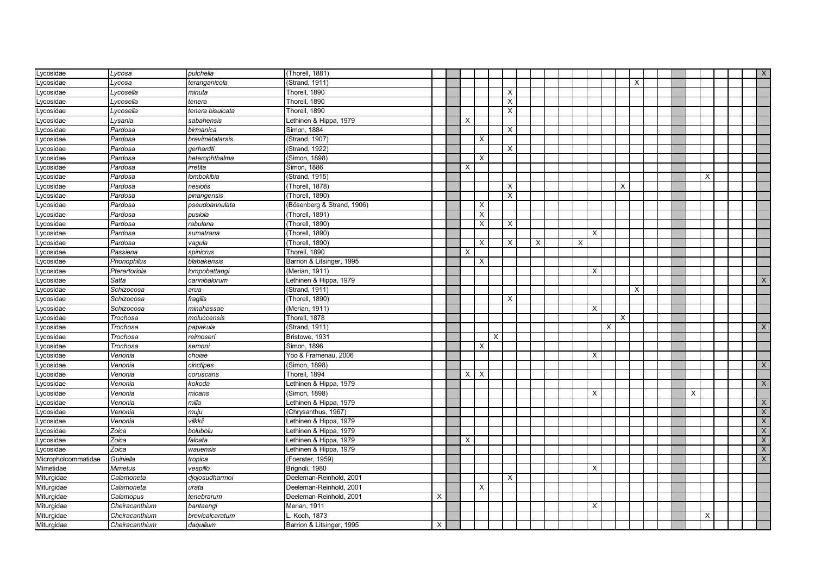| Lycosidae           | Lycosa         | pulchella        | (Thorell, 1881)            |   |          |                           |   |                           |   |   |          |   |                           |   |  |   |          |  | $\mathsf{X}$              |
|---------------------|----------------|------------------|----------------------------|---|----------|---------------------------|---|---------------------------|---|---|----------|---|---------------------------|---|--|---|----------|--|---------------------------|
| vcosidae            | Lycosa         | teranganicola    | (Strand, 1911)             |   |          |                           |   |                           |   |   |          |   |                           | X |  |   |          |  |                           |
| ycosidae            | _ycosella      | minuta           | Thorell, 1890              |   |          |                           |   | X                         |   |   |          |   |                           |   |  |   |          |  |                           |
| ycosidae            | Lycosella      | tenera           | Thorell, 1890              |   |          |                           |   | X                         |   |   |          |   |                           |   |  |   |          |  |                           |
| ycosidae            | _ycosella      | tenera bisulcata | Thorell, 1890              |   |          |                           |   | $\boldsymbol{\mathsf{X}}$ |   |   |          |   |                           |   |  |   |          |  |                           |
| Lycosidae           | Lysania        | sabahensis       | Lethinen & Hippa, 1979     |   | Х        |                           |   |                           |   |   |          |   |                           |   |  |   |          |  |                           |
| ycosidae.           | Pardosa        | birmanica        | Simon, 1884                |   |          |                           |   | X                         |   |   |          |   |                           |   |  |   |          |  |                           |
| Lycosidae           | Pardosa        | brevimetatarsis  | (Strand, 1907)             |   |          | X                         |   |                           |   |   |          |   |                           |   |  |   |          |  |                           |
| Lycosidae           | Pardosa        | gerhardti        | (Strand, 1922)             |   |          |                           |   | X                         |   |   |          |   |                           |   |  |   |          |  |                           |
| Lycosidae           | Pardosa        | heterophthalma   | (Simon, 1898)              |   |          | $\times$                  |   |                           |   |   |          |   |                           |   |  |   |          |  |                           |
| Lycosidae           | Pardosa        | irretita         | Simon, 1886                |   | X        |                           |   |                           |   |   |          |   |                           |   |  |   |          |  |                           |
| Lycosidae           | Pardosa        | lombokibia       | (Strand, 1915)             |   |          |                           |   |                           |   |   |          |   |                           |   |  |   | $\times$ |  |                           |
| Lycosidae           | Pardosa        | nesiotis         | (Thorell, 1878)            |   |          |                           |   | X                         |   |   |          |   | X                         |   |  |   |          |  |                           |
| Lycosidae           | Pardosa        | pinangensis      | (Thorell, 1890)            |   |          |                           |   | $\times$                  |   |   |          |   |                           |   |  |   |          |  |                           |
| Lycosidae           | Pardosa        | pseudoannulata   | (Bösenberg & Strand, 1906) |   |          | X                         |   |                           |   |   |          |   |                           |   |  |   |          |  |                           |
| Lycosidae           | Pardosa        | pusiola          | (Thorell, 1891)            |   |          | X                         |   |                           |   |   |          |   |                           |   |  |   |          |  |                           |
| Lycosidae           | Pardosa        | rabulana         | (Thorell, 1890)            |   |          | $\boldsymbol{\mathsf{X}}$ |   | $\times$                  |   |   |          |   |                           |   |  |   |          |  |                           |
| ycosidae.           | Pardosa        | sumatrana        | (Thorell, 1890)            |   |          |                           |   |                           |   |   | $\times$ |   |                           |   |  |   |          |  |                           |
| ycosidae.           | Pardosa        | vagula           | (Thorell, 1890)            |   |          | X                         |   | X                         | Х | X |          |   |                           |   |  |   |          |  |                           |
| vcosidae.           | Passiena       | spinicrus        | Thorell, 1890              |   | $\times$ |                           |   |                           |   |   |          |   |                           |   |  |   |          |  |                           |
| ycosidae            | Phonophilus    | blabakensis      | Barrion & Litsinger, 1995  |   |          | X                         |   |                           |   |   |          |   |                           |   |  |   |          |  |                           |
| ycosidae            | Pterartoriola  | lompobattangi    | (Merian, 1911)             |   |          |                           |   |                           |   |   | $\times$ |   |                           |   |  |   |          |  |                           |
| ycosidae            | Satta          | cannibalorum     | Lethinen & Hippa, 1979     |   |          |                           |   |                           |   |   |          |   |                           |   |  |   |          |  | $\boldsymbol{\mathsf{X}}$ |
| ycosidae            | Schizocosa     | arua             | (Strand, 1911)             |   |          |                           |   |                           |   |   |          |   |                           | X |  |   |          |  |                           |
| ycosidae            | Schizocosa     | fragilis         | (Thorell, 1890)            |   |          |                           |   | X                         |   |   |          |   |                           |   |  |   |          |  |                           |
| ycosidae            | Schizocosa     | minahassae       | (Merian, 1911)             |   |          |                           |   |                           |   |   | Х        |   |                           |   |  |   |          |  |                           |
| Lycosidae           | Trochosa       | moluccensis      | Thorell, 1878              |   |          |                           |   |                           |   |   |          |   | $\boldsymbol{\mathsf{X}}$ |   |  |   |          |  |                           |
| Lycosidae           | Trochosa       | papakula         | (Strand, 1911)             |   |          |                           |   |                           |   |   |          | X |                           |   |  |   |          |  | $\mathsf{X}$              |
| Lycosidae           | Trochosa       | reimoseri        | Bristowe, 1931             |   |          |                           | X |                           |   |   |          |   |                           |   |  |   |          |  |                           |
| Lycosidae           | Trochosa       | semoni           | Simon, 1896                |   |          | X                         |   |                           |   |   |          |   |                           |   |  |   |          |  |                           |
| Lycosidae           | Venonia        | choiae           | Yoo & Framenau, 2006       |   |          |                           |   |                           |   |   | X        |   |                           |   |  |   |          |  |                           |
| Lycosidae           | Venonia        | cinctipes        | (Simon, 1898)              |   |          |                           |   |                           |   |   |          |   |                           |   |  |   |          |  | $\mathsf{X}$              |
| Lycosidae           | Venonia        | coruscans        | Thorell, 1894              |   | $\times$ | $\times$                  |   |                           |   |   |          |   |                           |   |  |   |          |  |                           |
| Lycosidae           | Venonia        | kokoda           | Lethinen & Hippa, 1979     |   |          |                           |   |                           |   |   |          |   |                           |   |  |   |          |  | $\boldsymbol{\mathsf{X}}$ |
| Lycosidae           | Venonia        | micans           | (Simon, 1898)              |   |          |                           |   |                           |   |   | X        |   |                           |   |  | X |          |  |                           |
| Lycosidae           | Venonia        | milla            | Lethinen & Hippa, 1979     |   |          |                           |   |                           |   |   |          |   |                           |   |  |   |          |  | $\boldsymbol{\mathsf{X}}$ |
| Lycosidae           | Venonia        | muju             | (Chrysanthus, 1967)        |   |          |                           |   |                           |   |   |          |   |                           |   |  |   |          |  | $\mathsf X$               |
| Lycosidae           | Venonia        | vilkkii          | Lethinen & Hippa, 1979     |   |          |                           |   |                           |   |   |          |   |                           |   |  |   |          |  | $\overline{\mathsf{x}}$   |
| ycosidae            | Zoica          | bolubolu         | Lethinen & Hippa, 1979     |   |          |                           |   |                           |   |   |          |   |                           |   |  |   |          |  | $\boldsymbol{\mathsf{X}}$ |
| ycosidae.           | Zoica          | falcata          | Lethinen & Hippa, 1979     |   | X        |                           |   |                           |   |   |          |   |                           |   |  |   |          |  | $\mathsf X$               |
| vcosidae            | Zoica          | wauensis         | Lethinen & Hippa, 1979     |   |          |                           |   |                           |   |   |          |   |                           |   |  |   |          |  | $\mathsf X$               |
| Micropholcommatidae | Guiniella      | tropica          | (Foerster, 1959)           |   |          |                           |   |                           |   |   |          |   |                           |   |  |   |          |  | $\boldsymbol{\mathsf{X}}$ |
| Mimetidae           | Mimetus        | vespillo         | Brignoli, 1980             |   |          |                           |   |                           |   |   | X        |   |                           |   |  |   |          |  |                           |
| Miturgidae          | Calamoneta     | djojosudharmoi   | Deeleman-Reinhold, 2001    |   |          |                           |   | X                         |   |   |          |   |                           |   |  |   |          |  |                           |
| Miturgidae          | Calamoneta     | urata            | Deeleman-Reinhold, 2001    |   |          | X                         |   |                           |   |   |          |   |                           |   |  |   |          |  |                           |
| Miturgidae          | Calamopus      | tenebrarum       | Deeleman-Reinhold, 2001    | х |          |                           |   |                           |   |   |          |   |                           |   |  |   |          |  |                           |
| Miturgidae          | Cheiracanthium | bantaengi        | Merian, 1911               |   |          |                           |   |                           |   |   | X        |   |                           |   |  |   |          |  |                           |
| Miturgidae          | Cheiracanthium | brevicalcaratum  | Koch, 1873                 |   |          |                           |   |                           |   |   |          |   |                           |   |  |   | $\times$ |  |                           |
| Miturgidae          | Cheiracanthium | daquilium        | Barrion & Litsinger, 1995  | X |          |                           |   |                           |   |   |          |   |                           |   |  |   |          |  |                           |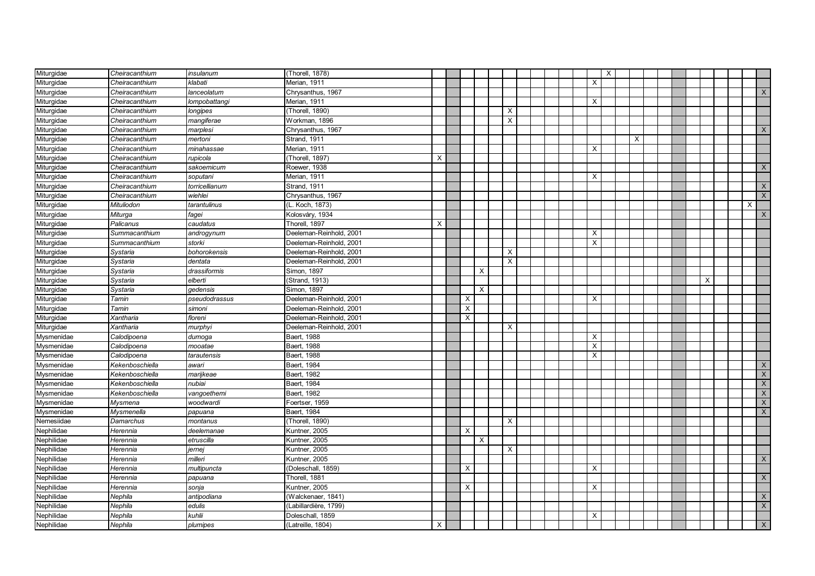| Miturgidae | Cheiracanthium  | insulanum      | (Thorell, 1878)         |   |          |          |                           |  |  |                           | $\mathsf{X}$ |   |  |          |   |                |
|------------|-----------------|----------------|-------------------------|---|----------|----------|---------------------------|--|--|---------------------------|--------------|---|--|----------|---|----------------|
| Miturgidae | Cheiracanthium  | klabati        | Merian, 1911            |   |          |          |                           |  |  | $\times$                  |              |   |  |          |   |                |
| Miturgidae | Cheiracanthium  | lanceolatum    | Chrysanthus, 1967       |   |          |          |                           |  |  |                           |              |   |  |          |   | $\mathsf{X}$   |
| Miturgidae | Cheiracanthium  | lompobattangi  | Merian, 1911            |   |          |          |                           |  |  | X                         |              |   |  |          |   |                |
| Miturgidae | Cheiracanthium  | longipes       | (Thorell, 1890)         |   |          |          | X                         |  |  |                           |              |   |  |          |   |                |
| Miturgidae | Cheiracanthium  | mangiferae     | Workman, 1896           |   |          |          | X                         |  |  |                           |              |   |  |          |   |                |
| Miturgidae | Cheiracanthium  | marplesi       | Chrysanthus, 1967       |   |          |          |                           |  |  |                           |              |   |  |          |   | X              |
| Miturgidae | Cheiracanthium  | mertoni        | Strand, 1911            |   |          |          |                           |  |  |                           |              | X |  |          |   |                |
| Miturgidae | Cheiracanthium  | minahassae     | Merian, 1911            |   |          |          |                           |  |  | X                         |              |   |  |          |   |                |
| Miturgidae | Cheiracanthium  | rupicola       | (Thorell, 1897)         | X |          |          |                           |  |  |                           |              |   |  |          |   |                |
| Miturgidae | Cheiracanthium  | sakoemicum     | Roewer, 1938            |   |          |          |                           |  |  |                           |              |   |  |          |   | X              |
| Miturgidae | Cheiracanthium  | soputani       | Merian, 1911            |   |          |          |                           |  |  | X                         |              |   |  |          |   |                |
| Miturgidae | Cheiracanthium  | torricellianum | Strand, 1911            |   |          |          |                           |  |  |                           |              |   |  |          |   | $\times$       |
| Miturgidae | Cheiracanthium  | wiehlei        | Chrysanthus, 1967       |   |          |          |                           |  |  |                           |              |   |  |          |   | X              |
| Miturgidae | Mituliodon      | tarantulinus   | (L. Koch, 1873)         |   |          |          |                           |  |  |                           |              |   |  |          | X |                |
| Miturgidae | Miturga         | fagei          | Kolosváry, 1934         |   |          |          |                           |  |  |                           |              |   |  |          |   | X              |
| Miturgidae | Palicanus       | caudatus       | Thorell, 1897           | X |          |          |                           |  |  |                           |              |   |  |          |   |                |
| Miturgidae | Summacanthium   | androgynum     | Deeleman-Reinhold, 2001 |   |          |          |                           |  |  | $\boldsymbol{\mathsf{X}}$ |              |   |  |          |   |                |
| Miturgidae | Summacanthium   | storki         | Deeleman-Reinhold, 2001 |   |          |          |                           |  |  | X                         |              |   |  |          |   |                |
| Miturgidae | Systaria        | bohorokensis   | Deeleman-Reinhold, 2001 |   |          |          | X                         |  |  |                           |              |   |  |          |   |                |
| Miturgidae | Systaria        | dentata        | Deeleman-Reinhold, 2001 |   |          |          | $\boldsymbol{\mathsf{X}}$ |  |  |                           |              |   |  |          |   |                |
| Miturgidae | Systaria        | drassiformis   | Simon, 1897             |   |          | $\times$ |                           |  |  |                           |              |   |  |          |   |                |
| Miturgidae | Systaria        | elberti        | Strand, 1913)           |   |          |          |                           |  |  |                           |              |   |  | $\times$ |   |                |
| Miturgidae | Systaria        | qedensis       | Simon, 1897             |   |          | $\times$ |                           |  |  |                           |              |   |  |          |   |                |
| Miturgidae | Tamin           | pseudodrassus  | Deeleman-Reinhold, 2001 |   | $\times$ |          |                           |  |  | X                         |              |   |  |          |   |                |
| Miturgidae | Tamin           | simoni         | Deeleman-Reinhold, 2001 |   | X        |          |                           |  |  |                           |              |   |  |          |   |                |
| Miturgidae | Xantharia       | floreni        | Deeleman-Reinhold, 2001 |   | X        |          |                           |  |  |                           |              |   |  |          |   |                |
| Miturgidae | Xantharia       | murphyi        | Deeleman-Reinhold, 2001 |   |          |          | X                         |  |  |                           |              |   |  |          |   |                |
| Mysmenidae | Calodipoena     | dumoga         | Baert, 1988             |   |          |          |                           |  |  | $\boldsymbol{\mathsf{X}}$ |              |   |  |          |   |                |
| Mysmenidae | Calodipoena     | mooatae        | Baert, 1988             |   |          |          |                           |  |  | $\times$                  |              |   |  |          |   |                |
| Mysmenidae | Calodipoena     | tarautensis    | Baert, 1988             |   |          |          |                           |  |  | X                         |              |   |  |          |   |                |
| Mysmenidae | Kekenboschiella | awari          | Baert, 1984             |   |          |          |                           |  |  |                           |              |   |  |          |   | $\mathsf{X}$   |
| Mysmenidae | Kekenboschiella | marijkeae      | Baert, 1982             |   |          |          |                           |  |  |                           |              |   |  |          |   | $\mathsf{X}$   |
| Mysmenidae | Kekenboschiella | nubiai         | Baert, 1984             |   |          |          |                           |  |  |                           |              |   |  |          |   | $\mathsf{X}$   |
| Mysmenidae | Kekenboschiella | vangoethemi    | Baert, 1982             |   |          |          |                           |  |  |                           |              |   |  |          |   | $\mathsf{X}$   |
| Mysmenidae | Mysmena         | woodwardi      | Foertser, 1959          |   |          |          |                           |  |  |                           |              |   |  |          |   | $\mathsf{X}$   |
| Mysmenidae | Mysmenella      | papuana        | Baert, 1984             |   |          |          |                           |  |  |                           |              |   |  |          |   | $\mathsf{X}$   |
| Nemesiidae | Damarchus       | montanus       | (Thorell, 1890)         |   |          |          | $\times$                  |  |  |                           |              |   |  |          |   |                |
| Nephilidae | Herennia        | deelemanae     | Kuntner, 2005           |   | X        |          |                           |  |  |                           |              |   |  |          |   |                |
| Nephilidae | Herennia        | etruscilla     | Kuntner, 2005           |   |          | $\times$ |                           |  |  |                           |              |   |  |          |   |                |
| Nephilidae | Herennia        | jernej         | Kuntner, 2005           |   |          |          | $\times$                  |  |  |                           |              |   |  |          |   |                |
| Nephilidae | Herennia        | milleri        | Kuntner, 2005           |   |          |          |                           |  |  |                           |              |   |  |          |   | $\times$       |
| Nephilidae | Herennia        | multipuncta    | (Doleschall, 1859)      |   | Χ        |          |                           |  |  | X                         |              |   |  |          |   |                |
| Nephilidae | Herennia        | papuana        | Thorell, 1881           |   |          |          |                           |  |  |                           |              |   |  |          |   | $\times$       |
| Nephilidae | Herennia        | sonja          | Kuntner, 2005           |   | X        |          |                           |  |  | X                         |              |   |  |          |   |                |
| Nephilidae | Nephila         | antipodiana    | (Walckenaer, 1841)      |   |          |          |                           |  |  |                           |              |   |  |          |   | $\mathsf{X}^-$ |
| Nephilidae | Nephila         | edulis         | (Labillardière, 1799)   |   |          |          |                           |  |  |                           |              |   |  |          |   | $\mathsf{X}$   |
| Nephilidae | Nephila         | kuhlii         | Doleschall, 1859        |   |          |          |                           |  |  | X                         |              |   |  |          |   |                |
| Nephilidae | Nephila         | plumipes       | (Latreille, 1804)       | X |          |          |                           |  |  |                           |              |   |  |          |   | $\mathsf{X}$   |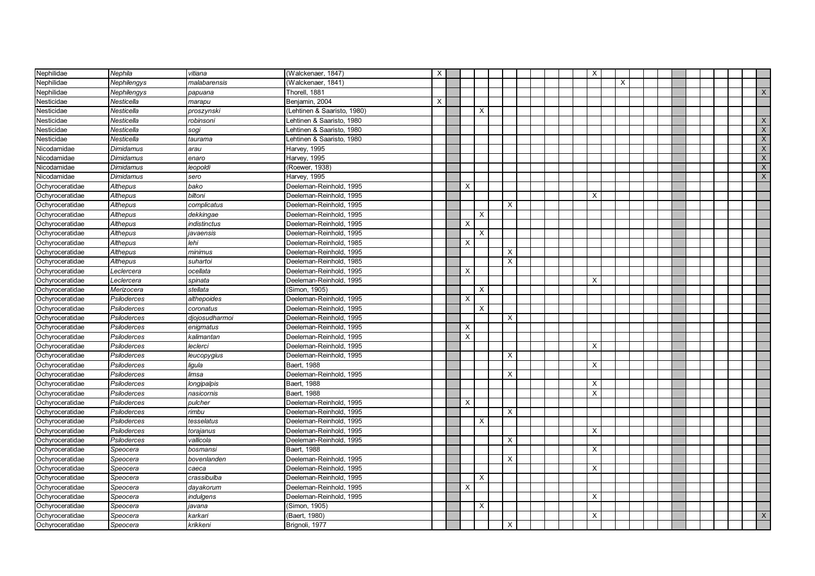| Nephilidae      | Nephila            | vitiana        | (Walckenaer, 1847)          | X |          |          |              |  | X                         |   |  |  |  |                           |
|-----------------|--------------------|----------------|-----------------------------|---|----------|----------|--------------|--|---------------------------|---|--|--|--|---------------------------|
| Nephilidae      | Nephilengys        | malabarensis   | (Walckenaer, 1841)          |   |          |          |              |  |                           | X |  |  |  |                           |
| Nephilidae      | Nephilengys        | papuana        | Thorell, 1881               |   |          |          |              |  |                           |   |  |  |  | X                         |
| Nesticidae      | Nesticella         | marapu         | Benjamin, 2004              | X |          |          |              |  |                           |   |  |  |  |                           |
| Nesticidae      | Nesticella         | proszynski     | (Lehtinen & Saaristo, 1980) |   |          | X        |              |  |                           |   |  |  |  |                           |
| Nesticidae      | Nesticella         | robinsoni      | Lehtinen & Saaristo, 1980   |   |          |          |              |  |                           |   |  |  |  | $\boldsymbol{\mathsf{X}}$ |
| Nesticidae      | Nesticella         | sogi           | Lehtinen & Saaristo, 1980   |   |          |          |              |  |                           |   |  |  |  | $\overline{X}$            |
| Nesticidae      | Nesticella         | taurama        | Lehtinen & Saaristo, 1980   |   |          |          |              |  |                           |   |  |  |  | $\overline{X}$            |
| Nicodamidae     | Dimidamus          | arau           | Harvey, 1995                |   |          |          |              |  |                           |   |  |  |  | $\boldsymbol{\mathsf{X}}$ |
| Nicodamidae     | <b>Dimidamus</b>   | enaro          | Harvey, 1995                |   |          |          |              |  |                           |   |  |  |  | $\overline{X}$            |
| Nicodamidae     | Dimidamus          | leopoldi       | (Roewer, 1938)              |   |          |          |              |  |                           |   |  |  |  | $\boldsymbol{\mathsf{X}}$ |
| Nicodamidae     | <b>Dimidamus</b>   | sero           | Harvey, 1995                |   |          |          |              |  |                           |   |  |  |  | $\times$                  |
| Ochyroceratidae | Althepus           | bako           | Deeleman-Reinhold, 1995     |   | $\times$ |          |              |  |                           |   |  |  |  |                           |
| Ochyroceratidae | Althepus           | biltoni        | Deeleman-Reinhold, 1995     |   |          |          |              |  | $\boldsymbol{\mathsf{X}}$ |   |  |  |  |                           |
| Ochyroceratidae | Althepus           | complicatus    | Deeleman-Reinhold, 1995     |   |          |          | X            |  |                           |   |  |  |  |                           |
| Ochyroceratidae | Althepus           | dekkingae      | Deeleman-Reinhold, 1995     |   |          | $\times$ |              |  |                           |   |  |  |  |                           |
| Ochyroceratidae | Althepus           | indistinctus   | Deeleman-Reinhold, 1995     |   | Χ        |          |              |  |                           |   |  |  |  |                           |
| Ochyroceratidae | Althepus           | javaensis      | Deeleman-Reinhold, 1995     |   |          | $\times$ |              |  |                           |   |  |  |  |                           |
| Ochyroceratidae | Althepus           | lehi           | Deeleman-Reinhold, 1985     |   | X        |          |              |  |                           |   |  |  |  |                           |
| Ochyroceratidae | Althepus           | minimus        | Deeleman-Reinhold, 1995     |   |          |          | X            |  |                           |   |  |  |  |                           |
| Ochyroceratidae | Althepus           | suhartoi       | Deeleman-Reinhold, 1985     |   |          |          | X            |  |                           |   |  |  |  |                           |
| Ochyroceratidae | Leclercera         | ocellata       | Deeleman-Reinhold, 1995     |   | $\times$ |          |              |  |                           |   |  |  |  |                           |
| Ochyroceratidae | Leclercera         | spinata        | Deeleman-Reinhold, 1995     |   |          |          |              |  | X                         |   |  |  |  |                           |
| Ochyroceratidae | Merizocera         | stellata       | Simon, 1905)                |   |          | X        |              |  |                           |   |  |  |  |                           |
| Ochyroceratidae | Psiloderces        | althepoides    | Deeleman-Reinhold, 1995     |   | X        |          |              |  |                           |   |  |  |  |                           |
| Ochyroceratidae | Psiloderces        | coronatus      | Deeleman-Reinhold, 1995     |   |          | X        |              |  |                           |   |  |  |  |                           |
| Ochyroceratidae | Psiloderces        | djojosudharmoi | Deeleman-Reinhold, 1995     |   |          |          | $\times$     |  |                           |   |  |  |  |                           |
| Ochyroceratidae | Psiloderces        | enigmatus      | Deeleman-Reinhold, 1995     |   | Χ        |          |              |  |                           |   |  |  |  |                           |
| Ochyroceratidae | Psiloderces        | kalimantan     | Deeleman-Reinhold, 1995     |   | X        |          |              |  |                           |   |  |  |  |                           |
| Ochyroceratidae | Psiloderces        | leclerci       | Deeleman-Reinhold, 1995     |   |          |          |              |  | X                         |   |  |  |  |                           |
| Ochyroceratidae | <b>Psiloderces</b> | leucopygius    | Deeleman-Reinhold, 1995     |   |          |          | X            |  |                           |   |  |  |  |                           |
| Ochyroceratidae | Psiloderces        | ligula         | Baert, 1988                 |   |          |          |              |  | $\times$                  |   |  |  |  |                           |
| Ochyroceratidae | Psiloderces        | limsa          | Deeleman-Reinhold, 1995     |   |          |          | X            |  |                           |   |  |  |  |                           |
| Ochyroceratidae | Psiloderces        | longipalpis    | Baert, 1988                 |   |          |          |              |  | $\times$                  |   |  |  |  |                           |
| Ochyroceratidae | Psiloderces        | nasicornis     | Baert, 1988                 |   |          |          |              |  | $\times$                  |   |  |  |  |                           |
| Ochyroceratidae | Psiloderces        | pulcher        | Deeleman-Reinhold, 1995     |   | X        |          |              |  |                           |   |  |  |  |                           |
| Ochyroceratidae | Psiloderces        | rimbu          | Deeleman-Reinhold, 1995     |   |          |          | $\mathsf{X}$ |  |                           |   |  |  |  |                           |
| Ochyroceratidae | Psiloderces        | tesselatus     | Deeleman-Reinhold, 1995     |   |          | X        |              |  |                           |   |  |  |  |                           |
| Ochyroceratidae | Psiloderces        | torajanus      | Deeleman-Reinhold, 1995     |   |          |          |              |  | X                         |   |  |  |  |                           |
| Ochyroceratidae | Psiloderces        | vallicola      | Deeleman-Reinhold, 1995     |   |          |          | X            |  |                           |   |  |  |  |                           |
| Ochyroceratidae | Speocera           | bosmansi       | Baert, 1988                 |   |          |          |              |  | $\times$                  |   |  |  |  |                           |
| Ochyroceratidae | Speocera           | bovenlanden    | Deeleman-Reinhold, 1995     |   |          |          | X            |  |                           |   |  |  |  |                           |
| Ochyroceratidae | Speocera           | caeca          | Deeleman-Reinhold, 1995     |   |          |          |              |  | X                         |   |  |  |  |                           |
| Ochyroceratidae | Speocera           | crassibulba    | Deeleman-Reinhold, 1995     |   |          | Х        |              |  |                           |   |  |  |  |                           |
| Ochyroceratidae | Speocera           | dayakorum      | Deeleman-Reinhold, 1995     |   | X        |          |              |  |                           |   |  |  |  |                           |
| Ochyroceratidae | Speocera           | indulgens      | Deeleman-Reinhold, 1995     |   |          |          |              |  | Х                         |   |  |  |  |                           |
| Ochyroceratidae | Speocera           | iavana         | (Simon, 1905)               |   |          | X        |              |  |                           |   |  |  |  |                           |
| Ochyroceratidae | Speocera           | karkari        | (Baert, 1980)               |   |          |          |              |  | X                         |   |  |  |  | $\mathsf{X}$              |
| Ochyroceratidae | Speocera           | krikkeni       | Brignoli, 1977              |   |          |          | $\times$     |  |                           |   |  |  |  |                           |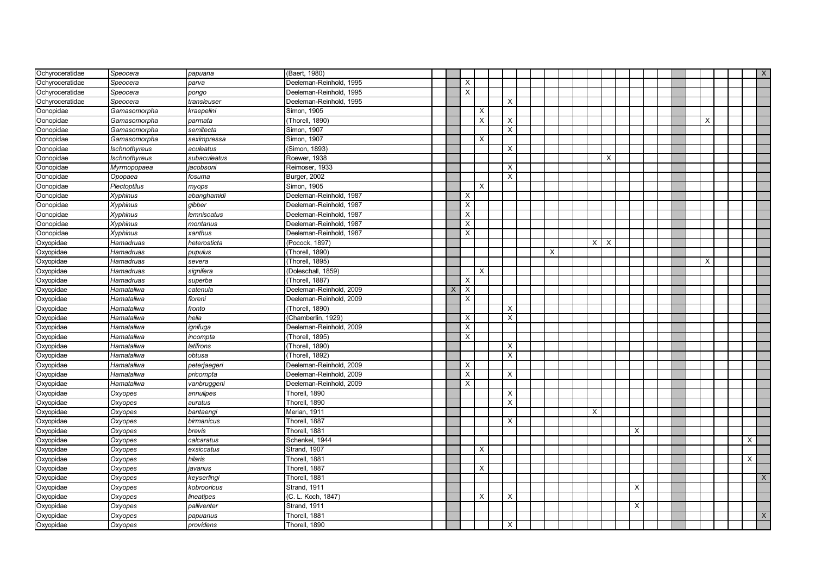| Ochyroceratidae | Speocera        | papuana            | (Baert, 1980)           |          |                           |                           |                           |          |              |                           |   |  |  |          |          | $\mathsf{X}$ |
|-----------------|-----------------|--------------------|-------------------------|----------|---------------------------|---------------------------|---------------------------|----------|--------------|---------------------------|---|--|--|----------|----------|--------------|
| Ochvroceratidae | Speocera        | parva              | Deeleman-Reinhold, 1995 |          | $\times$                  |                           |                           |          |              |                           |   |  |  |          |          |              |
| Ochyroceratidae | Speocera        | pongo              | Deeleman-Reinhold, 1995 |          | $\times$                  |                           |                           |          |              |                           |   |  |  |          |          |              |
| Ochyroceratidae | Speocera        | transleuser        | Deeleman-Reinhold, 1995 |          |                           |                           | $\boldsymbol{\mathsf{X}}$ |          |              |                           |   |  |  |          |          |              |
| Oonopidae       | Gamasomorpha    | k <b>raepelini</b> | Simon, 1905             |          |                           | X                         |                           |          |              |                           |   |  |  |          |          |              |
| Oonopidae       | Gamasomorpha    | parmata            | (Thorell, 1890)         |          |                           | $\boldsymbol{\mathsf{X}}$ | X                         |          |              |                           |   |  |  | $\times$ |          |              |
| Oonopidae       | Gamasomorpha    | semitecta          | Simon, 1907             |          |                           |                           | X                         |          |              |                           |   |  |  |          |          |              |
| Oonopidae       | Gamasomorpha    | seximpressa        | Simon, 1907             |          |                           | X                         |                           |          |              |                           |   |  |  |          |          |              |
| Oonopidae       | Ischnothyreus   | aculeatus          | (Simon, 1893)           |          |                           |                           | X                         |          |              |                           |   |  |  |          |          |              |
| Oonopidae       | Ischnothyreus   | subaculeatus       | Roewer, 1938            |          |                           |                           |                           |          |              | X                         |   |  |  |          |          |              |
| Oonopidae       | Myrmopopaea     | jacobsoni          | Reimoser, 1933          |          |                           |                           | X                         |          |              |                           |   |  |  |          |          |              |
| Oonopidae       | Opopaea         | fosuma             | Burger, 2002            |          |                           |                           | $\mathsf{X}$              |          |              |                           |   |  |  |          |          |              |
| Oonopidae       | Plectoptilus    | myops              | Simon, 1905             |          |                           | $\times$                  |                           |          |              |                           |   |  |  |          |          |              |
| Oonopidae       | <b>Xyphinus</b> | abanghamidi        | Deeleman-Reinhold, 1987 |          | $\times$                  |                           |                           |          |              |                           |   |  |  |          |          |              |
| Oonopidae       | Xyphinus        | gibber             | Deeleman-Reinhold, 1987 |          | X                         |                           |                           |          |              |                           |   |  |  |          |          |              |
| Oonopidae       | Xyphinus        | lemniscatus        | Deeleman-Reinhold, 1987 |          | X                         |                           |                           |          |              |                           |   |  |  |          |          |              |
| Oonopidae       | <b>Xyphinus</b> | montanus           | Deeleman-Reinhold, 1987 |          | X                         |                           |                           |          |              |                           |   |  |  |          |          |              |
| Oonopidae       | <b>Xyphinus</b> | xanthus            | Deeleman-Reinhold, 1987 |          | $\overline{X}$            |                           |                           |          |              |                           |   |  |  |          |          |              |
| Oxyopidae       | Hamadruas       | heterosticta       | (Pocock, 1897)          |          |                           |                           |                           |          | $\mathsf{X}$ | $\boldsymbol{\mathsf{x}}$ |   |  |  |          |          |              |
| Oxyopidae       | Hamadruas       | pupulus            | (Thorell, 1890)         |          |                           |                           |                           | $\times$ |              |                           |   |  |  |          |          |              |
| Oxyopidae       | Hamadruas       | severa             | (Thorell, 1895)         |          |                           |                           |                           |          |              |                           |   |  |  | $\times$ |          |              |
| Oxyopidae       | Hamadruas       | signifera          | (Doleschall, 1859)      |          |                           | $\times$                  |                           |          |              |                           |   |  |  |          |          |              |
| Oxyopidae       | Hamadruas       | superba            | (Thorell, 1887)         |          | X                         |                           |                           |          |              |                           |   |  |  |          |          |              |
| Oxyopidae       | Hamataliwa      | catenula           | Deeleman-Reinhold, 2009 | $\times$ | $\boldsymbol{\mathsf{X}}$ |                           |                           |          |              |                           |   |  |  |          |          |              |
| Oxyopidae       | Hamataliwa      | floreni            | Deeleman-Reinhold, 2009 |          | X                         |                           |                           |          |              |                           |   |  |  |          |          |              |
| Oxyopidae       | Hamataliwa      | fronto             | (Thorell, 1890)         |          |                           |                           | X                         |          |              |                           |   |  |  |          |          |              |
| Oxyopidae       | Hamataliwa      | helia              | (Chamberlin, 1929)      |          | X                         |                           | $\boldsymbol{\mathsf{X}}$ |          |              |                           |   |  |  |          |          |              |
| Oxyopidae       | Hamataliwa      | ignifuga           | Deeleman-Reinhold, 2009 |          | X                         |                           |                           |          |              |                           |   |  |  |          |          |              |
| Oxyopidae       | Hamataliwa      | incompta           | (Thorell, 1895)         |          | X                         |                           |                           |          |              |                           |   |  |  |          |          |              |
| Oxyopidae       | Hamataliwa      | latifrons          | (Thorell, 1890)         |          |                           |                           | Х                         |          |              |                           |   |  |  |          |          |              |
| Oxyopidae       | Hamataliwa      | obtusa             | (Thorell, 1892)         |          |                           |                           | X                         |          |              |                           |   |  |  |          |          |              |
| Oxyopidae       | Hamataliwa      | peterjaegeri       | Deeleman-Reinhold, 2009 |          | $\times$                  |                           |                           |          |              |                           |   |  |  |          |          |              |
| Oxyopidae       | Hamataliwa      | pricompta          | Deeleman-Reinhold, 2009 |          | X                         |                           | $\times$                  |          |              |                           |   |  |  |          |          |              |
| Oxyopidae       | Hamataliwa      | vanbruggeni        | Deeleman-Reinhold, 2009 |          | $\times$                  |                           |                           |          |              |                           |   |  |  |          |          |              |
| Oxyopidae       | Oxyopes         | annulipes          | Thorell, 1890           |          |                           |                           | $\times$                  |          |              |                           |   |  |  |          |          |              |
| Oxyopidae       | Oxyopes         | auratus            | Thorell, 1890           |          |                           |                           | X                         |          |              |                           |   |  |  |          |          |              |
| Oxyopidae       | Oxyopes         | bantaengi          | Merian, 1911            |          |                           |                           |                           |          | X            |                           |   |  |  |          |          |              |
| Oxyopidae       | Oxyopes         | birmanicus         | Thorell, 1887           |          |                           |                           | X                         |          |              |                           |   |  |  |          |          |              |
| Oxyopidae       | Oxyopes         | brevis             | Thorell, 1881           |          |                           |                           |                           |          |              |                           | X |  |  |          |          |              |
| Oxyopidae       | Oxyopes         | calcaratus         | Schenkel, 1944          |          |                           |                           |                           |          |              |                           |   |  |  |          | $\times$ |              |
| Oxyopidae       | Oxyopes         | exsiccatus         | Strand, 1907            |          |                           | $\times$                  |                           |          |              |                           |   |  |  |          |          |              |
| Oxyopidae       | Oxyopes         | hilaris            | Thorell, 1881           |          |                           |                           |                           |          |              |                           |   |  |  |          | X        |              |
| Oxyopidae       | Oxyopes         | iavanus            | Thorell, 1887           |          |                           | X                         |                           |          |              |                           |   |  |  |          |          |              |
| Oxyopidae       | Oxyopes         | keyserlingi        | Thorell, 1881           |          |                           |                           |                           |          |              |                           |   |  |  |          |          | X            |
| Oxyopidae       | Oxyopes         | kobrooricus        | Strand, 1911            |          |                           |                           |                           |          |              |                           | X |  |  |          |          |              |
| Oxyopidae       | Oxyopes         | ineatipes          | (C. L. Koch, 1847)      |          |                           | X                         | X                         |          |              |                           |   |  |  |          |          |              |
| Oxyopidae       | Oxyopes         | palliventer        | Strand, 1911            |          |                           |                           |                           |          |              |                           | X |  |  |          |          |              |
| Oxyopidae       | Oxyopes         | papuanus           | Thorell, 1881           |          |                           |                           |                           |          |              |                           |   |  |  |          |          | $\mathsf X$  |
| Oxyopidae       | Oxyopes         | providens          | Thorell, 1890           |          |                           |                           | X                         |          |              |                           |   |  |  |          |          |              |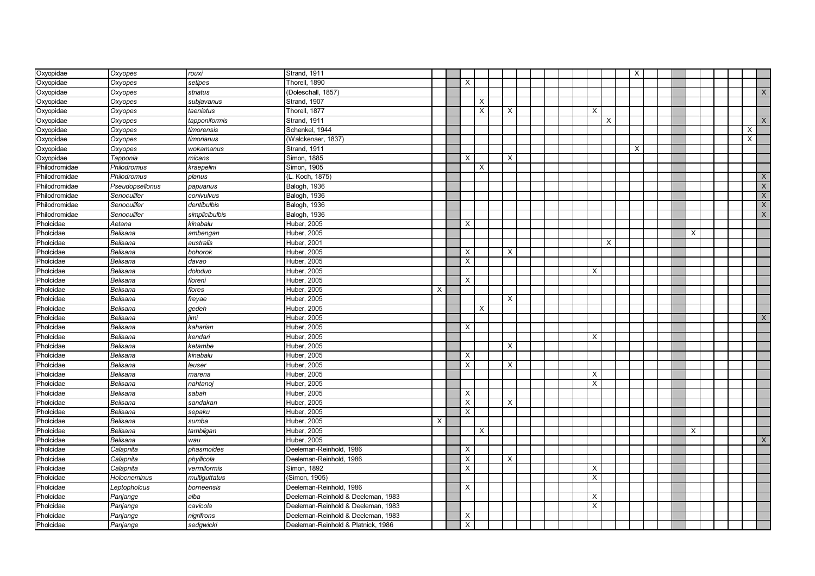| Oxyopidae     | Oxyopes         | rouxi          | Strand, 1911                       |          |   |   |          |  |          |          | X |  |   |  |                         |
|---------------|-----------------|----------------|------------------------------------|----------|---|---|----------|--|----------|----------|---|--|---|--|-------------------------|
| Oxyopidae     | Oxyopes         | setipes        | Thorell, 1890                      |          | X |   |          |  |          |          |   |  |   |  |                         |
| Oxyopidae     | Oxyopes         | striatus       | (Doleschall, 1857)                 |          |   |   |          |  |          |          |   |  |   |  | $\times$                |
| Oxyopidae     | Oxyopes         | subjavanus     | Strand, 1907                       |          |   | X |          |  |          |          |   |  |   |  |                         |
| Oxyopidae     | Oxyopes         | taeniatus      | Thorell, 1877                      |          |   | X | $\times$ |  |          | $\times$ |   |  |   |  |                         |
| Oxyopidae     | Oxyopes         | tapponiformis  | <b>Strand. 1911</b>                |          |   |   |          |  |          | X        |   |  |   |  | $\mathsf X$             |
| Oxyopidae     | Oxyopes         | timorensis     | Schenkel, 1944                     |          |   |   |          |  |          |          |   |  |   |  | $\times$                |
| Oxyopidae     | Oxyopes         | timorianus     | (Walckenaer, 1837)                 |          |   |   |          |  |          |          |   |  |   |  | $\overline{\mathsf{x}}$ |
| Oxyopidae     | Oxyopes         | wokamanus      | Strand, 1911                       |          |   |   |          |  |          |          | X |  |   |  |                         |
| Oxyopidae     | Tapponia        | micans         | Simon, 1885                        |          | X |   | X        |  |          |          |   |  |   |  |                         |
| Philodromidae | Philodromus     | kraepelini     | Simon, 1905                        |          |   | X |          |  |          |          |   |  |   |  |                         |
| Philodromidae | Philodromus     | planus         | (L. Koch, 1875)                    |          |   |   |          |  |          |          |   |  |   |  | X                       |
| Philodromidae | Pseudopsellonus | papuanus       | Balogh, 1936                       |          |   |   |          |  |          |          |   |  |   |  | $\mathsf X$             |
| Philodromidae | Senoculifer     | conivulvus     | Balogh, 1936                       |          |   |   |          |  |          |          |   |  |   |  | X                       |
| Philodromidae | Senoculifer     | dentibulbis    | Balogh, 1936                       |          |   |   |          |  |          |          |   |  |   |  | $\mathsf X$             |
| Philodromidae | Senoculifer     | simplicibulbis | Balogh, 1936                       |          |   |   |          |  |          |          |   |  |   |  | X                       |
| Pholcidae     | Aetana          | kinabalu       | Huber, 2005                        |          | X |   |          |  |          |          |   |  |   |  |                         |
| Pholcidae     | Belisana        | ambengan       | Huber, 2005                        |          |   |   |          |  |          |          |   |  | X |  |                         |
| Pholcidae     | Belisana        | australis      | Huber, 2001                        |          |   |   |          |  |          | X        |   |  |   |  |                         |
| Pholcidae     | Belisana        | bohorok        | Huber, 2005                        |          | Х |   | $\times$ |  |          |          |   |  |   |  |                         |
| Pholcidae     | Belisana        | davao          | Huber, 2005                        |          | X |   |          |  |          |          |   |  |   |  |                         |
| Pholcidae     | Belisana        | doloduo        | Huber, 2005                        |          |   |   |          |  |          | X        |   |  |   |  |                         |
| Pholcidae     | Belisana        | floreni        | Huber, 2005                        |          | X |   |          |  |          |          |   |  |   |  |                         |
| Pholcidae     | Belisana        | flores         | Huber, 2005                        | $\times$ |   |   |          |  |          |          |   |  |   |  |                         |
| Pholcidae     | Belisana        | freyae         | Huber, 2005                        |          |   |   | $\times$ |  |          |          |   |  |   |  |                         |
| Pholcidae     | Belisana        | qedeh          | Huber, 2005                        |          |   | X |          |  |          |          |   |  |   |  |                         |
| Pholcidae     | Belisana        | iimi           | Huber, 2005                        |          |   |   |          |  |          |          |   |  |   |  | $\mathsf X$             |
| Pholcidae     | Belisana        | kaharian       | Huber, 2005                        |          | X |   |          |  |          |          |   |  |   |  |                         |
| Pholcidae     | Belisana        | kendari        | Huber, 2005                        |          |   |   |          |  | X        |          |   |  |   |  |                         |
| Pholcidae     | Belisana        | ketambe        | Huber, 2005                        |          |   |   | X        |  |          |          |   |  |   |  |                         |
| Pholcidae     | Belisana        | kinabalu       | Huber, 2005                        |          | Х |   |          |  |          |          |   |  |   |  |                         |
| Pholcidae     | Belisana        | leuser         | Huber, 2005                        |          | X |   | $\times$ |  |          |          |   |  |   |  |                         |
| Pholcidae     | Belisana        | marena         | Huber, 2005                        |          |   |   |          |  |          | Χ        |   |  |   |  |                         |
| Pholcidae     | Belisana        | nahtanoj       | Huber, 2005                        |          |   |   |          |  | $\times$ |          |   |  |   |  |                         |
| Pholcidae     | Belisana        | sabah          | Huber, 2005                        |          | X |   |          |  |          |          |   |  |   |  |                         |
| Pholcidae     | Belisana        | sandakan       | Huber, 2005                        |          | X |   | $\times$ |  |          |          |   |  |   |  |                         |
| Pholcidae     | Belisana        | sepaku         | Huber, 2005                        |          | X |   |          |  |          |          |   |  |   |  |                         |
| Pholcidae     | Belisana        | sumba          | Huber, 2005                        | X        |   |   |          |  |          |          |   |  |   |  |                         |
| Pholcidae     | Belisana        | tambligan      | Huber, 2005                        |          |   | X |          |  |          |          |   |  | X |  |                         |
| Pholcidae     | Belisana        | wau            | Huber, 2005                        |          |   |   |          |  |          |          |   |  |   |  | $\times$                |
| Pholcidae     | Calapnita       | phasmoides     | Deeleman-Reinhold, 1986            |          | X |   |          |  |          |          |   |  |   |  |                         |
| Pholcidae     | Calapnita       | phyllicola     | Deeleman-Reinhold, 1986            |          | X |   | $\times$ |  |          |          |   |  |   |  |                         |
| Pholcidae     | Calapnita       | vermiformis    | Simon, 1892                        |          | X |   |          |  |          | X        |   |  |   |  |                         |
| Pholcidae     | Holocneminus    | multiquttatus  | (Simon, 1905)                      |          |   |   |          |  |          | $\times$ |   |  |   |  |                         |
| Pholcidae     | Leptopholcus    | borneensis     | Deeleman-Reinhold, 1986            |          | X |   |          |  |          |          |   |  |   |  |                         |
| Pholcidae     | Panjange        | alba           | Deeleman-Reinhold & Deeleman, 1983 |          |   |   |          |  |          | X        |   |  |   |  |                         |
| Pholcidae     | Panjange        | cavicola       | Deeleman-Reinhold & Deeleman, 1983 |          |   |   |          |  |          | X        |   |  |   |  |                         |
| Pholcidae     | Panjange        | nigrifrons     | Deeleman-Reinhold & Deeleman, 1983 |          | X |   |          |  |          |          |   |  |   |  |                         |
| Pholcidae     | Panjange        | sedgwicki      | Deeleman-Reinhold & Platnick, 1986 |          | X |   |          |  |          |          |   |  |   |  |                         |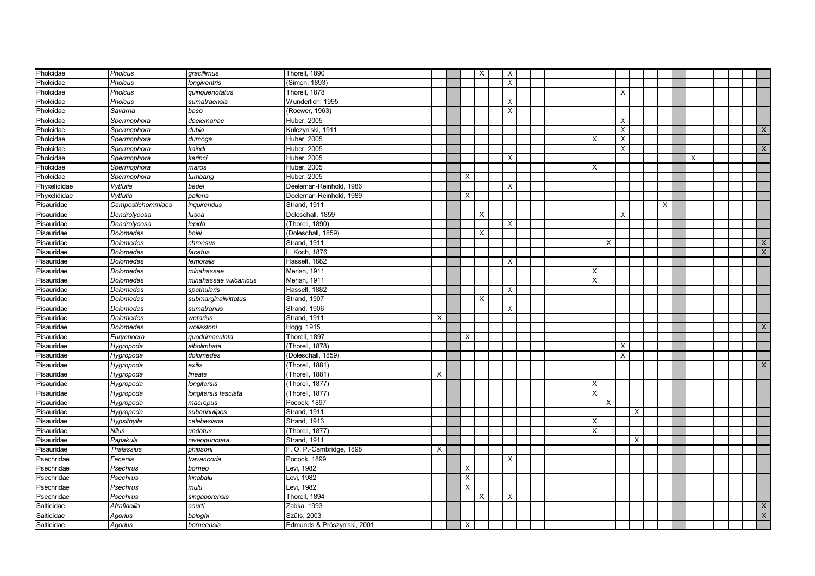| Pholcidae    | Pholcus           | gracillimus           | Thorell, 1890               |          |              | X        | $\times$                  |  |  |          |          |          |          |   |   |  |                |
|--------------|-------------------|-----------------------|-----------------------------|----------|--------------|----------|---------------------------|--|--|----------|----------|----------|----------|---|---|--|----------------|
| Pholcidae    | <b>Pholcus</b>    | longiventris          | Simon, 1893)                |          |              |          | $\times$                  |  |  |          |          |          |          |   |   |  |                |
| Pholcidae    | Pholcus           | quinquenotatus        | Thorell, 1878               |          |              |          |                           |  |  |          |          | $\times$ |          |   |   |  |                |
| Pholcidae    | Pholcus           | sumatraensis          | Wunderlich, 1995            |          |              |          | $\boldsymbol{\mathsf{x}}$ |  |  |          |          |          |          |   |   |  |                |
| Pholcidae    | Savarna           | baso                  | (Roewer, 1963)              |          |              |          | X                         |  |  |          |          |          |          |   |   |  |                |
| Pholcidae    | Spermophora       | deelemanae            | Huber, 2005                 |          |              |          |                           |  |  |          |          | X        |          |   |   |  |                |
| Pholcidae    | Spermophora       | dubia                 | Kulczyn'ski, 1911           |          |              |          |                           |  |  |          |          | $\times$ |          |   |   |  | X              |
| Pholcidae    | Spermophora       | $d$ umoga             | Huber, 2005                 |          |              |          |                           |  |  | Χ        |          | $\times$ |          |   |   |  |                |
| Pholcidae    | Spermophora       | kaindi                | Huber, 2005                 |          |              |          |                           |  |  |          |          | $\times$ |          |   |   |  | X              |
| Pholcidae    | Spermophora       | kerinci               | Huber, 2005                 |          |              |          | $\times$                  |  |  |          |          |          |          |   | X |  |                |
| Pholcidae    | Spermophora       | maros                 | Huber, 2005                 |          |              |          |                           |  |  | X        |          |          |          |   |   |  |                |
| Pholcidae    | Spermophora       | tumbang               | Huber, 2005                 |          | $\times$     |          |                           |  |  |          |          |          |          |   |   |  |                |
| Phyxelididae | Vytfutia          | bedel                 | Deeleman-Reinhold, 1986     |          |              |          | $\times$                  |  |  |          |          |          |          |   |   |  |                |
| Phyxelididae | Vytfutia          | pallens               | Deeleman-Reinhold, 1989     |          | $\mathsf{X}$ |          |                           |  |  |          |          |          |          |   |   |  |                |
| Pisauridae   | Campostichommides | inquirendus           | Strand, 1911                |          |              |          |                           |  |  |          |          |          |          | X |   |  |                |
| Pisauridae   | Dendrolycosa      | fusca                 | Doleschall, 1859            |          |              | X        |                           |  |  |          |          | $\times$ |          |   |   |  |                |
| Pisauridae   | Dendrolycosa      | lepida                | (Thorell, 1890)             |          |              |          | $\times$                  |  |  |          |          |          |          |   |   |  |                |
| Pisauridae   | Dolomedes         | boiei                 | (Doleschall, 1859)          |          |              | $\times$ |                           |  |  |          |          |          |          |   |   |  |                |
| Pisauridae   | Dolomedes         | chroesus              | Strand, 1911                |          |              |          |                           |  |  |          | $\times$ |          |          |   |   |  | X              |
| Pisauridae   | Dolomedes         | facetus               | Koch, 1876                  |          |              |          |                           |  |  |          |          |          |          |   |   |  | $\overline{X}$ |
| Pisauridae   | Dolomedes         | femoralis             | Hasselt, 1882               |          |              |          | X                         |  |  |          |          |          |          |   |   |  |                |
| Pisauridae   | <b>Dolomedes</b>  | minahassae            | Merian, 1911                |          |              |          |                           |  |  | X        |          |          |          |   |   |  |                |
| Pisauridae   | Dolomedes         | minahassae vulcanicus | Merian, 1911                |          |              |          |                           |  |  | X        |          |          |          |   |   |  |                |
| Pisauridae   | Dolomedes         | spathularis           | Hasselt, 1882               |          |              |          | $\times$                  |  |  |          |          |          |          |   |   |  |                |
| Pisauridae   | Dolomedes         | submarginalivittatus  | Strand, 1907                |          |              | X        |                           |  |  |          |          |          |          |   |   |  |                |
| Pisauridae   | Dolomedes         | sumatranus            | Strand, 1906                |          |              |          | Χ                         |  |  |          |          |          |          |   |   |  |                |
| Pisauridae   | Dolomedes         | wetarius              | Strand, 1911                | X        |              |          |                           |  |  |          |          |          |          |   |   |  |                |
| Pisauridae   | Dolomedes         | wollastoni            | Hogg, 1915                  |          |              |          |                           |  |  |          |          |          |          |   |   |  | X              |
| Pisauridae   | Eurychoera        | quadrimaculata        | Thorell, 1897               |          | X            |          |                           |  |  |          |          |          |          |   |   |  |                |
| Pisauridae   | Hygropoda         | albolimbata           | (Thorell, 1878)             |          |              |          |                           |  |  |          |          | X        |          |   |   |  |                |
| Pisauridae   | Hygropoda         | dolomedes             | (Doleschall, 1859)          |          |              |          |                           |  |  |          |          | X        |          |   |   |  |                |
| Pisauridae   | Hygropoda         | exilis                | (Thorell, 1881)             |          |              |          |                           |  |  |          |          |          |          |   |   |  | X              |
| Pisauridae   | Hygropoda         | lineata               | (Thorell, 1881)             | X        |              |          |                           |  |  |          |          |          |          |   |   |  |                |
| Pisauridae   | Hygropoda         | longitarsis           | (Thorell, 1877)             |          |              |          |                           |  |  | X        |          |          |          |   |   |  |                |
| Pisauridae   | Hygropoda         | longitarsis fasciata  | (Thorell, 1877)             |          |              |          |                           |  |  | X        |          |          |          |   |   |  |                |
| Pisauridae   | Hygropoda         | macropus              | Pocock, 1897                |          |              |          |                           |  |  |          | X        |          |          |   |   |  |                |
| Pisauridae   | Hygropoda         | subannulipes          | Strand, 1911                |          |              |          |                           |  |  |          |          |          | $\times$ |   |   |  |                |
| Pisauridae   | Hypsithylla       | celebesiana           | Strand, 1913                |          |              |          |                           |  |  | X        |          |          |          |   |   |  |                |
| Pisauridae   | <b>Nilus</b>      | undatus               | (Thorell, 1877)             |          |              |          |                           |  |  | $\times$ |          |          |          |   |   |  |                |
| Pisauridae   | Papakula          | niveopunctata         | Strand, 1911                |          |              |          |                           |  |  |          |          |          | X        |   |   |  |                |
| Pisauridae   | <b>Thalassius</b> | phipsoni              | F. O. P.-Cambridge, 1898    | $\times$ |              |          |                           |  |  |          |          |          |          |   |   |  |                |
| Psechridae   | Fecenia           | travancoria           | Pocock, 1899                |          |              |          | Χ                         |  |  |          |          |          |          |   |   |  |                |
| Psechridae   | Psechrus          | borneo                | Levi, 1982                  |          | X            |          |                           |  |  |          |          |          |          |   |   |  |                |
| Psechridae   | Psechrus          | kinabalu              | Levi, 1982                  |          | X            |          |                           |  |  |          |          |          |          |   |   |  |                |
| Psechridae   | Psechrus          | mulu                  | Levi, 1982                  |          | X            |          |                           |  |  |          |          |          |          |   |   |  |                |
| Psechridae   | Psechrus          | singaporensis         | Thorell, 1894               |          |              | х        | Χ                         |  |  |          |          |          |          |   |   |  |                |
| Salticidae   | Afraflacilla      | courti                | Zabka, 1993                 |          |              |          |                           |  |  |          |          |          |          |   |   |  | X              |
| Salticidae   | Agorius           | baloghi               | Szüts, 2003                 |          |              |          |                           |  |  |          |          |          |          |   |   |  | $\mathsf{X}$   |
| Salticidae   | Agorius           | borneensis            | Edmunds & Prószyn'ski, 2001 |          | X            |          |                           |  |  |          |          |          |          |   |   |  |                |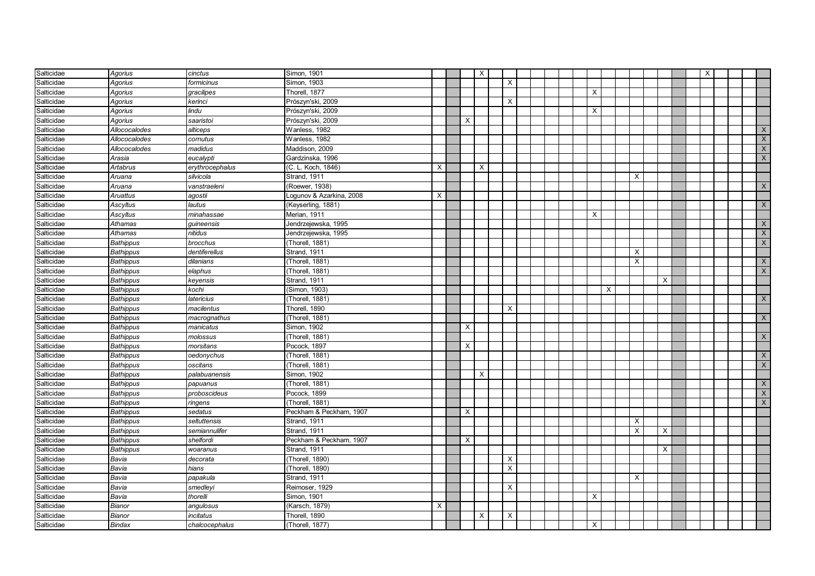| Salticidae | <b>Agorius</b>   | cinctus         | Simon, 1901              |   |   | $\boldsymbol{\mathsf{X}}$ |                           |  |  |          |          |   |                         |          |  | $\mathsf{X}$ |  |                |
|------------|------------------|-----------------|--------------------------|---|---|---------------------------|---------------------------|--|--|----------|----------|---|-------------------------|----------|--|--------------|--|----------------|
| Salticidae | Agorius          | formicinus      | Simon, 1903              |   |   |                           | $\boldsymbol{\mathsf{X}}$ |  |  |          |          |   |                         |          |  |              |  |                |
| Salticidae | Agorius          | gracilipes      | Thorell, 1877            |   |   |                           |                           |  |  | X        |          |   |                         |          |  |              |  |                |
| Salticidae | Agorius          | kerinci         | Prószyn'ski, 2009        |   |   |                           | $\times$                  |  |  |          |          |   |                         |          |  |              |  |                |
| Salticidae | Agorius          | lindu           | Prószyn'ski, 2009        |   |   |                           |                           |  |  | X        |          |   |                         |          |  |              |  |                |
| Salticidae | Agorius          | saaristoi       | Prószyn'ski, 2009        |   | X |                           |                           |  |  |          |          |   |                         |          |  |              |  |                |
| Salticidae | Allococalodes    | alticeps        | Wanless, 1982            |   |   |                           |                           |  |  |          |          |   |                         |          |  |              |  | X              |
| Salticidae | Allococalodes    | cornutus        | Wanless, 1982            |   |   |                           |                           |  |  |          |          |   |                         |          |  |              |  | X              |
| Salticidae | Allococalodes    | madidus         | Maddison, 2009           |   |   |                           |                           |  |  |          |          |   |                         |          |  |              |  | $\mathsf{X}$   |
| Salticidae | Arasia           | eucalypti       | Gardzinska, 1996         |   |   |                           |                           |  |  |          |          |   |                         |          |  |              |  | $\mathsf{X}$   |
| Salticidae | Artabrus         | erythrocephalus | (C. L. Koch, 1846)       | X |   | $\times$                  |                           |  |  |          |          |   |                         |          |  |              |  |                |
| Salticidae | Aruana           | silvicola       | Strand, 1911             |   |   |                           |                           |  |  |          |          |   | X                       |          |  |              |  |                |
| Salticidae | Aruana           | vanstraeleni    | (Roewer, 1938)           |   |   |                           |                           |  |  |          |          |   |                         |          |  |              |  | X              |
| Salticidae | <b>Aruattus</b>  | agostii         | Logunov & Azarkina, 2008 | X |   |                           |                           |  |  |          |          |   |                         |          |  |              |  |                |
| Salticidae | Ascyltus         | lautus          | (Keyserling, 1881)       |   |   |                           |                           |  |  |          |          |   |                         |          |  |              |  | X              |
| Salticidae | Ascyltus         | minahassae      | Merian, 1911             |   |   |                           |                           |  |  | X        |          |   |                         |          |  |              |  |                |
| Salticidae | Athamas          | guineensis      | Jendrzejewska, 1995      |   |   |                           |                           |  |  |          |          |   |                         |          |  |              |  | X              |
| Salticidae | Athamas          | nitidus         | Jendrzejewska, 1995      |   |   |                           |                           |  |  |          |          |   |                         |          |  |              |  | $\mathsf{X}$   |
| Salticidae | <b>Bathippus</b> | brocchus        | (Thorell, 1881)          |   |   |                           |                           |  |  |          |          |   |                         |          |  |              |  | $\mathsf{X}$   |
| Salticidae | <b>Bathippus</b> | dentiferellus   | Strand, 1911             |   |   |                           |                           |  |  |          |          |   | X                       |          |  |              |  |                |
| Salticidae | <b>Bathippus</b> | dilanians       | (Thorell, 1881)          |   |   |                           |                           |  |  |          |          |   | X                       |          |  |              |  | X              |
| Salticidae | <b>Bathippus</b> | elaphus         | (Thorell, 1881)          |   |   |                           |                           |  |  |          |          |   |                         |          |  |              |  | $\overline{X}$ |
| Salticidae | <b>Bathippus</b> | keyensis        | Strand, 1911             |   |   |                           |                           |  |  |          |          |   |                         | $\times$ |  |              |  |                |
| Salticidae | <b>Bathippus</b> | kochi           | Simon, 1903)             |   |   |                           |                           |  |  |          | $\times$ |   |                         |          |  |              |  |                |
| Salticidae | <b>Bathippus</b> | latericius      | Thorell, 1881)           |   |   |                           |                           |  |  |          |          |   |                         |          |  |              |  | $\mathsf{X}$   |
| Salticidae | <b>Bathippus</b> | macilentus      | Thorell, 1890            |   |   |                           | X                         |  |  |          |          |   |                         |          |  |              |  |                |
| Salticidae | <b>Bathippus</b> | macrognathus    | (Thorell, 1881)          |   |   |                           |                           |  |  |          |          |   |                         |          |  |              |  | $\mathsf{X}$   |
| Salticidae | <b>Bathippus</b> | manicatus       | Simon, 1902              |   | X |                           |                           |  |  |          |          |   |                         |          |  |              |  |                |
| Salticidae | <b>Bathippus</b> | molossus        | (Thorell, 1881)          |   |   |                           |                           |  |  |          |          |   |                         |          |  |              |  | $\mathsf{X}$   |
| Salticidae | <b>Bathippus</b> | morsitans       | Pocock, 1897             |   | Х |                           |                           |  |  |          |          |   |                         |          |  |              |  |                |
| Salticidae | <b>Bathippus</b> | oedonychus      | (Thorell, 1881)          |   |   |                           |                           |  |  |          |          |   |                         |          |  |              |  | $\times$       |
| Salticidae | <b>Bathippus</b> | oscitans        | (Thorell, 1881)          |   |   |                           |                           |  |  |          |          |   |                         |          |  |              |  | X              |
| Salticidae | <b>Bathippus</b> | palabuanensis   | Simon, 1902              |   |   | $\times$                  |                           |  |  |          |          |   |                         |          |  |              |  |                |
| Salticidae | <b>Bathippus</b> | papuanus        | (Thorell, 1881)          |   |   |                           |                           |  |  |          |          |   |                         |          |  |              |  | $\mathsf{X}$   |
| Salticidae | <b>Bathippus</b> | proboscideus    | Pocock, 1899             |   |   |                           |                           |  |  |          |          |   |                         |          |  |              |  | $\times$       |
| Salticidae | <b>Bathippus</b> | ringens         | (Thorell, 1881)          |   |   |                           |                           |  |  |          |          |   |                         |          |  |              |  | X              |
| Salticidae | <b>Bathippus</b> | sedatus         | Peckham & Peckham, 1907  |   | X |                           |                           |  |  |          |          |   |                         |          |  |              |  |                |
| Salticidae | <b>Bathippus</b> | seltuttensis    | Strand, 1911             |   |   |                           |                           |  |  |          |          |   | $\times$                |          |  |              |  |                |
| Salticidae | <b>Bathippus</b> | semiannulifer   | Strand, 1911             |   |   |                           |                           |  |  |          |          |   | $\overline{\mathsf{x}}$ | $\times$ |  |              |  |                |
| Salticidae | <b>Bathippus</b> | shelfordi       | Peckham & Peckham, 1907  |   | X |                           |                           |  |  |          |          |   |                         |          |  |              |  |                |
| Salticidae | <b>Bathippus</b> | woaranus        | Strand, 1911             |   |   |                           |                           |  |  |          |          |   |                         | X        |  |              |  |                |
| Salticidae | Bavia            | decorata        | (Thorell, 1890)          |   |   |                           | $\times$                  |  |  |          |          |   |                         |          |  |              |  |                |
| Salticidae | Bavia            | hians           | (Thorell, 1890)          |   |   |                           | $\overline{X}$            |  |  |          |          |   |                         |          |  |              |  |                |
| Salticidae | Bavia            | papakula        | Strand, 1911             |   |   |                           |                           |  |  |          |          | X |                         |          |  |              |  |                |
| Salticidae | Bavia            | smedleyi        | Reimoser, 1929           |   |   |                           | $\times$                  |  |  |          |          |   |                         |          |  |              |  |                |
| Salticidae | Bavia            | thorelli        | Simon, 1901              |   |   |                           |                           |  |  | X        |          |   |                         |          |  |              |  |                |
| Salticidae | Bianor           | angulosus       | (Karsch, 1879)           | X |   |                           |                           |  |  |          |          |   |                         |          |  |              |  |                |
| Salticidae | Bianor           | incitatus       | Thorell, 1890            |   |   | $\times$                  | X                         |  |  |          |          |   |                         |          |  |              |  |                |
| Salticidae | Bindax           | chalcocephalus  | (Thorell, 1877)          |   |   |                           |                           |  |  | $\times$ |          |   |                         |          |  |              |  |                |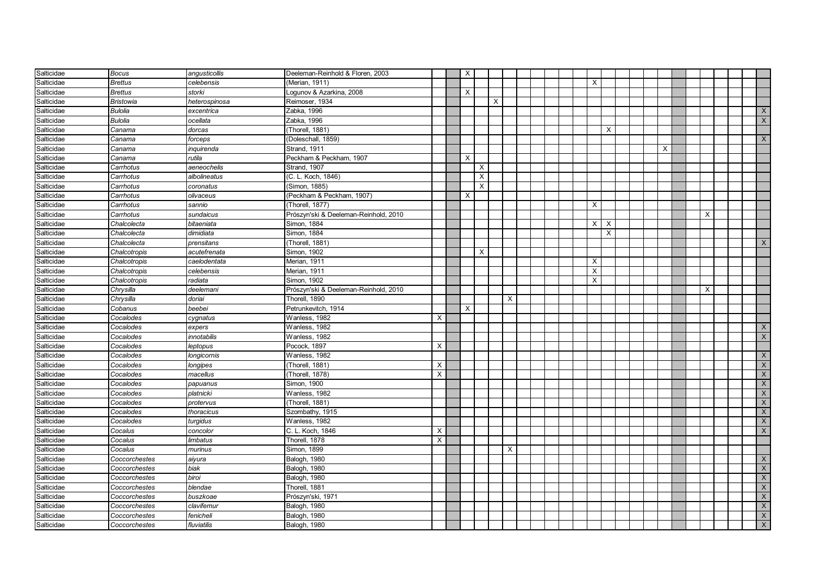| Salticidae | <b>Bocus</b>     | angusticollis | Deeleman-Reinhold & Floren, 2003      |          | $\times$ |          |   |          |  |  |                |                           |  |   |   |  |                |
|------------|------------------|---------------|---------------------------------------|----------|----------|----------|---|----------|--|--|----------------|---------------------------|--|---|---|--|----------------|
| Salticidae | <b>Brettus</b>   | celebensis    | (Merian, 1911)                        |          |          |          |   |          |  |  | X              |                           |  |   |   |  |                |
| Salticidae | <b>Brettus</b>   | storki        | Logunov & Azarkina, 2008              |          | $\times$ |          |   |          |  |  |                |                           |  |   |   |  |                |
| Salticidae | <b>Bristowia</b> | heterospinosa | Reimoser, 1934                        |          |          |          | X |          |  |  |                |                           |  |   |   |  |                |
| Salticidae | <b>Bulolia</b>   | excentrica    | Zabka, 1996                           |          |          |          |   |          |  |  |                |                           |  |   |   |  | X              |
| Salticidae | <b>Bulolia</b>   | ocellata      | Zabka, 1996                           |          |          |          |   |          |  |  |                |                           |  |   |   |  | $\mathsf{X}$   |
| Salticidae | Canama           | dorcas        | (Thorell, 1881)                       |          |          |          |   |          |  |  |                | $\times$                  |  |   |   |  |                |
| Salticidae | Canama           | forceps       | (Doleschall, 1859)                    |          |          |          |   |          |  |  |                |                           |  |   |   |  | $\overline{X}$ |
| Salticidae | Canama           | inquirenda    | Strand, 1911                          |          |          |          |   |          |  |  |                |                           |  | X |   |  |                |
| Salticidae | Canama           | rutila        | Peckham & Peckham, 1907               |          | $\times$ |          |   |          |  |  |                |                           |  |   |   |  |                |
| Salticidae | Carrhotus        | aeneochelis   | Strand, 1907                          |          |          | X        |   |          |  |  |                |                           |  |   |   |  |                |
| Salticidae | Carrhotus        | albolineatus  | (C. L. Koch, 1846)                    |          |          | $\times$ |   |          |  |  |                |                           |  |   |   |  |                |
| Salticidae | Carrhotus        | coronatus     | (Simon, 1885)                         |          |          | X        |   |          |  |  |                |                           |  |   |   |  |                |
| Salticidae | Carrhotus        | olivaceus     | (Peckham & Peckham, 1907)             |          | $\times$ |          |   |          |  |  |                |                           |  |   |   |  |                |
| Salticidae | Carrhotus        | sannio        | (Thorell, 1877)                       |          |          |          |   |          |  |  | X              |                           |  |   |   |  |                |
| Salticidae | Carrhotus        | sundaicus     | Prószyn'ski & Deeleman-Reinhold, 2010 |          |          |          |   |          |  |  |                |                           |  |   | X |  |                |
| Salticidae | Chalcolecta      | bitaeniata    | Simon, 1884                           |          |          |          |   |          |  |  | $\times$       | $\boldsymbol{\mathsf{X}}$ |  |   |   |  |                |
| Salticidae | Chalcolecta      | dimidiata     | Simon, 1884                           |          |          |          |   |          |  |  |                | $\times$                  |  |   |   |  |                |
| Salticidae | Chalcolecta      | prensitans    | (Thorell, 1881)                       |          |          |          |   |          |  |  |                |                           |  |   |   |  | X              |
| Salticidae | Chalcotropis     | acutefrenata  | Simon, 1902                           |          |          | X        |   |          |  |  |                |                           |  |   |   |  |                |
| Salticidae | Chalcotropis     | caelodentata  | Merian, 1911                          |          |          |          |   |          |  |  | Χ              |                           |  |   |   |  |                |
| Salticidae | Chalcotropis     | celebensis    | Merian, 1911                          |          |          |          |   |          |  |  | $\overline{X}$ |                           |  |   |   |  |                |
| Salticidae | Chalcotropis     | radiata       | Simon, 1902                           |          |          |          |   |          |  |  | X              |                           |  |   |   |  |                |
| Salticidae | Chrysilla        | deelemani     | Prószyn'ski & Deeleman-Reinhold, 2010 |          |          |          |   |          |  |  |                |                           |  |   | X |  |                |
| Salticidae | Chrysilla        | doriai        | Thorell, 1890                         |          |          |          |   | X        |  |  |                |                           |  |   |   |  |                |
| Salticidae | Cobanus          | beebei        | Petrunkevitch, 1914                   |          | X        |          |   |          |  |  |                |                           |  |   |   |  |                |
| Salticidae | Cocalodes        | cygnatus      | Wanless, 1982                         | $\times$ |          |          |   |          |  |  |                |                           |  |   |   |  |                |
| Salticidae | Cocalodes        | expers        | Wanless, 1982                         |          |          |          |   |          |  |  |                |                           |  |   |   |  | X              |
| Salticidae | Cocalodes        | innotabilis   | Wanless, 1982                         |          |          |          |   |          |  |  |                |                           |  |   |   |  | X              |
| Salticidae | Cocalodes        | leptopus      | Pocock, 1897                          | X        |          |          |   |          |  |  |                |                           |  |   |   |  |                |
| Salticidae | Cocalodes        | longicornis   | Wanless, 1982                         |          |          |          |   |          |  |  |                |                           |  |   |   |  | X              |
| Salticidae | Cocalodes        | longipes      | (Thorell, 1881)                       | X        |          |          |   |          |  |  |                |                           |  |   |   |  | $\mathsf X$    |
| Salticidae | Cocalodes        | macellus      | (Thorell, 1878)                       | X        |          |          |   |          |  |  |                |                           |  |   |   |  | $\mathsf{X}$   |
| Salticidae | Cocalodes        | papuanus      | Simon, 1900                           |          |          |          |   |          |  |  |                |                           |  |   |   |  | $\mathsf{X}$   |
| Salticidae | Cocalodes        | platnicki     | Wanless, 1982                         |          |          |          |   |          |  |  |                |                           |  |   |   |  | $\mathsf X$    |
| Salticidae | Cocalodes        | protervus     | (Thorell, 1881)                       |          |          |          |   |          |  |  |                |                           |  |   |   |  | $\mathsf{X}$   |
| Salticidae | Cocalodes        | thoracicus    | Szombathy, 1915                       |          |          |          |   |          |  |  |                |                           |  |   |   |  | $\mathsf{X}$   |
| Salticidae | Cocalodes        | turgidus      | Wanless, 1982                         |          |          |          |   |          |  |  |                |                           |  |   |   |  | $\mathsf X$    |
| Salticidae | Cocalus          | concolor      | C. L. Koch, 1846                      | X        |          |          |   |          |  |  |                |                           |  |   |   |  | $\mathsf X$    |
| Salticidae | Cocalus          | limbatus      | Thorell, 1878                         | X        |          |          |   |          |  |  |                |                           |  |   |   |  |                |
| Salticidae | Cocalus          | murinus       | Simon, 1899                           |          |          |          |   | $\times$ |  |  |                |                           |  |   |   |  |                |
| Salticidae | Coccorchestes    | aiyura        | Balogh, 1980                          |          |          |          |   |          |  |  |                |                           |  |   |   |  | X              |
| Salticidae | Coccorchestes    | biak          | Balogh, 1980                          |          |          |          |   |          |  |  |                |                           |  |   |   |  | $\mathsf{X}$   |
| Salticidae | Coccorchestes    | biroi         | Balogh, 1980                          |          |          |          |   |          |  |  |                |                           |  |   |   |  | X              |
| Salticidae | Coccorchestes    | blendae       | Thorell, 1881                         |          |          |          |   |          |  |  |                |                           |  |   |   |  | $\mathsf{X}$   |
| Salticidae | Coccorchestes    | buszkoae      | Prószyn'ski, 1971                     |          |          |          |   |          |  |  |                |                           |  |   |   |  | X              |
| Salticidae | Coccorchestes    | clavifemur    | Balogh, 1980                          |          |          |          |   |          |  |  |                |                           |  |   |   |  | $\mathsf X$    |
| Salticidae | Coccorchestes    | fenicheli     | Balogh, 1980                          |          |          |          |   |          |  |  |                |                           |  |   |   |  | $\mathsf X$    |
| Salticidae | Coccorchestes    | fluviatilis   | Balogh, 1980                          |          |          |          |   |          |  |  |                |                           |  |   |   |  | $\mathsf{X}$   |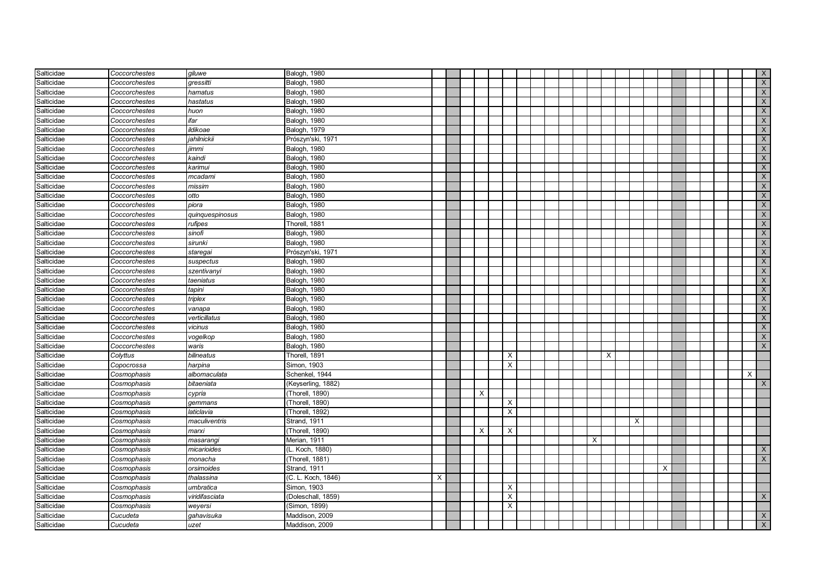| Salticidae | Coccorchestes | giluwe          | Balogh, 1980       |   |  |                           |          |  |  |   |          |   |          |  |  | X              |
|------------|---------------|-----------------|--------------------|---|--|---------------------------|----------|--|--|---|----------|---|----------|--|--|----------------|
| Salticidae | Coccorchestes | qressitti       | Balogh, 1980       |   |  |                           |          |  |  |   |          |   |          |  |  | $\overline{X}$ |
| Salticidae | Coccorchestes | hamatus         | Balogh, 1980       |   |  |                           |          |  |  |   |          |   |          |  |  | $\mathsf{X}$   |
| Salticidae | Coccorchestes | hastatus        | Balogh, 1980       |   |  |                           |          |  |  |   |          |   |          |  |  | $\overline{X}$ |
| Salticidae | Coccorchestes | huon            | Balogh, 1980       |   |  |                           |          |  |  |   |          |   |          |  |  | X              |
| Salticidae | Coccorchestes | ifar            | Balogh, 1980       |   |  |                           |          |  |  |   |          |   |          |  |  | X              |
| Salticidae | Coccorchestes | ildikoae        | Balogh, 1979       |   |  |                           |          |  |  |   |          |   |          |  |  | $\overline{X}$ |
| Salticidae | Coccorchestes | jahilnickii     | Prószyn'ski, 1971  |   |  |                           |          |  |  |   |          |   |          |  |  | X              |
| Salticidae | Coccorchestes | jimmi           | Balogh, 1980       |   |  |                           |          |  |  |   |          |   |          |  |  | $\overline{X}$ |
| Salticidae | Coccorchestes | kaindi          | Balogh, 1980       |   |  |                           |          |  |  |   |          |   |          |  |  | X              |
| Salticidae | Coccorchestes | karimui         | Balogh, 1980       |   |  |                           |          |  |  |   |          |   |          |  |  | $\mathsf X$    |
| Salticidae | Coccorchestes | mcadami         | Balogh, 1980       |   |  |                           |          |  |  |   |          |   |          |  |  | $\mathsf{X}$   |
| Salticidae | Coccorchestes | missim          | Balogh, 1980       |   |  |                           |          |  |  |   |          |   |          |  |  | $\mathsf{X}$   |
| Salticidae | Coccorchestes | otto            | Balogh, 1980       |   |  |                           |          |  |  |   |          |   |          |  |  | $\times$       |
| Salticidae | Coccorchestes | piora           | Balogh, 1980       |   |  |                           |          |  |  |   |          |   |          |  |  | $\mathsf X$    |
| Salticidae | Coccorchestes | quinquespinosus | Balogh, 1980       |   |  |                           |          |  |  |   |          |   |          |  |  | $\mathsf{X}$   |
| Salticidae | Coccorchestes | rufipes         | Thorell, 1881      |   |  |                           |          |  |  |   |          |   |          |  |  | $\mathsf{X}$   |
| Salticidae | Coccorchestes | sinofi          | Balogh, 1980       |   |  |                           |          |  |  |   |          |   |          |  |  | $\mathsf{X}$   |
| Salticidae | Coccorchestes | sirunki         | Balogh, 1980       |   |  |                           |          |  |  |   |          |   |          |  |  | $\mathsf{X}$   |
| Salticidae | Coccorchestes | staregai        | Prószyn'ski, 1971  |   |  |                           |          |  |  |   |          |   |          |  |  | $\overline{X}$ |
| Salticidae | Coccorchestes | suspectus       | Balogh, 1980       |   |  |                           |          |  |  |   |          |   |          |  |  | $\times$       |
| Salticidae | Coccorchestes | szentivanyi     | Balogh, 1980       |   |  |                           |          |  |  |   |          |   |          |  |  | $\times$       |
| Salticidae | Coccorchestes | taeniatus       | Balogh, 1980       |   |  |                           |          |  |  |   |          |   |          |  |  | $\mathsf X$    |
| Salticidae | Coccorchestes | tapini          | Balogh, 1980       |   |  |                           |          |  |  |   |          |   |          |  |  | $\mathsf{X}$   |
| Salticidae | Coccorchestes | triplex         | Balogh, 1980       |   |  |                           |          |  |  |   |          |   |          |  |  | $\mathsf{X}$   |
| Salticidae | Coccorchestes | vanapa          | Balogh, 1980       |   |  |                           |          |  |  |   |          |   |          |  |  | $\overline{X}$ |
| Salticidae | Coccorchestes | verticillatus   | Balogh, 1980       |   |  |                           |          |  |  |   |          |   |          |  |  | $\mathsf{X}$   |
| Salticidae | Coccorchestes | vicinus         | Balogh, 1980       |   |  |                           |          |  |  |   |          |   |          |  |  | X              |
| Salticidae | Coccorchestes | vogelkop        | Balogh, 1980       |   |  |                           |          |  |  |   |          |   |          |  |  | X              |
| Salticidae | Coccorchestes | waris           | Balogh, 1980       |   |  |                           |          |  |  |   |          |   |          |  |  | X              |
| Salticidae | Colyttus      | bilineatus      | Thorell, 1891      |   |  |                           | $\times$ |  |  |   | $\times$ |   |          |  |  |                |
| Salticidae | Copocrossa    | harpina         | Simon, 1903        |   |  |                           | $\times$ |  |  |   |          |   |          |  |  |                |
| Salticidae | Cosmophasis   | albomaculata    | Schenkel, 1944     |   |  |                           |          |  |  |   |          |   |          |  |  | $\times$       |
| Salticidae | Cosmophasis   | bitaeniata      | (Keyserling, 1882) |   |  |                           |          |  |  |   |          |   |          |  |  | X              |
| Salticidae | Cosmophasis   | cypria          | (Thorell, 1890)    |   |  | $\times$                  |          |  |  |   |          |   |          |  |  |                |
| Salticidae | Cosmophasis   | gemmans         | (Thorell, 1890)    |   |  |                           | $\times$ |  |  |   |          |   |          |  |  |                |
| Salticidae | Cosmophasis   | laticlavia      | (Thorell, 1892)    |   |  |                           | $\times$ |  |  |   |          |   |          |  |  |                |
| Salticidae | Cosmophasis   | maculiventris   | Strand, 1911       |   |  |                           |          |  |  |   |          | X |          |  |  |                |
| Salticidae | Cosmophasis   | marxi           | (Thorell, 1890)    |   |  | $\boldsymbol{\mathsf{X}}$ | X        |  |  |   |          |   |          |  |  |                |
| Salticidae | Cosmophasis   | masarangi       | Merian, 1911       |   |  |                           |          |  |  | X |          |   |          |  |  |                |
| Salticidae | Cosmophasis   | micarioides     | (L. Koch, 1880)    |   |  |                           |          |  |  |   |          |   |          |  |  | $\mathsf{X}$   |
| Salticidae | Cosmophasis   | monacha         | (Thorell, 1881)    |   |  |                           |          |  |  |   |          |   |          |  |  | X              |
| Salticidae | Cosmophasis   | orsimoides      | Strand, 1911       |   |  |                           |          |  |  |   |          |   | $\times$ |  |  |                |
| Salticidae | Cosmophasis   | thalassina      | (C. L. Koch, 1846) | X |  |                           |          |  |  |   |          |   |          |  |  |                |
| Salticidae | Cosmophasis   | umbratica       | Simon, 1903        |   |  |                           | $\times$ |  |  |   |          |   |          |  |  |                |
| Salticidae | Cosmophasis   | viridifasciata  | (Doleschall, 1859) |   |  |                           | $\sf X$  |  |  |   |          |   |          |  |  | $\mathsf{X}$   |
| Salticidae | Cosmophasis   | weyersi         | Simon, 1899)       |   |  |                           | X        |  |  |   |          |   |          |  |  |                |
| Salticidae | Cucudeta      | qahavisuka      | Maddison, 2009     |   |  |                           |          |  |  |   |          |   |          |  |  | X              |
| Salticidae | Cucudeta      | uzet            | Maddison, 2009     |   |  |                           |          |  |  |   |          |   |          |  |  | $\mathsf X$    |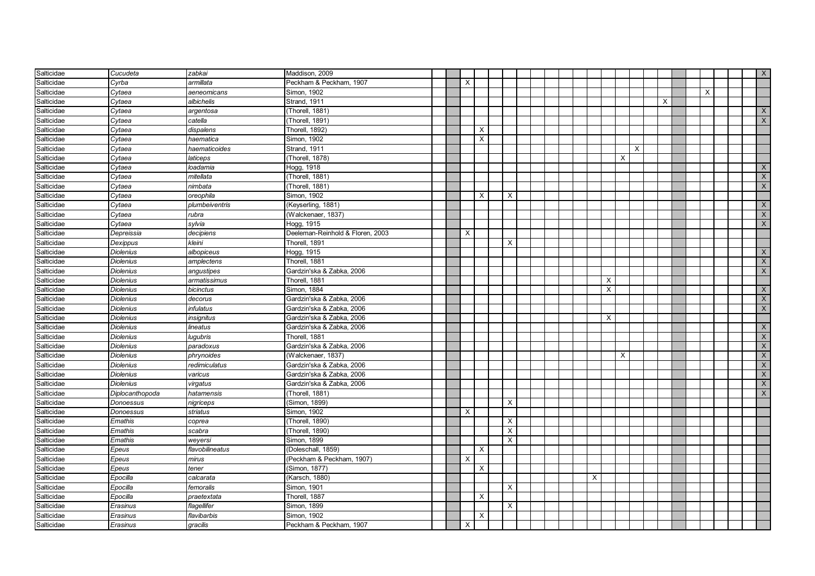| Salticidae | Cucudeta         | zabkai          | Maddison, 2009                   |  |          |          |                           |  |   |          |          |   |   |  |          |  | $\mathsf{X}$   |
|------------|------------------|-----------------|----------------------------------|--|----------|----------|---------------------------|--|---|----------|----------|---|---|--|----------|--|----------------|
| Salticidae | Cyrba            | armillata       | Peckham & Peckham, 1907          |  | $\times$ |          |                           |  |   |          |          |   |   |  |          |  |                |
| Salticidae | Cytaea           | aeneomicans     | Simon, 1902                      |  |          |          |                           |  |   |          |          |   |   |  | $\times$ |  |                |
| Salticidae | Cytaea           | albichelis      | Strand, 1911                     |  |          |          |                           |  |   |          |          |   | X |  |          |  |                |
| Salticidae | Cytaea           | argentosa       | Thorell, 1881)                   |  |          |          |                           |  |   |          |          |   |   |  |          |  | X              |
| Salticidae | Cytaea           | catella         | Thorell, 1891)                   |  |          |          |                           |  |   |          |          |   |   |  |          |  | $\mathsf{X}$   |
| Salticidae | Cytaea           | dispalens       | Thorell, 1892)                   |  |          | Х        |                           |  |   |          |          |   |   |  |          |  |                |
| Salticidae | Cytaea           | haematica       | Simon, 1902                      |  |          | X        |                           |  |   |          |          |   |   |  |          |  |                |
| Salticidae | Cytaea           | haematicoides   | Strand, 1911                     |  |          |          |                           |  |   |          |          | X |   |  |          |  |                |
| Salticidae | Cytaea           | laticeps        | (Thorell, 1878)                  |  |          |          |                           |  |   |          | $\times$ |   |   |  |          |  |                |
| Salticidae | Cytaea           | loadamia        | Hogg, 1918                       |  |          |          |                           |  |   |          |          |   |   |  |          |  | X              |
| Salticidae | Cytaea           | mitellata       | (Thorell, 1881)                  |  |          |          |                           |  |   |          |          |   |   |  |          |  | $\mathsf{X}$   |
| Salticidae | Cytaea           | nimbata         | (Thorell, 1881)                  |  |          |          |                           |  |   |          |          |   |   |  |          |  | $\times$       |
| Salticidae | Cytaea           | oreophila       | Simon, 1902                      |  |          | $\times$ | $\boldsymbol{\mathsf{X}}$ |  |   |          |          |   |   |  |          |  |                |
| Salticidae | Cytaea           | plumbeiventris  | (Keyserling, 1881)               |  |          |          |                           |  |   |          |          |   |   |  |          |  | X              |
| Salticidae | Cytaea           | rubra           | (Walckenaer, 1837)               |  |          |          |                           |  |   |          |          |   |   |  |          |  | $\mathsf{X}$   |
| Salticidae | Cytaea           | sylvia          | Hogg, 1915                       |  |          |          |                           |  |   |          |          |   |   |  |          |  | X              |
| Salticidae | Depreissia       | decipiens       | Deeleman-Reinhold & Floren, 2003 |  | X        |          |                           |  |   |          |          |   |   |  |          |  |                |
| Salticidae | Dexippus         | kleini          | Thorell, 1891                    |  |          |          | Χ                         |  |   |          |          |   |   |  |          |  |                |
| Salticidae | <b>Diolenius</b> | albopiceus      | Hogg, 1915                       |  |          |          |                           |  |   |          |          |   |   |  |          |  | $\mathsf{X}$   |
| Salticidae | <b>Diolenius</b> | amplectens      | Thorell, 1881                    |  |          |          |                           |  |   |          |          |   |   |  |          |  | $\mathsf{X}$   |
| Salticidae | <b>Diolenius</b> | angustipes      | Gardzin'ska & Zabka, 2006        |  |          |          |                           |  |   |          |          |   |   |  |          |  | $\overline{X}$ |
| Salticidae | <b>Diolenius</b> | armatissimus    | Thorell. 1881                    |  |          |          |                           |  |   | $\times$ |          |   |   |  |          |  |                |
| Salticidae | <b>Diolenius</b> | bicinctus       | Simon. 1884                      |  |          |          |                           |  |   | $\sf X$  |          |   |   |  |          |  | $\mathsf{X}$   |
| Salticidae | <b>Diolenius</b> | decorus         | Gardzin'ska & Zabka, 2006        |  |          |          |                           |  |   |          |          |   |   |  |          |  | $\mathsf{X}^-$ |
| Salticidae | <b>Diolenius</b> | infulatus       | Gardzin'ska & Zabka, 2006        |  |          |          |                           |  |   |          |          |   |   |  |          |  | $\mathsf{X}$   |
| Salticidae | <b>Diolenius</b> | insignitus      | Gardzin'ska & Zabka, 2006        |  |          |          |                           |  |   | X        |          |   |   |  |          |  |                |
| Salticidae | <b>Diolenius</b> | lineatus        | Gardzin'ska & Zabka, 2006        |  |          |          |                           |  |   |          |          |   |   |  |          |  | $\times$       |
| Salticidae | <b>Diolenius</b> | lugubris        | Thorell, 1881                    |  |          |          |                           |  |   |          |          |   |   |  |          |  | $\mathsf{X}$   |
| Salticidae | Diolenius        | paradoxus       | Gardzin'ska & Zabka, 2006        |  |          |          |                           |  |   |          |          |   |   |  |          |  | $\times$       |
| Salticidae | <b>Diolenius</b> | phrynoides      | (Walckenaer, 1837)               |  |          |          |                           |  |   |          | $\times$ |   |   |  |          |  | X              |
| Salticidae | <b>Diolenius</b> | redimiculatus   | Gardzin'ska & Zabka, 2006        |  |          |          |                           |  |   |          |          |   |   |  |          |  | $\times$       |
| Salticidae | <b>Diolenius</b> | varicus         | Gardzin'ska & Zabka, 2006        |  |          |          |                           |  |   |          |          |   |   |  |          |  | $\overline{X}$ |
| Salticidae | <b>Diolenius</b> | virgatus        | Gardzin'ska & Zabka, 2006        |  |          |          |                           |  |   |          |          |   |   |  |          |  | $\mathsf{X}$   |
| Salticidae | Diplocanthopoda  | hatamensis      | (Thorell, 1881)                  |  |          |          |                           |  |   |          |          |   |   |  |          |  | $\mathsf{X}$   |
| Salticidae | Donoessus        | nigriceps       | (Simon, 1899)                    |  |          |          | Χ                         |  |   |          |          |   |   |  |          |  |                |
| Salticidae | Donoessus        | striatus        | Simon, 1902                      |  | $\times$ |          |                           |  |   |          |          |   |   |  |          |  |                |
| Salticidae | Emathis          | coprea          | (Thorell, 1890)                  |  |          |          | $\times$                  |  |   |          |          |   |   |  |          |  |                |
| Salticidae | Emathis          | scabra          | (Thorell, 1890)                  |  |          |          | $\boldsymbol{\mathsf{X}}$ |  |   |          |          |   |   |  |          |  |                |
| Salticidae | Emathis          | weyersi         | Simon, 1899                      |  |          |          | $\boldsymbol{\mathsf{X}}$ |  |   |          |          |   |   |  |          |  |                |
| Salticidae | Epeus            | flavobilineatus | (Doleschall, 1859)               |  |          | $\times$ |                           |  |   |          |          |   |   |  |          |  |                |
| Salticidae | Epeus            | mirus           | (Peckham & Peckham, 1907)        |  | X        |          |                           |  |   |          |          |   |   |  |          |  |                |
| Salticidae | Epeus            | tener           | Simon, 1877)                     |  |          | $\times$ |                           |  |   |          |          |   |   |  |          |  |                |
| Salticidae | Epocilla         | calcarata       | (Karsch, 1880)                   |  |          |          |                           |  | X |          |          |   |   |  |          |  |                |
| Salticidae | Epocilla         | femoralis       | Simon, 1901                      |  |          |          | X                         |  |   |          |          |   |   |  |          |  |                |
| Salticidae | Epocilla         | praetextata     | Thorell, 1887                    |  |          | х        |                           |  |   |          |          |   |   |  |          |  |                |
| Salticidae | Erasinus         | lagellifer      | Simon, 1899                      |  |          |          | X                         |  |   |          |          |   |   |  |          |  |                |
| Salticidae | Erasinus         | flavibarbis     | Simon, 1902                      |  |          | X        |                           |  |   |          |          |   |   |  |          |  |                |
| Salticidae | Erasinus         | gracilis        | Peckham & Peckham, 1907          |  | X        |          |                           |  |   |          |          |   |   |  |          |  |                |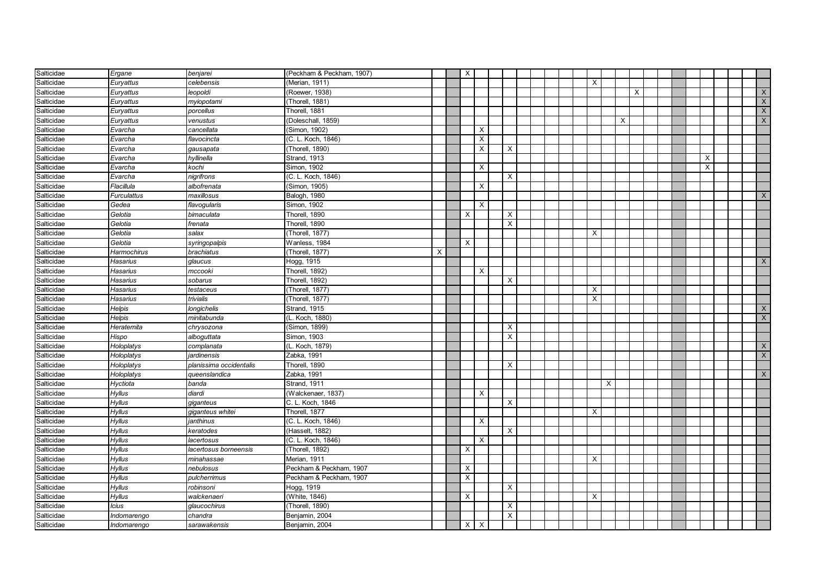| Salticidae | Ergane             | benjarei                | (Peckham & Peckham, 1907) |   | X        |                           |                |  |  |          |          |                           |          |  |          |  |              |
|------------|--------------------|-------------------------|---------------------------|---|----------|---------------------------|----------------|--|--|----------|----------|---------------------------|----------|--|----------|--|--------------|
| Salticidae | Euryattus          | celebensis              | (Merian, 1911)            |   |          |                           |                |  |  | X        |          |                           |          |  |          |  |              |
| Salticidae | Euryattus          | leopoldi                | (Roewer, 1938)            |   |          |                           |                |  |  |          |          |                           | $\times$ |  |          |  | $\mathsf{X}$ |
| Salticidae | Euryattus          | myiopotami              | (Thorell, 1881)           |   |          |                           |                |  |  |          |          |                           |          |  |          |  | $\mathsf{X}$ |
| Salticidae | Euryattus          | porcellus               | Thorell, 1881             |   |          |                           |                |  |  |          |          |                           |          |  |          |  | $\times$     |
| Salticidae | Euryattus          | venustus                | (Doleschall, 1859)        |   |          |                           |                |  |  |          |          | $\boldsymbol{\mathsf{X}}$ |          |  |          |  | X            |
| Salticidae | Evarcha            | cancellata              | (Simon, 1902)             |   |          | $\boldsymbol{\mathsf{X}}$ |                |  |  |          |          |                           |          |  |          |  |              |
| Salticidae | Evarcha            | flavocincta             | (C. L. Koch, 1846)        |   |          | $\boldsymbol{\mathsf{X}}$ |                |  |  |          |          |                           |          |  |          |  |              |
| Salticidae | Evarcha            | gausapata               | (Thorell, 1890)           |   |          | $\boldsymbol{\mathsf{X}}$ | X              |  |  |          |          |                           |          |  |          |  |              |
| Salticidae | Evarcha            | hyllinella              | <b>Strand, 1913</b>       |   |          |                           |                |  |  |          |          |                           |          |  | $\times$ |  |              |
| Salticidae | Evarcha            | kochi                   | Simon, 1902               |   |          | $\boldsymbol{\mathsf{X}}$ |                |  |  |          |          |                           |          |  | X        |  |              |
| Salticidae | Evarcha            | nigrifrons              | (C. L. Koch, 1846)        |   |          |                           | X              |  |  |          |          |                           |          |  |          |  |              |
| Salticidae | Flacillula         | albofrenata             | (Simon, 1905)             |   |          | $\times$                  |                |  |  |          |          |                           |          |  |          |  |              |
| Salticidae | <b>Furculattus</b> | maxillosus              | Balogh, 1980              |   |          |                           |                |  |  |          |          |                           |          |  |          |  | X            |
| Salticidae | Gedea              | flavogularis            | Simon, 1902               |   |          | $\times$                  |                |  |  |          |          |                           |          |  |          |  |              |
| Salticidae | Gelotia            | bimaculata              | Thorell, 1890             |   | X        |                           | X              |  |  |          |          |                           |          |  |          |  |              |
| Salticidae | Gelotia            | frenata                 | Thorell, 1890             |   |          |                           | X              |  |  |          |          |                           |          |  |          |  |              |
| Salticidae | Gelotia            | salax                   | (Thorell, 1877)           |   |          |                           |                |  |  | $\times$ |          |                           |          |  |          |  |              |
| Salticidae | Gelotia            | syringopalpis           | Wanless, 1984             |   | X        |                           |                |  |  |          |          |                           |          |  |          |  |              |
| Salticidae | Harmochirus        | brachiatus              | (Thorell, 1877)           | X |          |                           |                |  |  |          |          |                           |          |  |          |  |              |
| Salticidae | Hasarius           | glaucus                 | Hogg, 1915                |   |          |                           |                |  |  |          |          |                           |          |  |          |  | $\times$     |
| Salticidae | Hasarius           | mccooki                 | Thorell, 1892)            |   |          | $\times$                  |                |  |  |          |          |                           |          |  |          |  |              |
| Salticidae | Hasarius           | sobarus                 | Thorell, 1892)            |   |          |                           | X              |  |  |          |          |                           |          |  |          |  |              |
| Salticidae | Hasarius           | testaceus               | (Thorell, 1877)           |   |          |                           |                |  |  | X        |          |                           |          |  |          |  |              |
| Salticidae | Hasarius           | trivialis               | (Thorell, 1877)           |   |          |                           |                |  |  | X        |          |                           |          |  |          |  |              |
| Salticidae | Helpis             | longichelis             | Strand, 1915              |   |          |                           |                |  |  |          |          |                           |          |  |          |  | X            |
| Salticidae | Helpis             | minitabunda             | (L. Koch, 1880)           |   |          |                           |                |  |  |          |          |                           |          |  |          |  | $\times$     |
| Salticidae | Heratemita         | chrysozona              | (Simon, 1899)             |   |          |                           | X              |  |  |          |          |                           |          |  |          |  |              |
| Salticidae | Hispo              | alboguttata             | Simon, 1903               |   |          |                           | $\pmb{\times}$ |  |  |          |          |                           |          |  |          |  |              |
| Salticidae | Holoplatys         | complanata              | (L. Koch, 1879)           |   |          |                           |                |  |  |          |          |                           |          |  |          |  | X            |
| Salticidae | Holoplatys         | jardinensis             | Zabka, 1991               |   |          |                           |                |  |  |          |          |                           |          |  |          |  | $\mathsf{X}$ |
| Salticidae | Holoplatys         | planissima occidentalis | Thorell, 1890             |   |          |                           | $\times$       |  |  |          |          |                           |          |  |          |  |              |
| Salticidae | Holoplatys         | queenslandica           | Zabka, 1991               |   |          |                           |                |  |  |          |          |                           |          |  |          |  | $\mathsf{X}$ |
| Salticidae | Hyctiota           | banda                   | Strand, 1911              |   |          |                           |                |  |  |          | $\times$ |                           |          |  |          |  |              |
| Salticidae | <b>Hyllus</b>      | diardi                  | (Walckenaer, 1837)        |   |          | $\times$                  |                |  |  |          |          |                           |          |  |          |  |              |
| Salticidae | Hyllus             | giganteus               | C. L. Koch, 1846          |   |          |                           | $\times$       |  |  |          |          |                           |          |  |          |  |              |
| Salticidae | <b>Hyllus</b>      | giganteus whitei        | Thorell, 1877             |   |          |                           |                |  |  | $\times$ |          |                           |          |  |          |  |              |
| Salticidae | Hyllus             | janthinus               | (C. L. Koch, 1846)        |   |          | $\times$                  |                |  |  |          |          |                           |          |  |          |  |              |
| Salticidae | Hyllus             | keratodes               | (Hasselt, 1882)           |   |          |                           | $\times$       |  |  |          |          |                           |          |  |          |  |              |
| Salticidae | Hyllus             | lacertosus              | (C. L. Koch, 1846)        |   |          | $\times$                  |                |  |  |          |          |                           |          |  |          |  |              |
| Salticidae | <b>Hyllus</b>      | lacertosus borneensis   | (Thorell, 1892)           |   | $\times$ |                           |                |  |  |          |          |                           |          |  |          |  |              |
| Salticidae | Hyllus             | minahassae              | Merian, 1911              |   |          |                           |                |  |  | X        |          |                           |          |  |          |  |              |
| Salticidae | <b>Hyllus</b>      | nebulosus               | Peckham & Peckham, 1907   |   | $\times$ |                           |                |  |  |          |          |                           |          |  |          |  |              |
| Salticidae | Hyllus             | pulcherrimus            | Peckham & Peckham, 1907   |   | X        |                           |                |  |  |          |          |                           |          |  |          |  |              |
| Salticidae | <b>Hyllus</b>      | robinsoni               | Hogg, 1919                |   |          |                           | X              |  |  |          |          |                           |          |  |          |  |              |
| Salticidae | Hyllus             | walckenaeri             | (White, 1846)             |   | X        |                           |                |  |  | X        |          |                           |          |  |          |  |              |
| Salticidae | Icius              | glaucochirus            | (Thorell, 1890)           |   |          |                           | X              |  |  |          |          |                           |          |  |          |  |              |
| Salticidae | Indomarengo        | chandra                 | Benjamin, 2004            |   |          |                           | X              |  |  |          |          |                           |          |  |          |  |              |
| Salticidae | Indomarengo        | sarawakensis            | Benjamin, 2004            |   | X        | $\mathsf{X}$              |                |  |  |          |          |                           |          |  |          |  |              |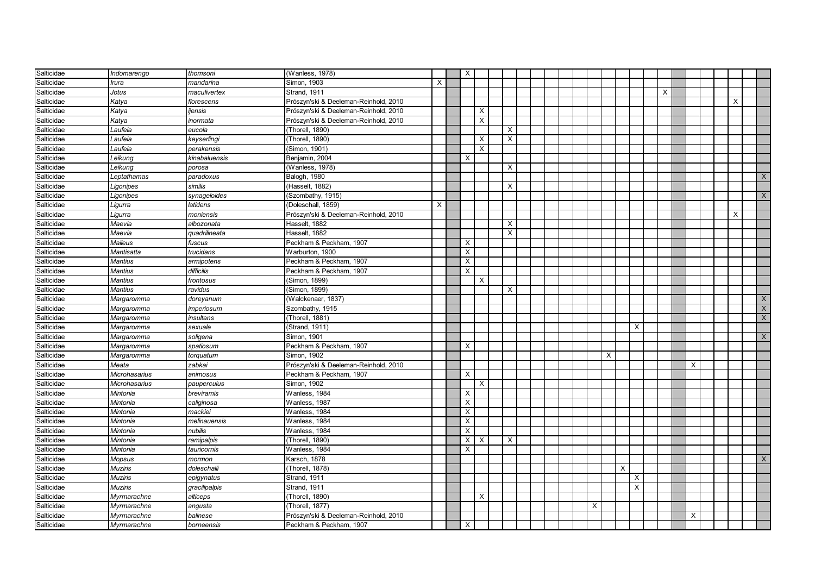| Salticidae | Indomarengo          | thomsoni      | (Wanless, 1978)                       |          | X        |          |                           |  |  |   |                |          |   |  |          |                         |
|------------|----------------------|---------------|---------------------------------------|----------|----------|----------|---------------------------|--|--|---|----------------|----------|---|--|----------|-------------------------|
| Salticidae | <b>Irura</b>         | mandarina     | Simon, 1903                           | $\times$ |          |          |                           |  |  |   |                |          |   |  |          |                         |
| Salticidae | Jotus                | maculivertex  | Strand, 1911                          |          |          |          |                           |  |  |   |                | $\times$ |   |  |          |                         |
| Salticidae | Katya                | florescens    | Prószyn'ski & Deeleman-Reinhold, 2010 |          |          |          |                           |  |  |   |                |          |   |  | $\times$ |                         |
| Salticidae | Katya                | ijensis       | Prószyn'ski & Deeleman-Reinhold, 2010 |          |          | X        |                           |  |  |   |                |          |   |  |          |                         |
| Salticidae | Katya                | inormata      | Prószyn'ski & Deeleman-Reinhold, 2010 |          |          | $\times$ |                           |  |  |   |                |          |   |  |          |                         |
| Salticidae | Laufeia              | eucola        | (Thorell, 1890)                       |          |          |          | X                         |  |  |   |                |          |   |  |          |                         |
| Salticidae | Laufeia              | keyserlingi   | (Thorell, 1890)                       |          |          | X        | X                         |  |  |   |                |          |   |  |          |                         |
| Salticidae | Laufeia              | perakensis    | (Simon, 1901)                         |          |          | X        |                           |  |  |   |                |          |   |  |          |                         |
| Salticidae | Leikung              | kinabaluensis | Benjamin, 2004                        |          | $\times$ |          |                           |  |  |   |                |          |   |  |          |                         |
| Salticidae | Leikung              | porosa        | (Wanless, 1978)                       |          |          |          | X                         |  |  |   |                |          |   |  |          |                         |
| Salticidae | Leptathamas          | paradoxus     | Balogh, 1980                          |          |          |          |                           |  |  |   |                |          |   |  |          | $\times$                |
| Salticidae | Ligonipes            | similis       | (Hasselt, 1882)                       |          |          |          | X                         |  |  |   |                |          |   |  |          |                         |
| Salticidae | Ligonipes            | synageloides  | (Szombathy, 1915)                     |          |          |          |                           |  |  |   |                |          |   |  |          | $\mathsf{X}$            |
| Salticidae | Ligurra              | latidens      | (Doleschall, 1859)                    | X        |          |          |                           |  |  |   |                |          |   |  |          |                         |
| Salticidae | Ligurra              | moniensis     | Prószyn'ski & Deeleman-Reinhold, 2010 |          |          |          |                           |  |  |   |                |          |   |  | $\sf X$  |                         |
| Salticidae | Maevia               | albozonata    | Hasselt, 1882                         |          |          |          | $\boldsymbol{\mathsf{X}}$ |  |  |   |                |          |   |  |          |                         |
| Salticidae | Maevia               | quadrilineata | Hasselt, 1882                         |          |          |          | X                         |  |  |   |                |          |   |  |          |                         |
| Salticidae | Maileus              | fuscus        | Peckham & Peckham, 1907               |          | X        |          |                           |  |  |   |                |          |   |  |          |                         |
| Salticidae | Mantisatta           | trucidans     | Warburton, 1900                       |          | X        |          |                           |  |  |   |                |          |   |  |          |                         |
| Salticidae | <b>Mantius</b>       | armipotens    | Peckham & Peckham, 1907               |          | X        |          |                           |  |  |   |                |          |   |  |          |                         |
| Salticidae | <b>Mantius</b>       | difficilis    | Peckham & Peckham, 1907               |          | X        |          |                           |  |  |   |                |          |   |  |          |                         |
| Salticidae | <b>Mantius</b>       | frontosus     | (Simon, 1899)                         |          |          | X        |                           |  |  |   |                |          |   |  |          |                         |
| Salticidae | <b>Mantius</b>       | ravidus       | (Simon, 1899)                         |          |          |          | X                         |  |  |   |                |          |   |  |          |                         |
| Salticidae | Margaromma           | doreyanum     | (Walckenaer, 1837)                    |          |          |          |                           |  |  |   |                |          |   |  |          | X                       |
| Salticidae | Margaromma           | imperiosum    | Szombathy, 1915                       |          |          |          |                           |  |  |   |                |          |   |  |          | $\overline{\mathsf{X}}$ |
| Salticidae | Margaromma           | insultans     | (Thorell, 1881)                       |          |          |          |                           |  |  |   |                |          |   |  |          | $\mathsf X$             |
| Salticidae | Margaromma           | sexuale       | (Strand, 1911)                        |          |          |          |                           |  |  |   | X              |          |   |  |          |                         |
| Salticidae | Margaromma           | soligena      | Simon, 1901                           |          |          |          |                           |  |  |   |                |          |   |  |          | X                       |
| Salticidae | Margaromma           | spatiosum     | Peckham & Peckham, 1907               |          | X        |          |                           |  |  |   |                |          |   |  |          |                         |
| Salticidae | Margaromma           | torquatum     | Simon, 1902                           |          |          |          |                           |  |  | X |                |          |   |  |          |                         |
| Salticidae | Meata                | zabkai        | Prószyn'ski & Deeleman-Reinhold, 2010 |          |          |          |                           |  |  |   |                |          | X |  |          |                         |
| Salticidae | Microhasarius        | animosus      | Peckham & Peckham, 1907               |          | $\times$ |          |                           |  |  |   |                |          |   |  |          |                         |
| Salticidae | <b>Microhasarius</b> | pauperculus   | Simon, 1902                           |          |          | $\times$ |                           |  |  |   |                |          |   |  |          |                         |
| Salticidae | Mintonia             | breviramis    | Wanless, 1984                         |          | X        |          |                           |  |  |   |                |          |   |  |          |                         |
| Salticidae | Mintonia             | caliginosa    | Wanless, 1987                         |          | X        |          |                           |  |  |   |                |          |   |  |          |                         |
| Salticidae | Mintonia             | mackiei       | Wanless, 1984                         |          | X        |          |                           |  |  |   |                |          |   |  |          |                         |
| Salticidae | Mintonia             | melinauensis  | Wanless, 1984                         |          | X        |          |                           |  |  |   |                |          |   |  |          |                         |
| Salticidae | Mintonia             | nubilis       | Wanless, 1984                         |          | X        |          |                           |  |  |   |                |          |   |  |          |                         |
| Salticidae | Mintonia             | ramipalpis    | (Thorell, 1890)                       |          | X        | X        | $\times$                  |  |  |   |                |          |   |  |          |                         |
| Salticidae | Mintonia             | tauricornis   | Wanless, 1984                         |          | $\times$ |          |                           |  |  |   |                |          |   |  |          |                         |
| Salticidae | Mopsus               | mormon        | Karsch, 1878                          |          |          |          |                           |  |  |   |                |          |   |  |          | $\times$                |
| Salticidae | <b>Muziris</b>       | doleschalli   | (Thorell, 1878)                       |          |          |          |                           |  |  |   | $\times$       |          |   |  |          |                         |
| Salticidae | <b>Muziris</b>       | epigynatus    | Strand, 1911                          |          |          |          |                           |  |  |   | Χ              |          |   |  |          |                         |
| Salticidae | <b>Muziris</b>       | gracilipalpis | Strand, 1911                          |          |          |          |                           |  |  |   | $\overline{X}$ |          |   |  |          |                         |
| Salticidae | Myrmarachne          | alticeps      | (Thorell, 1890)                       |          |          | X        |                           |  |  |   |                |          |   |  |          |                         |
| Salticidae | Myrmarachne          | angusta       | Thorell, 1877)                        |          |          |          |                           |  |  | X |                |          |   |  |          |                         |
| Salticidae | Myrmarachne          | balinese      | Prószyn'ski & Deeleman-Reinhold, 2010 |          |          |          |                           |  |  |   |                |          | X |  |          |                         |
| Salticidae | Myrmarachne          | borneensis    | Peckham & Peckham, 1907               |          | Х        |          |                           |  |  |   |                |          |   |  |          |                         |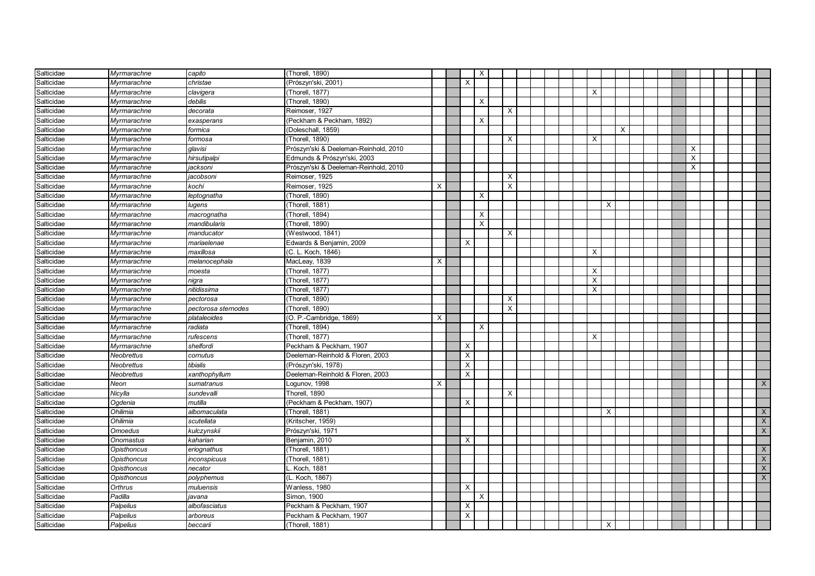| Salticidae | Myrmarachne        | capito              | (Thorell, 1890)                       |   |          | $\boldsymbol{\mathsf{X}}$ |          |  |          |          |   |  |   |  |                |
|------------|--------------------|---------------------|---------------------------------------|---|----------|---------------------------|----------|--|----------|----------|---|--|---|--|----------------|
| Salticidae | Mvrmarachne        | christae            | (Prószyn'ski, 2001)                   |   | $\times$ |                           |          |  |          |          |   |  |   |  |                |
| Salticidae | Myrmarachne        | clavigera           | (Thorell, 1877)                       |   |          |                           |          |  | X        |          |   |  |   |  |                |
| Salticidae | Myrmarachne        | debilis             | (Thorell, 1890)                       |   |          | X                         |          |  |          |          |   |  |   |  |                |
| Salticidae | Myrmarachne        | decorata            | Reimoser, 1927                        |   |          |                           | X        |  |          |          |   |  |   |  |                |
| Salticidae | Myrmarachne        | exasperans          | (Peckham & Peckham, 1892)             |   |          | X                         |          |  |          |          |   |  |   |  |                |
| Salticidae | Myrmarachne        | formica             | (Doleschall, 1859)                    |   |          |                           |          |  |          |          | X |  |   |  |                |
| Salticidae | Myrmarachne        | formosa             | (Thorell, 1890)                       |   |          |                           | X        |  | X        |          |   |  |   |  |                |
| Salticidae | Myrmarachne        | glavisi             | Prószyn'ski & Deeleman-Reinhold, 2010 |   |          |                           |          |  |          |          |   |  | X |  |                |
| Salticidae | Myrmarachne        | hirsutipalpi        | Edmunds & Prószyn'ski, 2003           |   |          |                           |          |  |          |          |   |  | X |  |                |
| Salticidae | Myrmarachne        | jacksoni            | Prószyn'ski & Deeleman-Reinhold, 2010 |   |          |                           |          |  |          |          |   |  | X |  |                |
| Salticidae | Myrmarachne        | jacobsoni           | Reimoser, 1925                        |   |          |                           | X        |  |          |          |   |  |   |  |                |
| Salticidae | Myrmarachne        | kochi               | Reimoser, 1925                        | X |          |                           | $\times$ |  |          |          |   |  |   |  |                |
| Salticidae | Myrmarachne        | leptognatha         | (Thorell, 1890)                       |   |          | $\times$                  |          |  |          |          |   |  |   |  |                |
| Salticidae | Myrmarachne        | lugens              | (Thorell, 1881)                       |   |          |                           |          |  |          | X        |   |  |   |  |                |
| Salticidae | Myrmarachne        | macrognatha         | (Thorell, 1894)                       |   |          | $\times$                  |          |  |          |          |   |  |   |  |                |
| Salticidae | Myrmarachne        | mandibularis        | (Thorell, 1890)                       |   |          | $\boldsymbol{\mathsf{X}}$ |          |  |          |          |   |  |   |  |                |
| Salticidae | Myrmarachne        | manducator          | (Westwood, 1841)                      |   |          |                           | $\times$ |  |          |          |   |  |   |  |                |
| Salticidae | Myrmarachne        | mariaelenae         | Edwards & Benjamin, 2009              |   | Х        |                           |          |  |          |          |   |  |   |  |                |
| Salticidae | Myrmarachne        | maxillosa           | (C. L. Koch, 1846)                    |   |          |                           |          |  | X        |          |   |  |   |  |                |
| Salticidae | Myrmarachne        | melanocephala       | MacLeay, 1839                         | X |          |                           |          |  |          |          |   |  |   |  |                |
| Salticidae | Myrmarachne        | moesta              | (Thorell, 1877)                       |   |          |                           |          |  | X        |          |   |  |   |  |                |
| Salticidae | Myrmarachne        | nigra               | (Thorell, 1877)                       |   |          |                           |          |  | X        |          |   |  |   |  |                |
| Salticidae | Myrmarachne        | nitidissima         | (Thorell, 1877)                       |   |          |                           |          |  | $\times$ |          |   |  |   |  |                |
| Salticidae | Myrmarachne        | pectorosa           | (Thorell, 1890)                       |   |          |                           | X        |  |          |          |   |  |   |  |                |
| Salticidae | Myrmarachne        | pectorosa sternodes | (Thorell, 1890)                       |   |          |                           | $\times$ |  |          |          |   |  |   |  |                |
| Salticidae | Myrmarachne        | plataleoides        | (O. P.-Cambridge, 1869)               | X |          |                           |          |  |          |          |   |  |   |  |                |
| Salticidae | Myrmarachne        | radiata             | (Thorell, 1894)                       |   |          | $\times$                  |          |  |          |          |   |  |   |  |                |
| Salticidae | Myrmarachne        | rufescens           | (Thorell, 1877)                       |   |          |                           |          |  | X        |          |   |  |   |  |                |
| Salticidae | Myrmarachne        | shelfordi           | Peckham & Peckham, 1907               |   | X        |                           |          |  |          |          |   |  |   |  |                |
| Salticidae | <b>Neobrettus</b>  | cornutus            | Deeleman-Reinhold & Floren, 2003      |   | X        |                           |          |  |          |          |   |  |   |  |                |
| Salticidae | Neobrettus         | tibialis            | (Prószyn'ski, 1978)                   |   | $\times$ |                           |          |  |          |          |   |  |   |  |                |
| Salticidae | Neobrettus         | xanthophyllum       | Deeleman-Reinhold & Floren, 2003      |   | X        |                           |          |  |          |          |   |  |   |  |                |
| Salticidae | Neon               | sumatranus          | Logunov, 1998                         | X |          |                           |          |  |          |          |   |  |   |  | $\times$       |
| Salticidae | Nicylla            | sundevalli          | Thorell, 1890                         |   |          |                           | X        |  |          |          |   |  |   |  |                |
| Salticidae | Ogdenia            | mutilla             | (Peckham & Peckham, 1907)             |   | X        |                           |          |  |          |          |   |  |   |  |                |
| Salticidae | Ohilimia           | albomaculata        | (Thorell, 1881)                       |   |          |                           |          |  |          | $\times$ |   |  |   |  | $\mathsf{X}$   |
| Salticidae | Ohilimia           | scutellata          | (Kritscher, 1959)                     |   |          |                           |          |  |          |          |   |  |   |  | $\mathsf{X}$   |
| Salticidae | <b>Omoedus</b>     | kulczynskii         | Prószyn'ski, 1971                     |   |          |                           |          |  |          |          |   |  |   |  | $\mathsf{X}$   |
| Salticidae | Onomastus          | kaharian            | Benjamin, 2010                        |   | X        |                           |          |  |          |          |   |  |   |  |                |
| Salticidae | <b>Opisthoncus</b> | eriognathus         | (Thorell, 1881)                       |   |          |                           |          |  |          |          |   |  |   |  | X              |
| Salticidae | Opisthoncus        | inconspicuus        | Thorell, 1881)                        |   |          |                           |          |  |          |          |   |  |   |  | X              |
| Salticidae | <b>Opisthoncus</b> | necator             | Koch, 1881                            |   |          |                           |          |  |          |          |   |  |   |  | $\overline{X}$ |
| Salticidae | <b>Opisthoncus</b> | polyphemus          | (L. Koch, 1867)                       |   |          |                           |          |  |          |          |   |  |   |  | X              |
| Salticidae | Orthrus            | muluensis           | Wanless, 1980                         |   | $\times$ |                           |          |  |          |          |   |  |   |  |                |
| Salticidae | Padilla            | javana              | Simon, 1900                           |   |          | Χ                         |          |  |          |          |   |  |   |  |                |
| Salticidae | Palpelius          | albofasciatus       | Peckham & Peckham, 1907               |   | X        |                           |          |  |          |          |   |  |   |  |                |
| Salticidae | Palpelius          | arboreus            | Peckham & Peckham, 1907               |   | X        |                           |          |  |          |          |   |  |   |  |                |
| Salticidae | <b>Palpelius</b>   | beccarii            | (Thorell, 1881)                       |   |          |                           |          |  |          | $\times$ |   |  |   |  |                |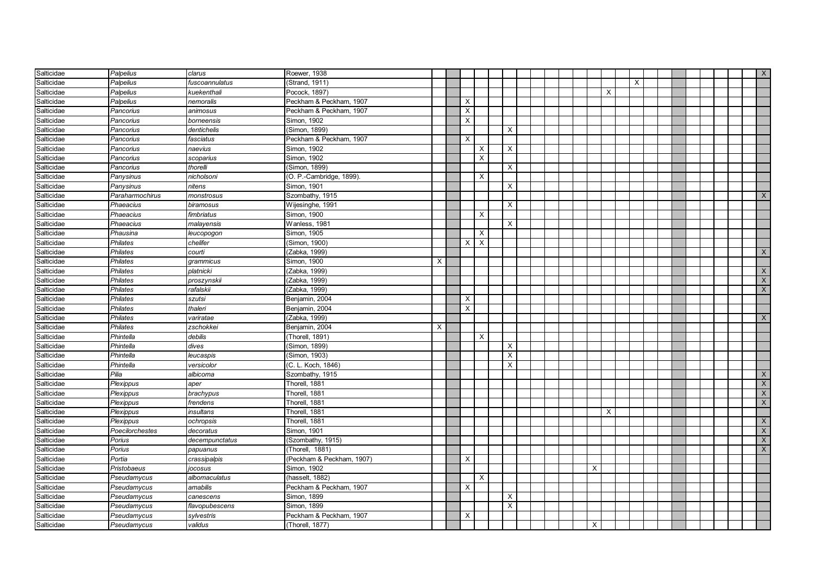| Salticidae | Palpelius       | clarus         | Roewer, 1938              |   |          |          |          |  |  |          |          |   |  |  |  | $\mathsf{X}$              |
|------------|-----------------|----------------|---------------------------|---|----------|----------|----------|--|--|----------|----------|---|--|--|--|---------------------------|
| Salticidae | Palpelius       | fuscoannulatus | (Strand, 1911)            |   |          |          |          |  |  |          |          | X |  |  |  |                           |
| Salticidae | Palpelius       | kuekenthali    | Pocock, 1897)             |   |          |          |          |  |  |          | X        |   |  |  |  |                           |
| Salticidae | Palpelius       | nemoralis      | Peckham & Peckham, 1907   |   | $\times$ |          |          |  |  |          |          |   |  |  |  |                           |
| Salticidae | Pancorius       | animosus       | Peckham & Peckham, 1907   |   | X        |          |          |  |  |          |          |   |  |  |  |                           |
| Salticidae | Pancorius       | borneensis     | Simon, 1902               |   | X        |          |          |  |  |          |          |   |  |  |  |                           |
| Salticidae | Pancorius       | dentichelis    | (Simon, 1899)             |   |          |          | X        |  |  |          |          |   |  |  |  |                           |
| Salticidae | Pancorius       | fasciatus      | Peckham & Peckham, 1907   |   | X        |          |          |  |  |          |          |   |  |  |  |                           |
| Salticidae | Pancorius       | naevius        | Simon, 1902               |   |          | X        | Χ        |  |  |          |          |   |  |  |  |                           |
| Salticidae | Pancorius       | scoparius      | Simon, 1902               |   |          | X        |          |  |  |          |          |   |  |  |  |                           |
| Salticidae | Pancorius       | thorelli       | (Simon, 1899)             |   |          |          | X        |  |  |          |          |   |  |  |  |                           |
| Salticidae | Panysinus       | nicholsoni     | (O. P.-Cambridge, 1899)   |   |          | X        |          |  |  |          |          |   |  |  |  |                           |
| Salticidae | Panysinus       | nitens         | Simon, 1901               |   |          |          | X        |  |  |          |          |   |  |  |  |                           |
| Salticidae | Paraharmochirus | monstrosus     | Szombathy, 1915           |   |          |          |          |  |  |          |          |   |  |  |  | $\mathsf{X}$              |
| Salticidae | Phaeacius       | biramosus      | Wijesinghe, 1991          |   |          |          | X        |  |  |          |          |   |  |  |  |                           |
| Salticidae | Phaeacius       | fimbriatus     | Simon, 1900               |   |          | X        |          |  |  |          |          |   |  |  |  |                           |
| Salticidae | Phaeacius       | malayensis     | Wanless, 1981             |   |          |          | X        |  |  |          |          |   |  |  |  |                           |
| Salticidae | Phausina        | leucopogon     | Simon, 1905               |   |          | $\times$ |          |  |  |          |          |   |  |  |  |                           |
| Salticidae | <b>Philates</b> | chelifer       | (Simon, 1900)             |   | X        | $\times$ |          |  |  |          |          |   |  |  |  |                           |
| Salticidae | <b>Philates</b> | courti         | (Zabka, 1999)             |   |          |          |          |  |  |          |          |   |  |  |  | $\mathsf{X}$              |
| Salticidae | Philates        | grammicus      | Simon, 1900               | X |          |          |          |  |  |          |          |   |  |  |  |                           |
| Salticidae | Philates        | platnicki      | (Zabka, 1999)             |   |          |          |          |  |  |          |          |   |  |  |  | $\boldsymbol{\mathsf{X}}$ |
| Salticidae | Philates        | proszynskii    | (Zabka, 1999)             |   |          |          |          |  |  |          |          |   |  |  |  | $\mathsf X$               |
| Salticidae | <b>Philates</b> | rafalskii      | (Zabka, 1999)             |   |          |          |          |  |  |          |          |   |  |  |  | $\mathsf X$               |
| Salticidae | Philates        | szutsi         | Benjamin, 2004            |   | X        |          |          |  |  |          |          |   |  |  |  |                           |
| Salticidae | Philates        | thaleri        | Benjamin, 2004            |   | X        |          |          |  |  |          |          |   |  |  |  |                           |
| Salticidae | Philates        | variratae      | (Zabka, 1999)             |   |          |          |          |  |  |          |          |   |  |  |  | $\times$                  |
| Salticidae | Philates        | zschokkei      | Benjamin, 2004            | Х |          |          |          |  |  |          |          |   |  |  |  |                           |
| Salticidae | Phintella       | debilis        | (Thorell, 1891)           |   |          | $\times$ |          |  |  |          |          |   |  |  |  |                           |
| Salticidae | Phintella       | dives          | (Simon, 1899)             |   |          |          | X        |  |  |          |          |   |  |  |  |                           |
| Salticidae | Phintella       | leucaspis      | (Simon, 1903)             |   |          |          | X        |  |  |          |          |   |  |  |  |                           |
| Salticidae | Phintella       | versicolor     | (C. L. Koch, 1846)        |   |          |          | X        |  |  |          |          |   |  |  |  |                           |
| Salticidae | Pilia           | albicoma       | Szombathy, 1915           |   |          |          |          |  |  |          |          |   |  |  |  | $\boldsymbol{\mathsf{X}}$ |
| Salticidae | Plexippus       | aper           | Thorell, 1881             |   |          |          |          |  |  |          |          |   |  |  |  | $\boldsymbol{\mathsf{X}}$ |
| Salticidae | Plexippus       | brachypus      | Thorell, 1881             |   |          |          |          |  |  |          |          |   |  |  |  | $\boldsymbol{\mathsf{X}}$ |
| Salticidae | Plexippus       | frendens       | Thorell, 1881             |   |          |          |          |  |  |          |          |   |  |  |  | $\boldsymbol{\mathsf{X}}$ |
| Salticidae | Plexippus       | insultans      | Thorell, 1881             |   |          |          |          |  |  |          | $\times$ |   |  |  |  |                           |
| Salticidae | Plexippus       | ochropsis      | Thorell, 1881             |   |          |          |          |  |  |          |          |   |  |  |  | $\boldsymbol{\mathsf{X}}$ |
| Salticidae | Poecilorchestes | decoratus      | Simon, 1901               |   |          |          |          |  |  |          |          |   |  |  |  | $\boldsymbol{\mathsf{X}}$ |
| Salticidae | Porius          | decempunctatus | (Szombathy, 1915)         |   |          |          |          |  |  |          |          |   |  |  |  | $\mathsf X$               |
| Salticidae | Porius          | papuanus       | (Thorell, 1881)           |   |          |          |          |  |  |          |          |   |  |  |  | $\times$                  |
| Salticidae | Portia          | crassipalpis   | (Peckham & Peckham, 1907) |   | X        |          |          |  |  |          |          |   |  |  |  |                           |
| Salticidae | Pristobaeus     | jocosus        | Simon, 1902               |   |          |          |          |  |  | X        |          |   |  |  |  |                           |
| Salticidae | Pseudamycus     | albomaculatus  | (hasselt, 1882)           |   |          | X        |          |  |  |          |          |   |  |  |  |                           |
| Salticidae | Pseudamycus     | amabilis       | Peckham & Peckham, 1907   |   | X        |          |          |  |  |          |          |   |  |  |  |                           |
| Salticidae | Pseudamycus     | canescens      | Simon, 1899               |   |          |          | X        |  |  |          |          |   |  |  |  |                           |
| Salticidae | Pseudamycus     | flavopubescens | Simon, 1899               |   |          |          | $\times$ |  |  |          |          |   |  |  |  |                           |
| Salticidae | Pseudamycus     | sylvestris     | Peckham & Peckham, 1907   |   | X        |          |          |  |  |          |          |   |  |  |  |                           |
| Salticidae | Pseudamycus     | validus        | (Thorell, 1877)           |   |          |          |          |  |  | $\times$ |          |   |  |  |  |                           |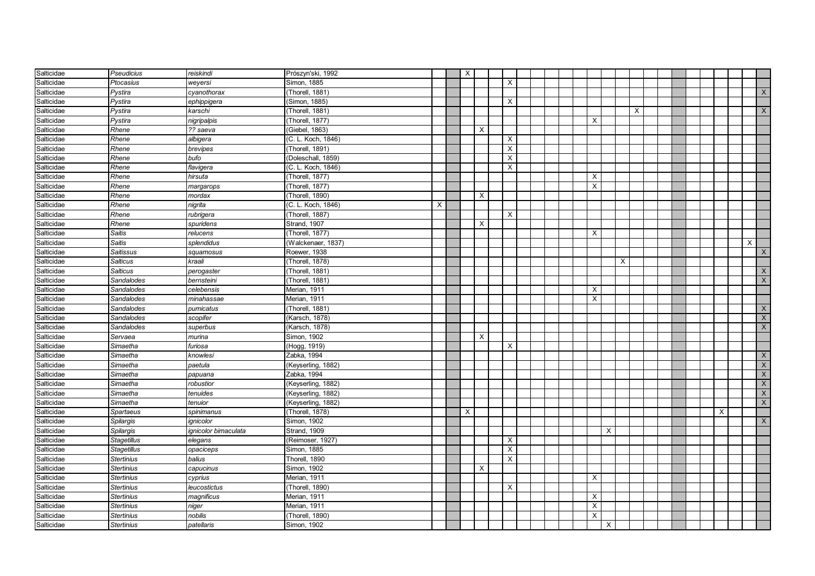| Salticidae | <b>Pseudicius</b>  | reiskindi            | Prószyn'ski, 1992   |   | X        |                           |                         |  |  |                           |          |   |   |  |  |   |   |                           |
|------------|--------------------|----------------------|---------------------|---|----------|---------------------------|-------------------------|--|--|---------------------------|----------|---|---|--|--|---|---|---------------------------|
| Salticidae | Ptocasius          | weyersi              | Simon, 1885         |   |          |                           | $\times$                |  |  |                           |          |   |   |  |  |   |   |                           |
| Salticidae | Pystira            | cyanothorax          | (Thorell, 1881)     |   |          |                           |                         |  |  |                           |          |   |   |  |  |   |   | $\mathsf{X}$              |
| Salticidae | Pystira            | ephippigera          | (Simon, 1885)       |   |          |                           | X                       |  |  |                           |          |   |   |  |  |   |   |                           |
| Salticidae | Pystira            | karschi              | (Thorell, 1881)     |   |          |                           |                         |  |  |                           |          |   | X |  |  |   |   | $\boldsymbol{\mathsf{X}}$ |
| Salticidae | Pystira            | nigripalpis          | (Thorell, 1877)     |   |          |                           |                         |  |  | X                         |          |   |   |  |  |   |   |                           |
| Salticidae | Rhene              | ?? saeva             | (Giebel, 1863)      |   |          | X                         |                         |  |  |                           |          |   |   |  |  |   |   |                           |
| Salticidae | Rhene              | albigera             | (C. L. Koch, 1846)  |   |          |                           | X                       |  |  |                           |          |   |   |  |  |   |   |                           |
| Salticidae | Rhene              | brevipes             | (Thorell, 1891)     |   |          |                           | X                       |  |  |                           |          |   |   |  |  |   |   |                           |
| Salticidae | Rhene              | bufo                 | (Doleschall, 1859)  |   |          |                           | $\overline{\mathsf{x}}$ |  |  |                           |          |   |   |  |  |   |   |                           |
| Salticidae | Rhene              | flavigera            | (C. L. Koch, 1846)  |   |          |                           | X                       |  |  |                           |          |   |   |  |  |   |   |                           |
| Salticidae | Rhene              | hirsuta              | (Thorell, 1877)     |   |          |                           |                         |  |  | $\times$                  |          |   |   |  |  |   |   |                           |
| Salticidae | Rhene              | margarops            | (Thorell, 1877)     |   |          |                           |                         |  |  | $\times$                  |          |   |   |  |  |   |   |                           |
| Salticidae | Rhene              | mordax               | (Thorell, 1890)     |   |          | $\times$                  |                         |  |  |                           |          |   |   |  |  |   |   |                           |
| Salticidae | Rhene              | nigrita              | (C. L. Koch, 1846)  | X |          |                           |                         |  |  |                           |          |   |   |  |  |   |   |                           |
| Salticidae | Rhene              | rubrigera            | (Thorell, 1887)     |   |          |                           | $\times$                |  |  |                           |          |   |   |  |  |   |   |                           |
| Salticidae | Rhene              | spuridens            | Strand, 1907        |   |          | X                         |                         |  |  |                           |          |   |   |  |  |   |   |                           |
| Salticidae | <b>Saitis</b>      | relucens             | (Thorell, 1877)     |   |          |                           |                         |  |  | X                         |          |   |   |  |  |   |   |                           |
| Salticidae | Saitis             | splendidus           | (Walckenaer, 1837)  |   |          |                           |                         |  |  |                           |          |   |   |  |  |   | X |                           |
| Salticidae | Saitissus          | squamosus            | Roewer, 1938        |   |          |                           |                         |  |  |                           |          |   |   |  |  |   |   | $\mathsf{X}$              |
| Salticidae | <b>Salticus</b>    | kraali               | (Thorell, 1878)     |   |          |                           |                         |  |  |                           |          | X |   |  |  |   |   |                           |
| Salticidae | <b>Salticus</b>    | perogaster           | (Thorell, 1881)     |   |          |                           |                         |  |  |                           |          |   |   |  |  |   |   | $\boldsymbol{\mathsf{X}}$ |
| Salticidae | Sandalodes         | bernsteini           | (Thorell, 1881)     |   |          |                           |                         |  |  |                           |          |   |   |  |  |   |   | $\overline{\mathsf{x}}$   |
| Salticidae | Sandalodes         | celebensis           | Merian, 1911        |   |          |                           |                         |  |  | X                         |          |   |   |  |  |   |   |                           |
| Salticidae | Sandalodes         | minahassae           | Merian, 1911        |   |          |                           |                         |  |  | X                         |          |   |   |  |  |   |   |                           |
| Salticidae | Sandalodes         | pumicatus            | (Thorell, 1881)     |   |          |                           |                         |  |  |                           |          |   |   |  |  |   |   | $\boldsymbol{\mathsf{X}}$ |
| Salticidae | Sandalodes         | scopifer             | (Karsch, 1878)      |   |          |                           |                         |  |  |                           |          |   |   |  |  |   |   | $\overline{\mathsf{X}}$   |
| Salticidae | Sandalodes         | superbus             | (Karsch, 1878)      |   |          |                           |                         |  |  |                           |          |   |   |  |  |   |   | $\mathsf X$               |
| Salticidae | Servaea            | murina               | Simon, 1902         |   |          | $\boldsymbol{\mathsf{X}}$ |                         |  |  |                           |          |   |   |  |  |   |   |                           |
| Salticidae | Simaetha           | furiosa              | (Hogg, 1919)        |   |          |                           | X                       |  |  |                           |          |   |   |  |  |   |   |                           |
| Salticidae | Simaetha           | knowlesi             | Zabka, 1994         |   |          |                           |                         |  |  |                           |          |   |   |  |  |   |   | $\mathsf{X}$              |
| Salticidae | Simaetha           | paetula              | (Keyserling, 1882)  |   |          |                           |                         |  |  |                           |          |   |   |  |  |   |   | $\boldsymbol{\mathsf{X}}$ |
| Salticidae | Simaetha           | papuana              | Zabka, 1994         |   |          |                           |                         |  |  |                           |          |   |   |  |  |   |   | $\overline{X}$            |
| Salticidae | Simaetha           | robustior            | (Keyserling, 1882)  |   |          |                           |                         |  |  |                           |          |   |   |  |  |   |   | $\boldsymbol{\mathsf{X}}$ |
| Salticidae | Simaetha           | tenuides             | (Keyserling, 1882)  |   |          |                           |                         |  |  |                           |          |   |   |  |  |   |   | $\boldsymbol{\mathsf{X}}$ |
| Salticidae | Simaetha           | tenuior              | (Keyserling, 1882)  |   |          |                           |                         |  |  |                           |          |   |   |  |  |   |   | $\mathsf X$               |
| Salticidae | <b>Spartaeus</b>   | spinimanus           | (Thorell, 1878)     |   | $\times$ |                           |                         |  |  |                           |          |   |   |  |  | X |   |                           |
| Salticidae | Spilargis          | ignicolor            | Simon, 1902         |   |          |                           |                         |  |  |                           |          |   |   |  |  |   |   | $\times$                  |
| Salticidae | Spilargis          | ignicolor bimaculata | <b>Strand, 1909</b> |   |          |                           |                         |  |  |                           | $\times$ |   |   |  |  |   |   |                           |
| Salticidae | <b>Stagetillus</b> | elegans              | (Reimoser, 1927)    |   |          |                           | X                       |  |  |                           |          |   |   |  |  |   |   |                           |
| Salticidae | <b>Stagetillus</b> | opaciceps            | Simon, 1885         |   |          |                           | $\times$                |  |  |                           |          |   |   |  |  |   |   |                           |
| Salticidae | <b>Stertinius</b>  | balius               | Thorell, 1890       |   |          |                           | X                       |  |  |                           |          |   |   |  |  |   |   |                           |
| Salticidae | <b>Stertinius</b>  | capucinus            | Simon, 1902         |   |          | X                         |                         |  |  |                           |          |   |   |  |  |   |   |                           |
| Salticidae | <b>Stertinius</b>  | cyprius              | Merian, 1911        |   |          |                           |                         |  |  | X                         |          |   |   |  |  |   |   |                           |
| Salticidae | <b>Stertinius</b>  | leucostictus         | (Thorell, 1890)     |   |          |                           | X                       |  |  |                           |          |   |   |  |  |   |   |                           |
| Salticidae | <b>Stertinius</b>  | magnificus           | Merian, 1911        |   |          |                           |                         |  |  | X                         |          |   |   |  |  |   |   |                           |
| Salticidae | <b>Stertinius</b>  | niger                | Merian, 1911        |   |          |                           |                         |  |  | $\boldsymbol{\mathsf{X}}$ |          |   |   |  |  |   |   |                           |
| Salticidae | <b>Stertinius</b>  | nobilis              | (Thorell, 1890)     |   |          |                           |                         |  |  | $\boldsymbol{\mathsf{X}}$ |          |   |   |  |  |   |   |                           |
| Salticidae | <b>Stertinius</b>  | patellaris           | Simon, 1902         |   |          |                           |                         |  |  |                           | X        |   |   |  |  |   |   |                           |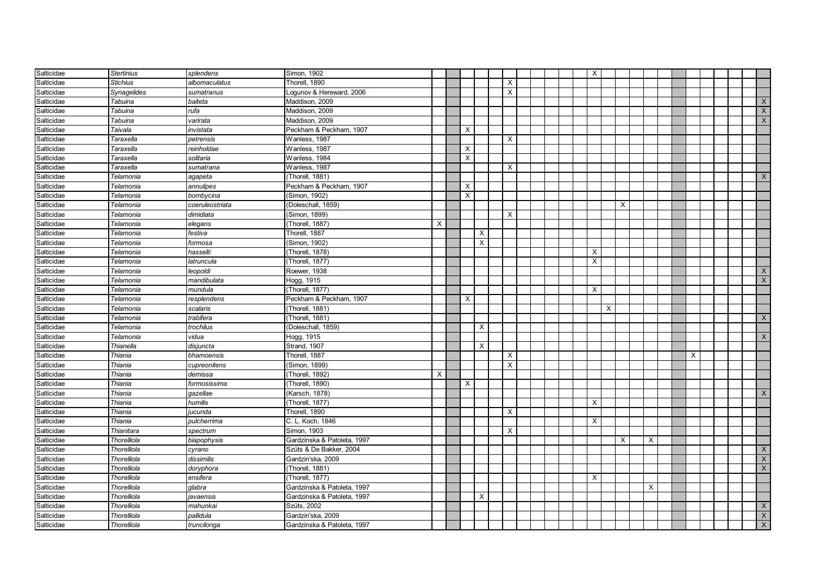| Salticidae | <b>Stertinius</b> | splendens       | Simon, 1902                 |   |          |          |          |  | X            |          |          |   |  |   |  |                |
|------------|-------------------|-----------------|-----------------------------|---|----------|----------|----------|--|--------------|----------|----------|---|--|---|--|----------------|
| Salticidae | <b>Stichius</b>   | albomaculatus   | Thorell, 1890               |   |          |          | $\times$ |  |              |          |          |   |  |   |  |                |
| Salticidae | Synagelides       | sumatranus      | ogunov & Hereward, 2006     |   |          |          | $\times$ |  |              |          |          |   |  |   |  |                |
| Salticidae | Tabuina           | baiteta         | Maddison, 2009              |   |          |          |          |  |              |          |          |   |  |   |  | $\mathsf{X}$   |
| Salticidae | Tabuina           | rufa            | Maddison, 2009              |   |          |          |          |  |              |          |          |   |  |   |  | X              |
| Salticidae | Tabuina           | varirata        | Maddison, 2009              |   |          |          |          |  |              |          |          |   |  |   |  | $\mathsf{X}$   |
| Salticidae | Taivala           | invistata       | Peckham & Peckham, 1907     |   | $\times$ |          |          |  |              |          |          |   |  |   |  |                |
| Salticidae | Taraxella         | petrensis       | Wanless, 1987               |   |          |          | $\times$ |  |              |          |          |   |  |   |  |                |
| Salticidae | Taraxella         | reinholdae      | Wanless, 1987               |   | X        |          |          |  |              |          |          |   |  |   |  |                |
| Salticidae | Taraxella         | solitaria       | Wanless, 1984               |   | X        |          |          |  |              |          |          |   |  |   |  |                |
| Salticidae | Taraxella         | sumatrana       | Wanless, 1987               |   |          |          | $\times$ |  |              |          |          |   |  |   |  |                |
| Salticidae | Telamonia         | agapeta         | (Thorell, 1881)             |   |          |          |          |  |              |          |          |   |  |   |  | X              |
| Salticidae | Telamonia         | annulipes       | Peckham & Peckham, 1907     |   | X        |          |          |  |              |          |          |   |  |   |  |                |
| Salticidae | Telamonia         | bombycina       | (Simon, 1902)               |   | $\times$ |          |          |  |              |          |          |   |  |   |  |                |
| Salticidae | Telamonia         | coeruleostriata | (Doleschall, 1859)          |   |          |          |          |  |              |          | $\times$ |   |  |   |  |                |
| Salticidae | Telamonia         | dimidiata       | (Simon, 1899)               |   |          |          | $\times$ |  |              |          |          |   |  |   |  |                |
| Salticidae | Telamonia         | elegans         | (Thorell, 1887)             | X |          |          |          |  |              |          |          |   |  |   |  |                |
| Salticidae | Telamonia         | festiva         | Thorell, 1887               |   |          | $\times$ |          |  |              |          |          |   |  |   |  |                |
| Salticidae | Telamonia         | formosa         | (Simon, 1902)               |   |          | X        |          |  |              |          |          |   |  |   |  |                |
| Salticidae | Telamonia         | hasselti        | (Thorell, 1878)             |   |          |          |          |  | X            |          |          |   |  |   |  |                |
| Salticidae | Telamonia         | latruncula      | (Thorell, 1877)             |   |          |          |          |  | X            |          |          |   |  |   |  |                |
| Salticidae | Telamonia         | leopoldi        | Roewer, 1938                |   |          |          |          |  |              |          |          |   |  |   |  | X              |
| Salticidae | Telamonia         | mandibulata     | Hogg, 1915                  |   |          |          |          |  |              |          |          |   |  |   |  | $\mathsf X$    |
| Salticidae | Telamonia         | mundula         | (Thorell, 1877)             |   |          |          |          |  | $\mathsf{X}$ |          |          |   |  |   |  |                |
| Salticidae | Telamonia         | resplendens     | Peckham & Peckham, 1907     |   | X        |          |          |  |              |          |          |   |  |   |  |                |
| Salticidae | Telamonia         | scalaris        | (Thorell, 1881)             |   |          |          |          |  |              | $\times$ |          |   |  |   |  |                |
| Salticidae | Telamonia         | trabifera       | (Thorell, 1881)             |   |          |          |          |  |              |          |          |   |  |   |  | $\mathsf{X}$   |
| Salticidae | Telamonia         | trochilus       | (Doleschall, 1859)          |   |          | $\times$ |          |  |              |          |          |   |  |   |  |                |
| Salticidae | Telamonia         | vidua           | Hogg, 1915                  |   |          |          |          |  |              |          |          |   |  |   |  | $\times$       |
| Salticidae | Thianella         | disjuncta       | Strand, 1907                |   |          | $\times$ |          |  |              |          |          |   |  |   |  |                |
| Salticidae | Thiania           | bhamoensis      | Thorell, 1887               |   |          |          | $\times$ |  |              |          |          |   |  | X |  |                |
| Salticidae | Thiania           | cupreonitens    | (Simon, 1899)               |   |          |          | $\times$ |  |              |          |          |   |  |   |  |                |
| Salticidae | Thiania           | demissa         | (Thorell, 1892)             | X |          |          |          |  |              |          |          |   |  |   |  |                |
| Salticidae | Thiania           | formosissima    | (Thorell, 1890)             |   | $\times$ |          |          |  |              |          |          |   |  |   |  |                |
| Salticidae | Thiania           | gazellae        | (Karsch, 1878)              |   |          |          |          |  |              |          |          |   |  |   |  | X              |
| Salticidae | Thiania           | humilis         | (Thorell, 1877)             |   |          |          |          |  | X            |          |          |   |  |   |  |                |
| Salticidae | Thiania           | jucunda         | Thorell, 1890               |   |          |          | $\times$ |  |              |          |          |   |  |   |  |                |
| Salticidae | Thiania           | pulcherrima     | C. L. Koch, 1846            |   |          |          |          |  | X            |          |          |   |  |   |  |                |
| Salticidae | Thianitara        | spectrum        | Simon, 1903                 |   |          |          | $\times$ |  |              |          |          |   |  |   |  |                |
| Salticidae | Thorelliola       | biapophysis     | Gardzinska & Patoleta, 1997 |   |          |          |          |  |              |          | X        | X |  |   |  |                |
| Salticidae | Thorelliola       | cyrano          | Szüts & De Bakker, 2004     |   |          |          |          |  |              |          |          |   |  |   |  | X              |
| Salticidae | Thorelliola       | dissimilis      | Gardzin'ska, 2009           |   |          |          |          |  |              |          |          |   |  |   |  | X              |
| Salticidae | Thorelliola       | doryphora       | (Thorell, 1881)             |   |          |          |          |  |              |          |          |   |  |   |  | $\overline{X}$ |
| Salticidae | Thorelliola       | ensifera        | (Thorell, 1877)             |   |          |          |          |  | X            |          |          |   |  |   |  |                |
| Salticidae | Thorelliola       | glabra          | Gardzinska & Patoleta, 1997 |   |          |          |          |  |              |          |          | X |  |   |  |                |
| Salticidae | Thorelliola       | javaensis       | Gardzinska & Patoleta, 1997 |   |          | х        |          |  |              |          |          |   |  |   |  |                |
| Salticidae | Thorelliola       | mahunkai        | Szüts, 2002                 |   |          |          |          |  |              |          |          |   |  |   |  | X              |
| Salticidae | Thorelliola       | pallidula       | Gardzin'ska, 2009           |   |          |          |          |  |              |          |          |   |  |   |  | $\mathsf X$    |
| Salticidae | Thorelliola       | truncilonga     | Gardzinska & Patoleta, 1997 |   |          |          |          |  |              |          |          |   |  |   |  | $\overline{X}$ |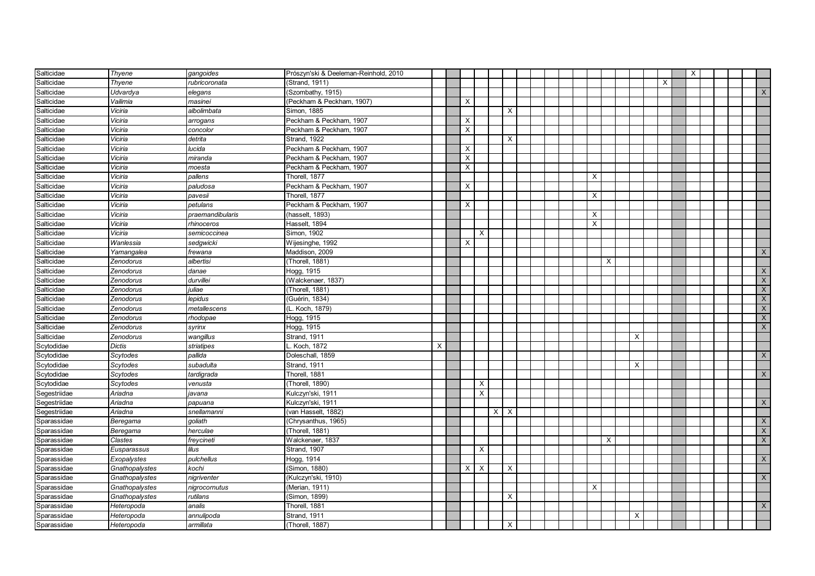| Salticidae   | Thyene         | gangoides        | Prószyn'ski & Deeleman-Reinhold, 2010 |   |          |          |                |          |  |  |              |          |          |   |   | $\times$ |  |                         |
|--------------|----------------|------------------|---------------------------------------|---|----------|----------|----------------|----------|--|--|--------------|----------|----------|---|---|----------|--|-------------------------|
| Salticidae   | Thyene         | rubricoronata    | (Strand, 1911)                        |   |          |          |                |          |  |  |              |          |          |   | X |          |  |                         |
| Salticidae   | Udvardya       | elegans          | Szombathy, 1915)                      |   |          |          |                |          |  |  |              |          |          |   |   |          |  | X                       |
| Salticidae   | Vailimia       | masinei          | (Peckham & Peckham, 1907)             |   | $\times$ |          |                |          |  |  |              |          |          |   |   |          |  |                         |
| Salticidae   | Viciria        | albolimbata      | Simon, 1885                           |   |          |          |                | X        |  |  |              |          |          |   |   |          |  |                         |
| Salticidae   | Viciria        | arrogans         | Peckham & Peckham, 1907               |   | X        |          |                |          |  |  |              |          |          |   |   |          |  |                         |
| Salticidae   | Viciria        | concolor         | Peckham & Peckham, 1907               |   | $\times$ |          |                |          |  |  |              |          |          |   |   |          |  |                         |
| Salticidae   | Viciria        | detrita          | <b>Strand, 1922</b>                   |   |          |          |                | X        |  |  |              |          |          |   |   |          |  |                         |
| Salticidae   | Viciria        | lucida           | Peckham & Peckham, 1907               |   | X        |          |                |          |  |  |              |          |          |   |   |          |  |                         |
| Salticidae   | Viciria        | miranda          | Peckham & Peckham, 1907               |   | X        |          |                |          |  |  |              |          |          |   |   |          |  |                         |
| Salticidae   | Viciria        | moesta           | Peckham & Peckham, 1907               |   | X        |          |                |          |  |  |              |          |          |   |   |          |  |                         |
| Salticidae   | Viciria        | pallens          | Thorell, 1877                         |   |          |          |                |          |  |  | X            |          |          |   |   |          |  |                         |
| Salticidae   | Viciria        | paludosa         | Peckham & Peckham, 1907               |   | $\times$ |          |                |          |  |  |              |          |          |   |   |          |  |                         |
| Salticidae   | Viciria        | pavesii          | Thorell, 1877                         |   |          |          |                |          |  |  | $\mathsf{X}$ |          |          |   |   |          |  |                         |
| Salticidae   | Viciria        | petulans         | Peckham & Peckham, 1907               |   | $\times$ |          |                |          |  |  |              |          |          |   |   |          |  |                         |
| Salticidae   | Viciria        | praemandibularis | (hasselt, 1893)                       |   |          |          |                |          |  |  | X            |          |          |   |   |          |  |                         |
| Salticidae   | Viciria        | rhinoceros       | Hasselt, 1894                         |   |          |          |                |          |  |  | X            |          |          |   |   |          |  |                         |
| Salticidae   | Viciria        | semicoccinea     | Simon, 1902                           |   |          | $\times$ |                |          |  |  |              |          |          |   |   |          |  |                         |
| Salticidae   | Wanlessia      | sedgwicki        | Wijesinghe, 1992                      |   | X        |          |                |          |  |  |              |          |          |   |   |          |  |                         |
| Salticidae   | Yamangalea     | frewana          | Maddison, 2009                        |   |          |          |                |          |  |  |              |          |          |   |   |          |  | $\times$                |
| Salticidae   | Zenodorus      | albertisi        | (Thorell, 1881)                       |   |          |          |                |          |  |  |              | $\times$ |          |   |   |          |  |                         |
| Salticidae   | Zenodorus      | danae            | Hogg, 1915                            |   |          |          |                |          |  |  |              |          |          |   |   |          |  | $\times$                |
| Salticidae   | Zenodorus      | durvillei        | (Walckenaer, 1837)                    |   |          |          |                |          |  |  |              |          |          |   |   |          |  | $\mathsf{X}$            |
| Salticidae   | Zenodorus      | iuliae           | Thorell, 1881)                        |   |          |          |                |          |  |  |              |          |          |   |   |          |  | $\overline{\mathsf{X}}$ |
| Salticidae   | Zenodorus      | lepidus          | Guérin, 1834)                         |   |          |          |                |          |  |  |              |          |          |   |   |          |  | $\mathsf{X}^-$          |
| Salticidae   | Zenodorus      | netallescens     | L. Koch, 1879)                        |   |          |          |                |          |  |  |              |          |          |   |   |          |  | X                       |
| Salticidae   | Zenodorus      | rhodopae         | Hogg, 1915                            |   |          |          |                |          |  |  |              |          |          |   |   |          |  | $\times$                |
| Salticidae   | Zenodorus      | syrinx           | Hogg, 1915                            |   |          |          |                |          |  |  |              |          |          |   |   |          |  | X                       |
| Salticidae   | Zenodorus      | wangillus        | Strand, 1911                          |   |          |          |                |          |  |  |              |          |          | X |   |          |  |                         |
| Scytodidae   | Dictis         | striatipes       | Koch, 1872                            | X |          |          |                |          |  |  |              |          |          |   |   |          |  |                         |
| Scytodidae   | Scytodes       | pallida          | Doleschall, 1859                      |   |          |          |                |          |  |  |              |          |          |   |   |          |  | $\mathsf{X}$            |
| Scytodidae   | Scytodes       | subadulta        | Strand, 1911                          |   |          |          |                |          |  |  |              |          | $\times$ |   |   |          |  |                         |
| Scytodidae   | Scytodes       | tardigrada       | Thorell, 1881                         |   |          |          |                |          |  |  |              |          |          |   |   |          |  | $\mathsf{X}$            |
| Scytodidae   | Scytodes       | venusta          | (Thorell, 1890)                       |   |          | $\times$ |                |          |  |  |              |          |          |   |   |          |  |                         |
| Segestriidae | Ariadna        | javana           | Kulczyn'ski, 1911                     |   |          | X        |                |          |  |  |              |          |          |   |   |          |  |                         |
| Segestriidae | Ariadna        | papuana          | Kulczyn'ski, 1911                     |   |          |          |                |          |  |  |              |          |          |   |   |          |  | X                       |
| Segestriidae | Ariadna        | snellamanni      | (van Hasselt, 1882)                   |   |          |          | $X$ $\mid$ $X$ |          |  |  |              |          |          |   |   |          |  |                         |
| Sparassidae  | Beregama       | goliath          | (Chrysanthus, 1965)                   |   |          |          |                |          |  |  |              |          |          |   |   |          |  | $\mathsf{X}$            |
| Sparassidae  | Beregama       | herculae         | (Thorell, 1881)                       |   |          |          |                |          |  |  |              |          |          |   |   |          |  | $\mathsf{X}$            |
| Sparassidae  | Clastes        | freycineti       | Walckenaer, 1837                      |   |          |          |                |          |  |  |              | $\times$ |          |   |   |          |  | $\mathsf X$             |
| Sparassidae  | Eusparassus    | lilus            | Strand, 1907                          |   |          | $\times$ |                |          |  |  |              |          |          |   |   |          |  |                         |
| Sparassidae  | Exopalystes    | pulchellus       | Hogg, 1914                            |   |          |          |                |          |  |  |              |          |          |   |   |          |  | X                       |
| Sparassidae  | Gnathopalystes | kochi            | (Simon, 1880)                         |   | X        | $\times$ |                | $\times$ |  |  |              |          |          |   |   |          |  |                         |
| Sparassidae  | Gnathopalystes | nigriventer      | (Kulczyn'ski, 1910)                   |   |          |          |                |          |  |  |              |          |          |   |   |          |  | X                       |
| Sparassidae  | Gnathopalystes | nigrocornutus    | (Merian, 1911)                        |   |          |          |                |          |  |  | X            |          |          |   |   |          |  |                         |
| Sparassidae  | Gnathopalystes | rutilans         | (Simon, 1899)                         |   |          |          |                | X        |  |  |              |          |          |   |   |          |  |                         |
| Sparassidae  | Heteropoda     | analis           | Thorell, 1881                         |   |          |          |                |          |  |  |              |          |          |   |   |          |  | X                       |
| Sparassidae  | Heteropoda     | annulipoda       | Strand, 1911                          |   |          |          |                |          |  |  |              |          | X        |   |   |          |  |                         |
| Sparassidae  | Heteropoda     | armillata        | (Thorell, 1887)                       |   |          |          |                | $\times$ |  |  |              |          |          |   |   |          |  |                         |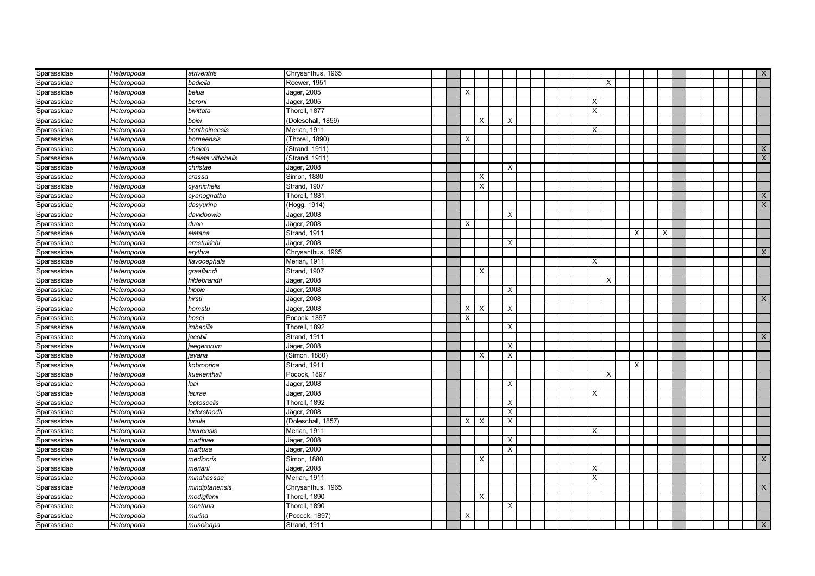| Sparassidae | Heteropoda | atriventris         | Chrysanthus, 1965  |  |          |          |              |  |  |                           |   |   |   |   |  |  | $\boldsymbol{\mathsf{X}}$ |
|-------------|------------|---------------------|--------------------|--|----------|----------|--------------|--|--|---------------------------|---|---|---|---|--|--|---------------------------|
| Sparassidae | Heteropoda | badiella            | Roewer, 1951       |  |          |          |              |  |  |                           | X |   |   |   |  |  |                           |
| Sparassidae | Heteropoda | belua               | Jäger, 2005        |  | X        |          |              |  |  |                           |   |   |   |   |  |  |                           |
| Sparassidae | Heteropoda | beroni              | Jäger, 2005        |  |          |          |              |  |  | $\times$                  |   |   |   |   |  |  |                           |
| Sparassidae | Heteropoda | bivittata           | Thorell, 1877      |  |          |          |              |  |  | $\times$                  |   |   |   |   |  |  |                           |
| Sparassidae | Heteropoda | boiei               | (Doleschall, 1859) |  |          | X        | X            |  |  |                           |   |   |   |   |  |  |                           |
| Sparassidae | Heteropoda | bonthainensis       | Merian, 1911       |  |          |          |              |  |  | X                         |   |   |   |   |  |  |                           |
| Sparassidae | Heteropoda | borneensis          | (Thorell, 1890)    |  | х        |          |              |  |  |                           |   |   |   |   |  |  |                           |
| Sparassidae | Heteropoda | chelata             | (Strand, 1911)     |  |          |          |              |  |  |                           |   |   |   |   |  |  | $\mathsf{X}$              |
| Sparassidae | Heteropoda | chelata vittichelis | (Strand, 1911)     |  |          |          |              |  |  |                           |   |   |   |   |  |  | $\boldsymbol{\mathsf{X}}$ |
| Sparassidae | Heteropoda | christae            | Jäger, 2008        |  |          |          | X            |  |  |                           |   |   |   |   |  |  |                           |
| Sparassidae | Heteropoda | crassa              | Simon, 1880        |  |          | X        |              |  |  |                           |   |   |   |   |  |  |                           |
| Sparassidae | Heteropoda | cyanichelis         | Strand, 1907       |  |          | $\times$ |              |  |  |                           |   |   |   |   |  |  |                           |
| Sparassidae | Heteropoda | cyanognatha         | Thorell, 1881      |  |          |          |              |  |  |                           |   |   |   |   |  |  | $\boldsymbol{\mathsf{X}}$ |
| Sparassidae | Heteropoda | dasyurina           | (Hogg, 1914)       |  |          |          |              |  |  |                           |   |   |   |   |  |  | $\mathsf X$               |
| Sparassidae | Heteropoda | davidbowie          | Jäger, 2008        |  |          |          | $\times$     |  |  |                           |   |   |   |   |  |  |                           |
| Sparassidae | Heteropoda | duan                | Jäger, 2008        |  | X        |          |              |  |  |                           |   |   |   |   |  |  |                           |
| Sparassidae | Heteropoda | elatana             | Strand, 1911       |  |          |          |              |  |  |                           |   |   | X | X |  |  |                           |
| Sparassidae | Heteropoda | ernstulrichi        | Jäger, 2008        |  |          |          | $\times$     |  |  |                           |   |   |   |   |  |  |                           |
| Sparassidae | Heteropoda | erythra             | Chrysanthus, 1965  |  |          |          |              |  |  |                           |   |   |   |   |  |  | $\times$                  |
| Sparassidae | Heteropoda | flavocephala        | Merian, 1911       |  |          |          |              |  |  | $\times$                  |   |   |   |   |  |  |                           |
| Sparassidae | Heteropoda | graaflandi          | Strand, 1907       |  |          | X        |              |  |  |                           |   |   |   |   |  |  |                           |
| Sparassidae | Heteropoda | hildebrandti        | Jäger, 2008        |  |          |          |              |  |  |                           | X |   |   |   |  |  |                           |
| Sparassidae | Heteropoda | hippie              | Jäger, 2008        |  |          |          | $\times$     |  |  |                           |   |   |   |   |  |  |                           |
| Sparassidae | Heteropoda | hirsti              | Jäger, 2008        |  |          |          |              |  |  |                           |   |   |   |   |  |  | $\mathsf{X}$              |
| Sparassidae | Heteropoda | homstu              | Jäger, 2008        |  | X        | $\times$ | $\times$     |  |  |                           |   |   |   |   |  |  |                           |
| Sparassidae | Heteropoda | hosei               | Pocock, 1897       |  | $\times$ |          |              |  |  |                           |   |   |   |   |  |  |                           |
| Sparassidae | Heteropoda | imbecilla           | Thorell, 1892      |  |          |          | X            |  |  |                           |   |   |   |   |  |  |                           |
| Sparassidae | Heteropoda | jacobii             | Strand, 1911       |  |          |          |              |  |  |                           |   |   |   |   |  |  | X                         |
| Sparassidae | Heteropoda | jaegerorum          | Jäger, 2008        |  |          |          | X            |  |  |                           |   |   |   |   |  |  |                           |
| Sparassidae | Heteropoda | javana              | (Simon, 1880)      |  |          | Х        | X            |  |  |                           |   |   |   |   |  |  |                           |
| Sparassidae | Heteropoda | kobroorica          | Strand, 1911       |  |          |          |              |  |  |                           |   | X |   |   |  |  |                           |
| Sparassidae | Heteropoda | kuekenthali         | Pocock, 1897       |  |          |          |              |  |  |                           | X |   |   |   |  |  |                           |
| Sparassidae | Heteropoda | laai                | Jäger, 2008        |  |          |          | X            |  |  |                           |   |   |   |   |  |  |                           |
| Sparassidae | Heteropoda | laurae              | Jäger, 2008        |  |          |          |              |  |  | $\times$                  |   |   |   |   |  |  |                           |
| Sparassidae | Heteropoda | leptoscelis         | Thorell, 1892      |  |          |          | X            |  |  |                           |   |   |   |   |  |  |                           |
| Sparassidae | Heteropoda | loderstaedti        | Jäger, 2008        |  |          |          | $\mathsf{X}$ |  |  |                           |   |   |   |   |  |  |                           |
| Sparassidae | Heteropoda | lunula              | (Doleschall, 1857) |  | $\times$ | $\times$ | X            |  |  |                           |   |   |   |   |  |  |                           |
| Sparassidae | Heteropoda | luwuensis           | Merian, 1911       |  |          |          |              |  |  | X                         |   |   |   |   |  |  |                           |
| Sparassidae | Heteropoda | martinae            | Jäger, 2008        |  |          |          | $\times$     |  |  |                           |   |   |   |   |  |  |                           |
| Sparassidae | Heteropoda | martusa             | Jäger, 2000        |  |          |          | $\times$     |  |  |                           |   |   |   |   |  |  |                           |
| Sparassidae | Heteropoda | mediocris           | Simon, 1880        |  |          | X        |              |  |  |                           |   |   |   |   |  |  | X                         |
| Sparassidae | Heteropoda | meriani             | Jäger, 2008        |  |          |          |              |  |  | $\boldsymbol{\mathsf{X}}$ |   |   |   |   |  |  |                           |
| Sparassidae | Heteropoda | minahassae          | Merian, 1911       |  |          |          |              |  |  | X                         |   |   |   |   |  |  |                           |
| Sparassidae | Heteropoda | mindiptanensis      | Chrysanthus, 1965  |  |          |          |              |  |  |                           |   |   |   |   |  |  | $\mathsf{X}$              |
| Sparassidae | Heteropoda | modiglianii         | Thorell, 1890      |  |          | X        |              |  |  |                           |   |   |   |   |  |  |                           |
| Sparassidae | Heteropoda | montana             | Thorell, 1890      |  |          |          | $\times$     |  |  |                           |   |   |   |   |  |  |                           |
| Sparassidae | Heteropoda | murina              | (Pocock, 1897)     |  | X        |          |              |  |  |                           |   |   |   |   |  |  |                           |
| Sparassidae | Heteropoda | muscicapa           | Strand, 1911       |  |          |          |              |  |  |                           |   |   |   |   |  |  | X                         |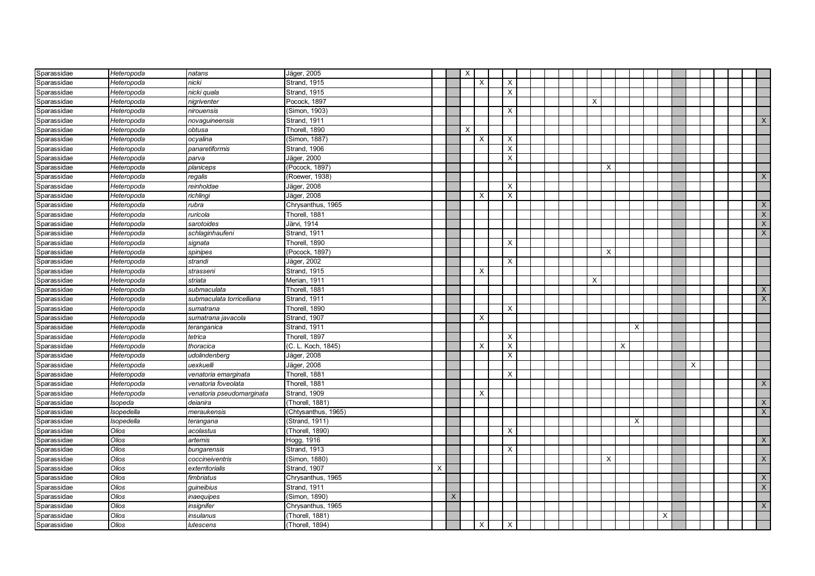| Sparassidae                | Heteropoda     | natans                             | Jäger, 2005                          |   |          | $\times$ |          |                         |  |  |          |          |   |   |   |   |  |                           |
|----------------------------|----------------|------------------------------------|--------------------------------------|---|----------|----------|----------|-------------------------|--|--|----------|----------|---|---|---|---|--|---------------------------|
| Sparassidae                | Heteropoda     | nicki                              | <b>Strand, 1915</b>                  |   |          |          | $\times$ | $\times$                |  |  |          |          |   |   |   |   |  |                           |
| Sparassidae                | Heteropoda     | nicki quala                        | <b>Strand, 1915</b>                  |   |          |          |          | $\times$                |  |  |          |          |   |   |   |   |  |                           |
| Sparassidae                | Heteropoda     | nigriventer                        | Pocock, 1897                         |   |          |          |          |                         |  |  | $\times$ |          |   |   |   |   |  |                           |
| Sparassidae                | Heteropoda     | nirouensis                         | (Simon, 1903)                        |   |          |          |          | $\times$                |  |  |          |          |   |   |   |   |  |                           |
| Sparassidae                | Heteropoda     | novaguineensis                     | <b>Strand, 1911</b>                  |   |          |          |          |                         |  |  |          |          |   |   |   |   |  | X                         |
| Sparassidae                | Heteropoda     | obtusa                             | Thorell, 1890                        |   |          | X        |          |                         |  |  |          |          |   |   |   |   |  |                           |
| Sparassidae                | Heteropoda     | ocyalina                           | (Simon, 1887)                        |   |          |          | X        | X                       |  |  |          |          |   |   |   |   |  |                           |
| Sparassidae                | Heteropoda     | panaretiformis                     | Strand, 1906                         |   |          |          |          | $\overline{\mathsf{x}}$ |  |  |          |          |   |   |   |   |  |                           |
| Sparassidae                | Heteropoda     | parva                              | Jäger, 2000                          |   |          |          |          | X                       |  |  |          |          |   |   |   |   |  |                           |
| Sparassidae                | Heteropoda     | planiceps                          | (Pocock, 1897)                       |   |          |          |          |                         |  |  |          | $\times$ |   |   |   |   |  |                           |
| Sparassidae                | Heteropoda     | regalis                            | (Roewer, 1938)                       |   |          |          |          |                         |  |  |          |          |   |   |   |   |  | $\mathsf{X}$              |
| Sparassidae                | Heteropoda     | reinholdae                         | Jäger, 2008                          |   |          |          |          | X                       |  |  |          |          |   |   |   |   |  |                           |
| Sparassidae                | Heteropoda     | richlingi                          | Jäger, 2008                          |   |          |          | X        | X                       |  |  |          |          |   |   |   |   |  |                           |
| Sparassidae                | Heteropoda     | rubra                              | Chrysanthus, 1965                    |   |          |          |          |                         |  |  |          |          |   |   |   |   |  | $\mathsf X$               |
| Sparassidae                | Heteropoda     | ruricola                           | Thorell, 1881                        |   |          |          |          |                         |  |  |          |          |   |   |   |   |  | $\boldsymbol{\mathsf{X}}$ |
| Sparassidae                | Heteropoda     | sarotoides                         | Järvi, 1914                          |   |          |          |          |                         |  |  |          |          |   |   |   |   |  | $\boldsymbol{\mathsf{X}}$ |
| Sparassidae                | Heteropoda     | schlaginhaufeni                    | Strand, 1911                         |   |          |          |          |                         |  |  |          |          |   |   |   |   |  | $\mathsf{X}$              |
| Sparassidae                | Heteropoda     | signata                            | Thorell, 1890                        |   |          |          |          | X                       |  |  |          |          |   |   |   |   |  |                           |
| Sparassidae                | Heteropoda     | spinipes                           | (Pocock, 1897)                       |   |          |          |          |                         |  |  |          | X        |   |   |   |   |  |                           |
| Sparassidae                | Heteropoda     | strandi                            | Jäger, 2002                          |   |          |          |          | X                       |  |  |          |          |   |   |   |   |  |                           |
| Sparassidae                | Heteropoda     | strasseni                          | Strand, 1915                         |   |          |          | $\times$ |                         |  |  |          |          |   |   |   |   |  |                           |
| Sparassidae                | Heteropoda     | striata                            | Merian, 1911                         |   |          |          |          |                         |  |  | $\times$ |          |   |   |   |   |  |                           |
| Sparassidae                | Heteropoda     | submaculata                        | Thorell, 1881                        |   |          |          |          |                         |  |  |          |          |   |   |   |   |  | $\mathsf{X}$              |
| Sparassidae                | Heteropoda     | submaculata torricelliana          | Strand, 1911                         |   |          |          |          |                         |  |  |          |          |   |   |   |   |  | $\times$                  |
| Sparassidae                | Heteropoda     | sumatrana                          | Thorell, 1890                        |   |          |          |          | $\times$                |  |  |          |          |   |   |   |   |  |                           |
| Sparassidae                | Heteropoda     | sumatrana javacola                 | Strand, 1907                         |   |          |          | X        |                         |  |  |          |          |   |   |   |   |  |                           |
| Sparassidae                | Heteropoda     | teranganica                        | Strand, 1911                         |   |          |          |          |                         |  |  |          |          |   | X |   |   |  |                           |
| Sparassidae                | Heteropoda     | tetrica                            | Thorell, 1897                        |   |          |          |          | X                       |  |  |          |          |   |   |   |   |  |                           |
| Sparassidae                | Heteropoda     | thoracica                          | (C. L. Koch, 1845)                   |   |          |          | X        | $\overline{\mathsf{x}}$ |  |  |          |          | X |   |   |   |  |                           |
| Sparassidae                | Heteropoda     | udolindenberg                      | Jäger, 2008                          |   |          |          |          | X                       |  |  |          |          |   |   |   |   |  |                           |
| Sparassidae                | Heteropoda     | uexkuelli                          | Jäger, 2008                          |   |          |          |          |                         |  |  |          |          |   |   |   | Х |  |                           |
| Sparassidae                | Heteropoda     | venatoria emarginata               | Thorell, 1881                        |   |          |          |          | Χ                       |  |  |          |          |   |   |   |   |  |                           |
| Sparassidae                | Heteropoda     | venatoria foveolata                | Thorell, 1881                        |   |          |          |          |                         |  |  |          |          |   |   |   |   |  | $\times$                  |
| Sparassidae                | Heteropoda     | venatoria pseudomarginata          | Strand, 1909                         |   |          |          | X        |                         |  |  |          |          |   |   |   |   |  |                           |
| Sparassidae                | Isopeda        | deianira                           | (Thorell, 1881)                      |   |          |          |          |                         |  |  |          |          |   |   |   |   |  | $\mathsf X$               |
| Sparassidae                | Isopedella     | meraukensis                        | (Chtysanthus, 1965)                  |   |          |          |          |                         |  |  |          |          |   |   |   |   |  | $\boldsymbol{\mathsf{X}}$ |
| Sparassidae                | Isopedella     | terangana                          | (Strand, 1911)                       |   |          |          |          |                         |  |  |          |          |   | X |   |   |  |                           |
| Sparassidae                | Olios          | acolastus                          | (Thorell, 1890)                      |   |          |          |          | X                       |  |  |          |          |   |   |   |   |  |                           |
| Sparassidae                | Olios          | artemis                            | Hogg, 1916                           |   |          |          |          |                         |  |  |          |          |   |   |   |   |  | $\times$                  |
| Sparassidae                | Olios          | bungarensis                        | <b>Strand, 1913</b><br>(Simon, 1880) |   |          |          |          | $\mathsf{X}$            |  |  |          |          |   |   |   |   |  |                           |
| Sparassidae                | Olios<br>Olios | coccineiventris<br>exterritorialis | Strand, 1907                         | X |          |          |          |                         |  |  |          | X        |   |   |   |   |  | $\times$                  |
| Sparassidae<br>Sparassidae | Olios          |                                    |                                      |   |          |          |          |                         |  |  |          |          |   |   |   |   |  | $\times$                  |
|                            | Olios          | fimbriatus                         | Chrysanthus, 1965<br>Strand, 1911    |   |          |          |          |                         |  |  |          |          |   |   |   |   |  | $\mathsf X$               |
| Sparassidae                | Olios          | guineibius                         | (Simon, 1890)                        |   | $\times$ |          |          |                         |  |  |          |          |   |   |   |   |  |                           |
| Sparassidae<br>Sparassidae | Olios          | inaequipes<br>nsignifer            | Chrysanthus, 1965                    |   |          |          |          |                         |  |  |          |          |   |   |   |   |  | $\mathsf X$               |
|                            | Olios          |                                    | (Thorell, 1881)                      |   |          |          |          |                         |  |  |          |          |   |   | X |   |  |                           |
| Sparassidae                | Olios          | insulanus                          | (Thorell, 1894)                      |   |          |          | X        | X                       |  |  |          |          |   |   |   |   |  |                           |
| Sparassidae                |                | lutescens                          |                                      |   |          |          |          |                         |  |  |          |          |   |   |   |   |  |                           |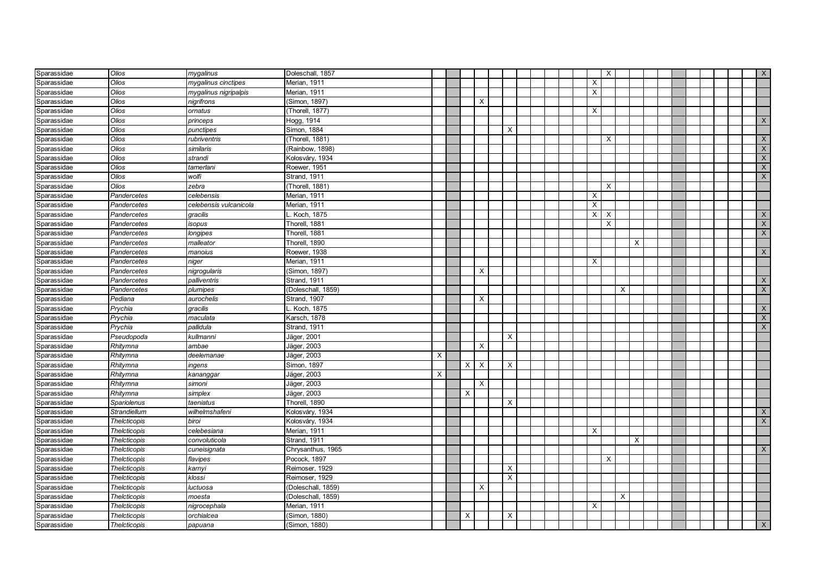| Sparassidae | Olios               | mygalinus              | Doleschall, 1857   |   |   |                           |                         |  |  |          | $\times$                  |             |   |  |  |  | $\mathsf{X}$              |
|-------------|---------------------|------------------------|--------------------|---|---|---------------------------|-------------------------|--|--|----------|---------------------------|-------------|---|--|--|--|---------------------------|
| Sparassidae | Olios               | mygalinus cinctipes    | Merian, 1911       |   |   |                           |                         |  |  | X        |                           |             |   |  |  |  |                           |
| Sparassidae | Olios               | mygalinus nigripalpis  | Merian, 1911       |   |   |                           |                         |  |  | X        |                           |             |   |  |  |  |                           |
| Sparassidae | Olios               | nigrifrons             | Simon, 1897)       |   |   | $\boldsymbol{\mathsf{X}}$ |                         |  |  |          |                           |             |   |  |  |  |                           |
| Sparassidae | Olios               | ornatus                | Thorell, 1877)     |   |   |                           |                         |  |  | X        |                           |             |   |  |  |  |                           |
| Sparassidae | Olios               | princeps               | Hogg, 1914         |   |   |                           |                         |  |  |          |                           |             |   |  |  |  | X                         |
| Sparassidae | Olios               | punctipes              | Simon, 1884        |   |   |                           | $\times$                |  |  |          |                           |             |   |  |  |  |                           |
| Sparassidae | Olios               | rubriventris           | (Thorell, 1881)    |   |   |                           |                         |  |  |          | X                         |             |   |  |  |  | $\mathsf{X}$              |
| Sparassidae | Olios               | similaris              | (Rainbow, 1898)    |   |   |                           |                         |  |  |          |                           |             |   |  |  |  | $\times$                  |
| Sparassidae | Olios               | strandi                | Kolosváry, 1934    |   |   |                           |                         |  |  |          |                           |             |   |  |  |  | $\times$                  |
| Sparassidae | Olios               | tamerlani              | Roewer, 1951       |   |   |                           |                         |  |  |          |                           |             |   |  |  |  | $\times$                  |
| Sparassidae | Olios               | wolfi                  | Strand, 1911       |   |   |                           |                         |  |  |          |                           |             |   |  |  |  | $\times$                  |
| Sparassidae | Olios               | zebra                  | (Thorell, 1881)    |   |   |                           |                         |  |  |          | $\times$                  |             |   |  |  |  |                           |
| Sparassidae | Pandercetes         | celebensis             | Merian, 1911       |   |   |                           |                         |  |  | $\times$ |                           |             |   |  |  |  |                           |
| Sparassidae | Pandercetes         | celebensis vulcanicola | Merian, 1911       |   |   |                           |                         |  |  | X        |                           |             |   |  |  |  |                           |
| Sparassidae | Pandercetes         | gracilis               | Koch, 1875         |   |   |                           |                         |  |  | X        | $\boldsymbol{\mathsf{X}}$ |             |   |  |  |  | $\times$                  |
| Sparassidae | Pandercetes         | isopus                 | Thorell, 1881      |   |   |                           |                         |  |  |          | $\times$                  |             |   |  |  |  | $\boldsymbol{\mathsf{X}}$ |
| Sparassidae | Pandercetes         | longipes               | Thorell, 1881      |   |   |                           |                         |  |  |          |                           |             |   |  |  |  | $\mathsf X$               |
| Sparassidae | Pandercetes         | malleator              | Thorell, 1890      |   |   |                           |                         |  |  |          |                           |             | X |  |  |  |                           |
| Sparassidae | Pandercetes         | manoius                | Roewer, 1938       |   |   |                           |                         |  |  |          |                           |             |   |  |  |  | $\times$                  |
| Sparassidae | Pandercetes         | niger                  | Merian, 1911       |   |   |                           |                         |  |  | $\times$ |                           |             |   |  |  |  |                           |
| Sparassidae | Pandercetes         | nigrogularis           | Simon, 1897)       |   |   | $\times$                  |                         |  |  |          |                           |             |   |  |  |  |                           |
| Sparassidae | Pandercetes         | palliventris           | Strand, 1911       |   |   |                           |                         |  |  |          |                           |             |   |  |  |  | $\times$                  |
| Sparassidae | Pandercetes         | plumipes               | (Doleschall, 1859) |   |   |                           |                         |  |  |          |                           | X           |   |  |  |  | $\mathsf X$               |
| Sparassidae | Pediana             | aurochelis             | Strand, 1907       |   |   | X                         |                         |  |  |          |                           |             |   |  |  |  |                           |
| Sparassidae | Prychia             | gracilis               | . Koch, 1875       |   |   |                           |                         |  |  |          |                           |             |   |  |  |  | $\boldsymbol{\mathsf{X}}$ |
| Sparassidae | Prychia             | maculata               | Karsch, 1878       |   |   |                           |                         |  |  |          |                           |             |   |  |  |  | $\overline{\mathsf{X}}$   |
| Sparassidae | Prychia             | pallidula              | Strand, 1911       |   |   |                           |                         |  |  |          |                           |             |   |  |  |  | $\mathsf{X}$              |
| Sparassidae | Pseudopoda          | kullmanni              | Jäger, 2001        |   |   |                           | X                       |  |  |          |                           |             |   |  |  |  |                           |
| Sparassidae | Rhitymna            | ambae                  | Jäger, 2003        |   |   | $\times$                  |                         |  |  |          |                           |             |   |  |  |  |                           |
| Sparassidae | Rhitymna            | deelemanae             | Jäger, 2003        | Х |   |                           |                         |  |  |          |                           |             |   |  |  |  |                           |
| Sparassidae | Rhitymna            | ingens                 | Simon, 1897        |   | X | $\boldsymbol{\mathsf{X}}$ | X                       |  |  |          |                           |             |   |  |  |  |                           |
| Sparassidae | Rhitymna            | kananggar              | Jäger, 2003        | X |   |                           |                         |  |  |          |                           |             |   |  |  |  |                           |
| Sparassidae | Rhitymna            | simoni                 | Jäger, 2003        |   |   | $\times$                  |                         |  |  |          |                           |             |   |  |  |  |                           |
| Sparassidae | Rhitymna            | simplex                | Jäger, 2003        |   | X |                           |                         |  |  |          |                           |             |   |  |  |  |                           |
| Sparassidae | Spariolenus         | taeniatus              | Thorell, 1890      |   |   |                           | $\times$                |  |  |          |                           |             |   |  |  |  |                           |
| Sparassidae | Strandiellum        | wilhelmshafeni         | Kolosváry, 1934    |   |   |                           |                         |  |  |          |                           |             |   |  |  |  | X                         |
| Sparassidae | <b>Thelcticopis</b> | biroi                  | Kolosváry, 1934    |   |   |                           |                         |  |  |          |                           |             |   |  |  |  | $\times$                  |
| Sparassidae | Thelcticopis        | celebesiana            | Merian, 1911       |   |   |                           |                         |  |  | $\times$ |                           |             |   |  |  |  |                           |
| Sparassidae | <b>Thelcticopis</b> | convoluticola          | Strand, 1911       |   |   |                           |                         |  |  |          |                           |             | X |  |  |  |                           |
| Sparassidae | Thelcticopis        | cuneisignata           | Chrysanthus, 1965  |   |   |                           |                         |  |  |          |                           |             |   |  |  |  | $\times$                  |
| Sparassidae | <b>Thelcticopis</b> | flavipes               | Pocock, 1897       |   |   |                           |                         |  |  |          | $\times$                  |             |   |  |  |  |                           |
| Sparassidae | Thelcticopis        | karnyi                 | Reimoser, 1929     |   |   |                           | $\times$                |  |  |          |                           |             |   |  |  |  |                           |
| Sparassidae | <b>Thelcticopis</b> | klossi                 | Reimoser, 1929     |   |   |                           | $\overline{\mathsf{x}}$ |  |  |          |                           |             |   |  |  |  |                           |
| Sparassidae | Thelcticopis        | luctuosa               | (Doleschall, 1859) |   |   | $\times$                  |                         |  |  |          |                           |             |   |  |  |  |                           |
| Sparassidae | Thelcticopis        | moesta                 | Doleschall, 1859)  |   |   |                           |                         |  |  |          |                           | $\mathsf X$ |   |  |  |  |                           |
| Sparassidae | Thelcticopis        | nigrocephala           | Merian, 1911       |   |   |                           |                         |  |  | X        |                           |             |   |  |  |  |                           |
| Sparassidae | Thelcticopis        | orchialcea             | Simon, 1880)       |   | х |                           | $\times$                |  |  |          |                           |             |   |  |  |  |                           |
| Sparassidae | <b>Thelcticopis</b> | papuana                | (Simon, 1880)      |   |   |                           |                         |  |  |          |                           |             |   |  |  |  | $\times$                  |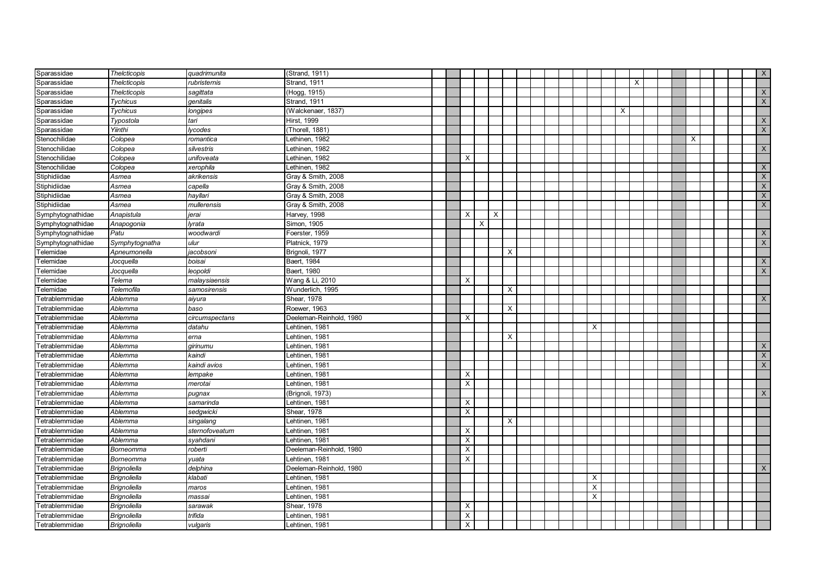| Sparassidae           | <b>Thelcticopis</b> | quadrimunita   | (Strand, 1911)          |  |          |   |   |          |  |  |              |          |          |  |   |  | $\mathsf{X}$ |
|-----------------------|---------------------|----------------|-------------------------|--|----------|---|---|----------|--|--|--------------|----------|----------|--|---|--|--------------|
| Sparassidae           | <b>Thelcticopis</b> | rubristernis   | Strand, 1911            |  |          |   |   |          |  |  |              |          | $\times$ |  |   |  |              |
| Sparassidae           | Thelcticopis        | sagittata      | (Hogg, 1915)            |  |          |   |   |          |  |  |              |          |          |  |   |  | $\mathsf{X}$ |
| Sparassidae           | <b>Tychicus</b>     | genitalis      | Strand, 1911            |  |          |   |   |          |  |  |              |          |          |  |   |  | $\mathsf{X}$ |
| Sparassidae           | <b>Tychicus</b>     | longipes       | (Walckenaer, 1837)      |  |          |   |   |          |  |  |              | $\times$ |          |  |   |  |              |
| Sparassidae           | Typostola           | tari           | Hirst, 1999             |  |          |   |   |          |  |  |              |          |          |  |   |  | X            |
| Sparassidae           | Yiinthi             | vcodes         | Thorell, 1881)          |  |          |   |   |          |  |  |              |          |          |  |   |  | X            |
| Stenochilidae         | Colopea             | romantica      | Lethinen, 1982          |  |          |   |   |          |  |  |              |          |          |  | X |  |              |
| Stenochilidae         | Colopea             | silvestris     | ethinen, 1982           |  |          |   |   |          |  |  |              |          |          |  |   |  | X            |
| Stenochilidae         | Colopea             | unifoveata     | Lethinen, 1982          |  | $\times$ |   |   |          |  |  |              |          |          |  |   |  |              |
| Stenochilidae         | Colopea             | xerophila      | Lethinen, 1982          |  |          |   |   |          |  |  |              |          |          |  |   |  | $\times$     |
| Stiphidiidae          | Asmea               | akrikensis     | Gray & Smith, 2008      |  |          |   |   |          |  |  |              |          |          |  |   |  | X            |
| Stiphidiidae          | Asmea               | capella        | Gray & Smith, 2008      |  |          |   |   |          |  |  |              |          |          |  |   |  | $\mathsf{X}$ |
| Stiphidiidae          | Asmea               | hayllari       | Gray & Smith, 2008      |  |          |   |   |          |  |  |              |          |          |  |   |  | $\mathsf{X}$ |
| Stiphidiidae          | Asmea               | mullerensis    | Gray & Smith, 2008      |  |          |   |   |          |  |  |              |          |          |  |   |  | $\mathsf{X}$ |
| Symphytognathidae     | Anapistula          | jerai          | Harvey, 1998            |  | $\times$ |   | X |          |  |  |              |          |          |  |   |  |              |
| Symphytognathidae     | Anapogonia          | lyrata         | Simon, 1905             |  |          | X |   |          |  |  |              |          |          |  |   |  |              |
| Symphytognathidae     | Patu                | woodwardi      | Foerster, 1959          |  |          |   |   |          |  |  |              |          |          |  |   |  | $\mathsf{X}$ |
| Symphytognathidae     | Symphytognatha      | ulur           | Platnick, 1979          |  |          |   |   |          |  |  |              |          |          |  |   |  | X            |
| Telemidae             | Apneumonella        | jacobsoni      | Brignoli, 1977          |  |          |   |   | $\times$ |  |  |              |          |          |  |   |  |              |
| Telemidae             | Jocquella           | boisai         | Baert, 1984             |  |          |   |   |          |  |  |              |          |          |  |   |  | $\times$     |
| elemidae              | Jocquella           | leopoldi       | Baert, 1980             |  |          |   |   |          |  |  |              |          |          |  |   |  | $\mathsf{X}$ |
| elemidae              | Telema              | malaysiaensis  | Wang & Li, 2010         |  | X        |   |   |          |  |  |              |          |          |  |   |  |              |
| <b>Felemidae</b>      | Telemofila          | samosirensis   | Wunderlich, 1995        |  |          |   |   | $\times$ |  |  |              |          |          |  |   |  |              |
| Tetrablemmidae        | Ablemma             | aiyura         | Shear, 1978             |  |          |   |   |          |  |  |              |          |          |  |   |  | $\times$     |
| <b>Fetrablemmidae</b> | Ablemma             | baso           | Roewer, 1963            |  |          |   |   | $\times$ |  |  |              |          |          |  |   |  |              |
| etrablemmidae         | Ablemma             | circumspectans | Deeleman-Reinhold, 1980 |  | $\times$ |   |   |          |  |  |              |          |          |  |   |  |              |
| etrablemmidae         | Ablemma             | datahu         | ehtinen, 1981 <b>.</b>  |  |          |   |   |          |  |  | X            |          |          |  |   |  |              |
| etrablemmidae         | Ablemma             | erna           | Lehtinen, 1981          |  |          |   |   | Χ        |  |  |              |          |          |  |   |  |              |
| etrablemmidae         | Ablemma             | girinumu       | ehtinen, 1981           |  |          |   |   |          |  |  |              |          |          |  |   |  | X            |
| etrablemmidae         | Ablemma             | kaindi         | Lehtinen, 1981          |  |          |   |   |          |  |  |              |          |          |  |   |  | X            |
| etrablemmidae         | Ablemma             | kaindi avios   | Lehtinen, 1981          |  |          |   |   |          |  |  |              |          |          |  |   |  | X            |
| etrablemmidae         | Ablemma             | lempake        | Lehtinen, 1981          |  | Х        |   |   |          |  |  |              |          |          |  |   |  |              |
| <b>Fetrablemmidae</b> | Ablemma             | merotai        | Lehtinen, 1981          |  | $\times$ |   |   |          |  |  |              |          |          |  |   |  |              |
| Tetrablemmidae        | Ablemma             | pugnax         | (Brignoli, 1973)        |  |          |   |   |          |  |  |              |          |          |  |   |  | $\mathsf{X}$ |
| Tetrablemmidae        | Ablemma             | samarinda      | Lehtinen, 1981          |  | X        |   |   |          |  |  |              |          |          |  |   |  |              |
| Tetrablemmidae        | Ablemma             | sedgwicki      | Shear, 1978             |  | X        |   |   |          |  |  |              |          |          |  |   |  |              |
| Tetrablemmidae        | Ablemma             | singalang      | Lehtinen, 1981          |  |          |   |   | $\times$ |  |  |              |          |          |  |   |  |              |
| Tetrablemmidae        | Ablemma             | sternofoveatum | ehtinen, 1981           |  | X        |   |   |          |  |  |              |          |          |  |   |  |              |
| Tetrablemmidae        | Ablemma             | syahdani       | Lehtinen, 1981          |  | X        |   |   |          |  |  |              |          |          |  |   |  |              |
| Tetrablemmidae        | Borneomma           | roberti        | Deeleman-Reinhold, 1980 |  | X        |   |   |          |  |  |              |          |          |  |   |  |              |
| Tetrablemmidae        | Borneomma           | yuata          | Lehtinen, 1981          |  | X        |   |   |          |  |  |              |          |          |  |   |  |              |
| etrablemmidae         | <b>Brignoliella</b> | delphina       | Deeleman-Reinhold, 1980 |  |          |   |   |          |  |  |              |          |          |  |   |  | $\times$     |
| etrablemmidae         | <b>Brignoliella</b> | klabati        | Lehtinen, 1981          |  |          |   |   |          |  |  | $\times$     |          |          |  |   |  |              |
| <b>Fetrablemmidae</b> | <b>Brignoliella</b> | maros          | Lehtinen, 1981          |  |          |   |   |          |  |  | $\times$     |          |          |  |   |  |              |
| <b>Fetrablemmidae</b> | <b>Brignoliella</b> | massai         | Lehtinen, 1981          |  |          |   |   |          |  |  | $\mathsf{X}$ |          |          |  |   |  |              |
| <b>Fetrablemmidae</b> | <b>Brignoliella</b> | sarawak        | Shear, 1978             |  | X        |   |   |          |  |  |              |          |          |  |   |  |              |
| etrablemmidae         | <b>Brignoliella</b> | trifida        | Lehtinen, 1981          |  | X        |   |   |          |  |  |              |          |          |  |   |  |              |
| Tetrablemmidae        | <b>Brignoliella</b> | vulgaris       | Lehtinen, 1981          |  | X        |   |   |          |  |  |              |          |          |  |   |  |              |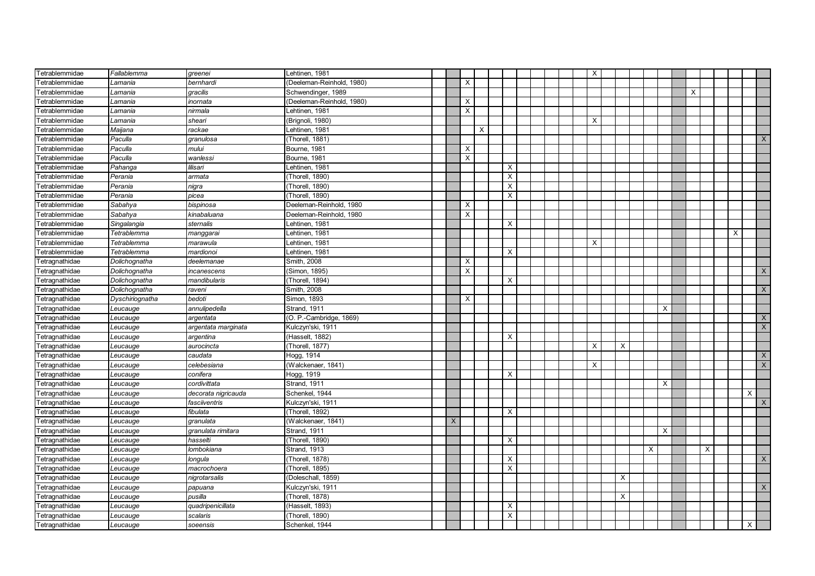| Tetrablemmidae        | Fallablemma     | qreenei             | Lehtinen, 1981            |   |                         |   |                           |  |  | $\times$ |          |   |          |          |   |          |                           |
|-----------------------|-----------------|---------------------|---------------------------|---|-------------------------|---|---------------------------|--|--|----------|----------|---|----------|----------|---|----------|---------------------------|
| etrablemmidae         | Lamania         | bernhardi           | (Deeleman-Reinhold, 1980) |   | $\times$                |   |                           |  |  |          |          |   |          |          |   |          |                           |
| etrablemmidae         | Lamania         | qracilis            | Schwendinger, 1989        |   |                         |   |                           |  |  |          |          |   |          | $\times$ |   |          |                           |
| etrablemmidae         | Lamania         | inornata            | (Deeleman-Reinhold, 1980) |   | X                       |   |                           |  |  |          |          |   |          |          |   |          |                           |
| etrablemmidae         | Lamania         | nirmala             | Lehtinen, 1981            |   | X                       |   |                           |  |  |          |          |   |          |          |   |          |                           |
| etrablemmidae         | Lamania         | sheari              | (Brignoli, 1980)          |   |                         |   |                           |  |  | X        |          |   |          |          |   |          |                           |
| etrablemmidae         | Maijana         | rackae              | Lehtinen, 1981            |   |                         | Χ |                           |  |  |          |          |   |          |          |   |          |                           |
| etrablemmidae         | Paculla         | granulosa           | (Thorell, 1881)           |   |                         |   |                           |  |  |          |          |   |          |          |   |          | X                         |
| etrablemmidae         | Paculla         | mului               | Bourne, 1981              |   | Х                       |   |                           |  |  |          |          |   |          |          |   |          |                           |
| etrablemmidae         | Paculla         | wanlessi            | Bourne, 1981              |   | X                       |   |                           |  |  |          |          |   |          |          |   |          |                           |
| etrablemmidae         | Pahanga         | lilisari            | Lehtinen, 1981            |   |                         |   | $\times$                  |  |  |          |          |   |          |          |   |          |                           |
| Tetrablemmidae        | Perania         | armata              | (Thorell, 1890)           |   |                         |   | $\times$                  |  |  |          |          |   |          |          |   |          |                           |
| Tetrablemmidae        | Perania         | nigra               | (Thorell, 1890)           |   |                         |   | $\times$                  |  |  |          |          |   |          |          |   |          |                           |
| etrablemmidae         | Perania         | picea               | (Thorell, 1890)           |   |                         |   | $\times$                  |  |  |          |          |   |          |          |   |          |                           |
| etrablemmidae         | Sabahya         | bispinosa           | Deeleman-Reinhold, 1980   |   | X                       |   |                           |  |  |          |          |   |          |          |   |          |                           |
| etrablemmidae         | Sabahya         | kinabaluana         | Deeleman-Reinhold, 1980   |   | $\times$                |   |                           |  |  |          |          |   |          |          |   |          |                           |
| Tetrablemmidae        | Singalangia     | sternalis           | Lehtinen, 1981            |   |                         |   | X                         |  |  |          |          |   |          |          |   |          |                           |
| etrablemmidae         | Tetrablemma     | manggarai           | Lehtinen, 1981            |   |                         |   |                           |  |  |          |          |   |          |          |   | $\times$ |                           |
| etrablemmidae         | Tetrablemma     | marawula            | Lehtinen, 1981            |   |                         |   |                           |  |  | X        |          |   |          |          |   |          |                           |
| etrablemmidae         | Tetrablemma     | mardionoi           | Lehtinen, 1981            |   |                         |   | $\times$                  |  |  |          |          |   |          |          |   |          |                           |
| etragnathidae         | Dolichognatha   | deelemanae          | Smith, 2008               |   | X                       |   |                           |  |  |          |          |   |          |          |   |          |                           |
| etragnathidae         | Dolichognatha   | incanescens         | (Simon, 1895)             |   | $\overline{\mathsf{x}}$ |   |                           |  |  |          |          |   |          |          |   |          | $\times$                  |
| etragnathidae         | Dolichognatha   | mandibularis        | (Thorell, 1894)           |   |                         |   | X                         |  |  |          |          |   |          |          |   |          |                           |
| etragnathidae         | Dolichognatha   | raveni              | Smith, 2008               |   |                         |   |                           |  |  |          |          |   |          |          |   |          | $\mathsf X$               |
| etragnathidae         | Dyschiriognatha | bedoti              | Simon, 1893               |   | X                       |   |                           |  |  |          |          |   |          |          |   |          |                           |
| etragnathidae         | Leucauge        | annulipedella       | Strand, 1911              |   |                         |   |                           |  |  |          |          |   | X        |          |   |          |                           |
| etragnathidae         | Leucauge        | argentata           | (O. P.-Cambridge, 1869)   |   |                         |   |                           |  |  |          |          |   |          |          |   |          | X                         |
| etragnathidae         | Leucauge        | argentata marginata | Kulczyn'ski, 1911         |   |                         |   |                           |  |  |          |          |   |          |          |   |          | $\mathsf X$               |
| etragnathidae         | Leucauge        | argentina           | (Hasselt, 1882)           |   |                         |   | $\times$                  |  |  |          |          |   |          |          |   |          |                           |
| etragnathidae         | Leucauge        | aurocincta          | (Thorell, 1877)           |   |                         |   |                           |  |  | $\times$ | $\times$ |   |          |          |   |          |                           |
| Tetragnathidae        | Leucauge        | caudata             | Hogg, 1914                |   |                         |   |                           |  |  |          |          |   |          |          |   |          | X                         |
| Tetragnathidae        | Leucauge        | celebesiana         | (Walckenaer, 1841)        |   |                         |   |                           |  |  | $\times$ |          |   |          |          |   |          | $\overline{\mathsf{x}}$   |
| etragnathidae         | Leucauge        | conifera            | Hogg, 1919                |   |                         |   | $\times$                  |  |  |          |          |   |          |          |   |          |                           |
| Tetragnathidae        | Leucauge        | cordivittata        | Strand, 1911              |   |                         |   |                           |  |  |          |          |   | X        |          |   |          |                           |
| etragnathidae         | Leucauge        | decorata nigricauda | Schenkel, 1944            |   |                         |   |                           |  |  |          |          |   |          |          |   |          | $\boldsymbol{\mathsf{X}}$ |
| etragnathidae         | Leucauge        | fasciiventris       | Kulczyn'ski, 1911         |   |                         |   |                           |  |  |          |          |   |          |          |   |          | X                         |
| Tetragnathidae        | Leucauge        | fibulata            | (Thorell, 1892)           |   |                         |   | $\boldsymbol{\mathsf{X}}$ |  |  |          |          |   |          |          |   |          |                           |
| etragnathidae         | Leucauge        | granulata           | (Walckenaer, 1841)        | X |                         |   |                           |  |  |          |          |   |          |          |   |          |                           |
| etragnathidae         | Leucauge        | granulata rimitara  | Strand, 1911              |   |                         |   |                           |  |  |          |          |   | $\times$ |          |   |          |                           |
| etragnathidae         | Leucauge        | hasselti            | (Thorell, 1890)           |   |                         |   | $\times$                  |  |  |          |          |   |          |          |   |          |                           |
| etragnathidae         | Leucauge        | lombokiana          | <b>Strand, 1913</b>       |   |                         |   |                           |  |  |          |          | X |          |          | X |          |                           |
| etragnathidae         | Leucauge        | longula             | (Thorell, 1878)           |   |                         |   | X                         |  |  |          |          |   |          |          |   |          | X                         |
| etragnathidae         | Leucauge        | macrochoera         | Thorell, 1895)            |   |                         |   | X                         |  |  |          |          |   |          |          |   |          |                           |
| etragnathidae         | Leucauge        | nigrotarsalis       | (Doleschall, 1859)        |   |                         |   |                           |  |  |          | X        |   |          |          |   |          |                           |
| Fetragnathidae        | Leucauge        | papuana             | Kulczyn'ski, 1911         |   |                         |   |                           |  |  |          |          |   |          |          |   |          | X                         |
| etragnathidae         | Leucauge        | pusilla             | (Thorell, 1878)           |   |                         |   |                           |  |  |          | X        |   |          |          |   |          |                           |
| <b>Tetragnathidae</b> | Leucauge        | quadripenicillata   | (Hasselt, 1893)           |   |                         |   | $\boldsymbol{\mathsf{X}}$ |  |  |          |          |   |          |          |   |          |                           |
| Tetragnathidae        | Leucauge        | scalaris            | (Thorell, 1890)           |   |                         |   | $\boldsymbol{\mathsf{X}}$ |  |  |          |          |   |          |          |   |          |                           |
| Tetragnathidae        | Leucauge        | soeensis            | Schenkel, 1944            |   |                         |   |                           |  |  |          |          |   |          |          |   |          | X                         |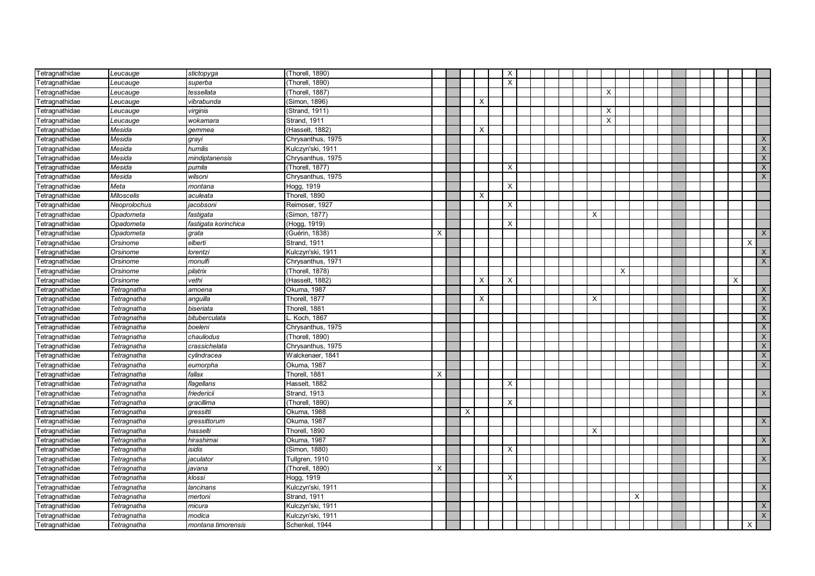| Tetragnathidae | Leucauge          | stictopyga           | (Thorell, 1890)     |          |          |          | $\times$                  |  |  |   |              |   |  |  |  |   |                         |
|----------------|-------------------|----------------------|---------------------|----------|----------|----------|---------------------------|--|--|---|--------------|---|--|--|--|---|-------------------------|
| Tetragnathidae | Leucauge          | superba              | (Thorell, 1890)     |          |          |          | $\boldsymbol{\mathsf{x}}$ |  |  |   |              |   |  |  |  |   |                         |
| Tetragnathidae | Leucauge          | tessellata           | (Thorell, 1887)     |          |          |          |                           |  |  |   | $\times$     |   |  |  |  |   |                         |
| Tetragnathidae | Leucauge          | vibrabunda           | Simon, 1896)        |          |          | $\times$ |                           |  |  |   |              |   |  |  |  |   |                         |
| Tetragnathidae | Leucauge          | virginis             | Strand, 1911)       |          |          |          |                           |  |  |   | $\times$     |   |  |  |  |   |                         |
| Tetragnathidae | Leucauge          | wokamara             | Strand, 1911        |          |          |          |                           |  |  |   | $\mathsf{X}$ |   |  |  |  |   |                         |
| Tetragnathidae | Mesida            | gemmea               | (Hasselt, 1882)     |          |          | X        |                           |  |  |   |              |   |  |  |  |   |                         |
| Tetragnathidae | Mesida            | grayi                | Chrysanthus, 1975   |          |          |          |                           |  |  |   |              |   |  |  |  |   | X                       |
| Tetragnathidae | Mesida            | humilis              | Kulczyn'ski, 1911   |          |          |          |                           |  |  |   |              |   |  |  |  |   | $\mathsf{X}$            |
| Tetragnathidae | Mesida            | mindiptanensis       | Chrysanthus, 1975   |          |          |          |                           |  |  |   |              |   |  |  |  |   | $\overline{X}$          |
| Tetragnathidae | Mesida            | pumila               | (Thorell, 1877)     |          |          |          | $\times$                  |  |  |   |              |   |  |  |  |   | $\mathsf X$             |
| Tetragnathidae | Mesida            | wilsoni              | Chrysanthus, 1975   |          |          |          |                           |  |  |   |              |   |  |  |  |   | $\mathsf{X}$            |
| Tetragnathidae | Meta              | montana              | Hogg, 1919          |          |          |          | $\times$                  |  |  |   |              |   |  |  |  |   |                         |
| Tetragnathidae | <b>Mitoscelis</b> | aculeata             | Thorell, 1890       |          |          | $\times$ |                           |  |  |   |              |   |  |  |  |   |                         |
| Tetragnathidae | Neoprolochus      | jacobsoni            | Reimoser, 1927      |          |          |          | $\times$                  |  |  |   |              |   |  |  |  |   |                         |
| Tetragnathidae | Opadometa         | fastiqata            | (Simon, 1877)       |          |          |          |                           |  |  | X |              |   |  |  |  |   |                         |
| Tetragnathidae | Opadometa         | fastigata korinchica | (Hogg, 1919)        |          |          |          | X                         |  |  |   |              |   |  |  |  |   |                         |
| Tetragnathidae | Opadometa         | qrata                | (Guérin, 1838)      | $\times$ |          |          |                           |  |  |   |              |   |  |  |  |   | $\mathsf{X}$            |
| Tetragnathidae | Orsinome          | elberti              | Strand, 1911        |          |          |          |                           |  |  |   |              |   |  |  |  |   | $\times$                |
| Tetragnathidae | Orsinome          | lorentzi             | Kulczyn'ski, 1911   |          |          |          |                           |  |  |   |              |   |  |  |  |   | X                       |
| Tetragnathidae | Orsinome          | monulfi              | Chrysanthus, 1971   |          |          |          |                           |  |  |   |              |   |  |  |  |   | X                       |
| Tetragnathidae | Orsinome          | pilatrix             | (Thorell, 1878)     |          |          |          |                           |  |  |   | $\times$     |   |  |  |  |   |                         |
| Tetragnathidae | Orsinome          | vethi                | (Hasselt, 1882)     |          |          | X        | $\times$                  |  |  |   |              |   |  |  |  | X |                         |
| Tetragnathidae | Tetragnatha       | amoena               | Okuma, 1987         |          |          |          |                           |  |  |   |              |   |  |  |  |   | $\mathsf X$             |
| Tetragnathidae | Tetragnatha       | anguilla             | Thorell, 1877       |          |          | $\times$ |                           |  |  | X |              |   |  |  |  |   | $\mathsf X$             |
| Tetragnathidae | Tetragnatha       | biseriata            | Thorell, 1881       |          |          |          |                           |  |  |   |              |   |  |  |  |   | $\overline{\mathsf{X}}$ |
| Tetragnathidae | Tetragnatha       | bituberculata        | Koch, 1867          |          |          |          |                           |  |  |   |              |   |  |  |  |   | $\mathsf X$             |
| Tetragnathidae | Tetragnatha       | boeleni              | Chrysanthus, 1975   |          |          |          |                           |  |  |   |              |   |  |  |  |   | $\overline{\mathsf{X}}$ |
| Tetragnathidae | Tetragnatha       | chauliodus           | (Thorell, 1890)     |          |          |          |                           |  |  |   |              |   |  |  |  |   | $\mathsf X$             |
| Tetragnathidae | Tetragnatha       | crassichelata        | Chrysanthus, 1975   |          |          |          |                           |  |  |   |              |   |  |  |  |   | $\mathsf X$             |
| Tetragnathidae | Tetragnatha       | cylindracea          | Walckenaer, 1841    |          |          |          |                           |  |  |   |              |   |  |  |  |   | $\overline{X}$          |
| Tetragnathidae | Tetragnatha       | eumorpha             | Okuma, 1987         |          |          |          |                           |  |  |   |              |   |  |  |  |   | $\overline{X}$          |
| Tetragnathidae | Tetragnatha       | fallax               | Thorell, 1881       | X        |          |          |                           |  |  |   |              |   |  |  |  |   |                         |
| Tetragnathidae | Tetragnatha       | flagellans           | Hasselt, 1882       |          |          |          | $\times$                  |  |  |   |              |   |  |  |  |   |                         |
| Tetragnathidae | Tetragnatha       | friedericii          | <b>Strand, 1913</b> |          |          |          |                           |  |  |   |              |   |  |  |  |   | $\mathsf X$             |
| Tetragnathidae | Tetragnatha       | gracillima           | (Thorell, 1890)     |          |          |          | $\times$                  |  |  |   |              |   |  |  |  |   |                         |
| Tetragnathidae | Tetragnatha       | gressitti            | Okuma, 1988         |          | $\times$ |          |                           |  |  |   |              |   |  |  |  |   |                         |
| Tetragnathidae | Tetragnatha       | gressittorum         | Okuma, 1987         |          |          |          |                           |  |  |   |              |   |  |  |  |   | $\mathsf X$             |
| Tetragnathidae | Tetragnatha       | hasselti             | Thorell, 1890       |          |          |          |                           |  |  | X |              |   |  |  |  |   |                         |
| Tetragnathidae | Tetragnatha       | hirashimai           | Okuma, 1987         |          |          |          |                           |  |  |   |              |   |  |  |  |   | X                       |
| Tetragnathidae | Tetragnatha       | isidis               | Simon, 1880)        |          |          |          | $\times$                  |  |  |   |              |   |  |  |  |   |                         |
| Tetragnathidae | Tetragnatha       | jaculator            | Tullgren, 1910      |          |          |          |                           |  |  |   |              |   |  |  |  |   | X                       |
| Tetragnathidae | Tetragnatha       | javana               | (Thorell, 1890)     | X        |          |          |                           |  |  |   |              |   |  |  |  |   |                         |
| Tetragnathidae | Tetragnatha       | klossi               | Hogg, 1919          |          |          |          | Χ                         |  |  |   |              |   |  |  |  |   |                         |
| Tetragnathidae | Tetragnatha       | lancinans            | Kulczyn'ski, 1911   |          |          |          |                           |  |  |   |              |   |  |  |  |   | X                       |
| Tetragnathidae | Tetragnatha       | mertoni              | Strand, 1911        |          |          |          |                           |  |  |   |              | X |  |  |  |   |                         |
| Tetragnathidae | Tetragnatha       | micura               | Kulczyn'ski, 1911   |          |          |          |                           |  |  |   |              |   |  |  |  |   | X                       |
| Tetragnathidae | Tetragnatha       | modica               | Kulczyn'ski, 1911   |          |          |          |                           |  |  |   |              |   |  |  |  |   | X                       |
| Tetragnathidae | Tetragnatha       | montana timorensis   | Schenkel, 1944      |          |          |          |                           |  |  |   |              |   |  |  |  |   | X                       |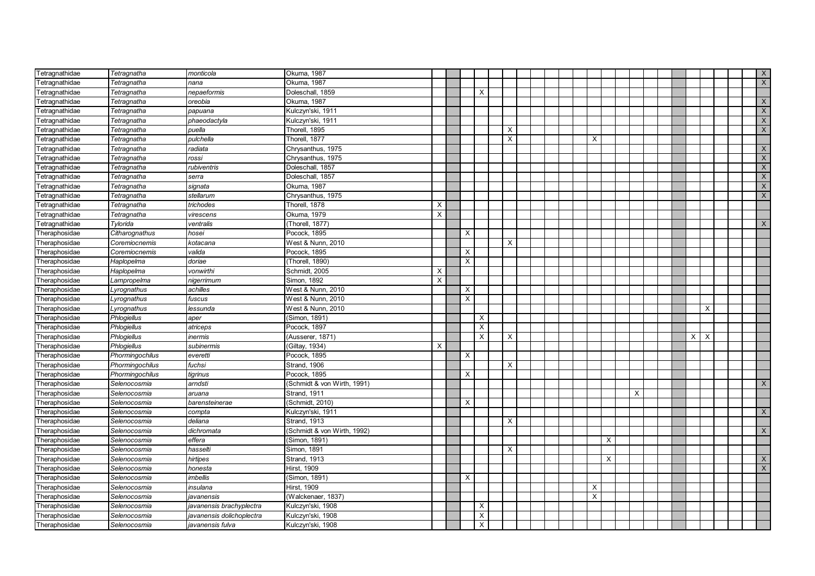| Tetragnathidae | Tetragnatha        | monticola                 | Okuma, 1987                 |   |          |                           |                         |  |  |   |          |          |  |                |              |  | $\mathsf{X}$   |
|----------------|--------------------|---------------------------|-----------------------------|---|----------|---------------------------|-------------------------|--|--|---|----------|----------|--|----------------|--------------|--|----------------|
| Tetragnathidae | Tetragnatha        | nana                      | Okuma, 1987                 |   |          |                           |                         |  |  |   |          |          |  |                |              |  | $\mathsf X$    |
| Tetragnathidae | Tetragnatha        | nepaeformis               | Doleschall, 1859            |   |          | $\times$                  |                         |  |  |   |          |          |  |                |              |  |                |
| Tetragnathidae | Tetragnatha        | oreobia                   | Okuma, 1987                 |   |          |                           |                         |  |  |   |          |          |  |                |              |  | $\mathsf{X}$   |
| Tetragnathidae | Tetragnatha        | papuana                   | Kulczyn'ski, 1911           |   |          |                           |                         |  |  |   |          |          |  |                |              |  | $\mathsf{X}$   |
| Tetragnathidae | Tetragnatha        | phaeodactyla              | Kulczyn'ski, 1911           |   |          |                           |                         |  |  |   |          |          |  |                |              |  | X              |
| Tetragnathidae | Tetragnatha        | puella                    | Thorell, 1895               |   |          |                           | X                       |  |  |   |          |          |  |                |              |  | X              |
| Tetragnathidae | Tetragnatha        | pulchella                 | Thorell, 1877               |   |          |                           | $\overline{\mathsf{x}}$ |  |  | X |          |          |  |                |              |  |                |
| Tetragnathidae | Tetragnatha        | radiata                   | Chrysanthus, 1975           |   |          |                           |                         |  |  |   |          |          |  |                |              |  | X              |
| Tetragnathidae | Tetragnatha        | rossi                     | Chrysanthus, 1975           |   |          |                           |                         |  |  |   |          |          |  |                |              |  | X              |
| Tetragnathidae | Tetragnatha        | rubiventris               | Doleschall, 1857            |   |          |                           |                         |  |  |   |          |          |  |                |              |  | $\mathsf X$    |
| Tetragnathidae | Tetragnatha        | serra                     | Doleschall, 1857            |   |          |                           |                         |  |  |   |          |          |  |                |              |  | $\mathsf{X}$   |
| Tetragnathidae | Tetragnatha        | signata                   | Okuma, 1987                 |   |          |                           |                         |  |  |   |          |          |  |                |              |  | $\mathsf X$    |
| Tetragnathidae | Tetragnatha        | stellarum                 | Chrysanthus, 1975           |   |          |                           |                         |  |  |   |          |          |  |                |              |  | $\times$       |
| Tetragnathidae | Tetragnatha        | trichodes                 | Thorell, 1878               | Χ |          |                           |                         |  |  |   |          |          |  |                |              |  |                |
| Tetragnathidae | Tetragnatha        | virescens                 | Okuma, 1979                 | X |          |                           |                         |  |  |   |          |          |  |                |              |  |                |
| Tetragnathidae | Tylorida           | ventralis                 | (Thorell, 1877)             |   |          |                           |                         |  |  |   |          |          |  |                |              |  | X              |
| Theraphosidae  | Citharognathus     | hosei                     | Pocock, 1895                |   | X        |                           |                         |  |  |   |          |          |  |                |              |  |                |
| Theraphosidae  | Coremiocnemis      | kotacana                  | West & Nunn, 2010           |   |          |                           | X                       |  |  |   |          |          |  |                |              |  |                |
| Theraphosidae  | Coremiocnemis      | valida                    | Pocock, 1895                |   | X        |                           |                         |  |  |   |          |          |  |                |              |  |                |
| Theraphosidae  | Haplopelma         | doriae                    | (Thorell, 1890)             |   | $\times$ |                           |                         |  |  |   |          |          |  |                |              |  |                |
| Theraphosidae  | Haplopelma         | vonwirthi                 | Schmidt, 2005               | X |          |                           |                         |  |  |   |          |          |  |                |              |  |                |
| Theraphosidae  | Lampropelma        | nigerrimum                | Simon, 1892                 | X |          |                           |                         |  |  |   |          |          |  |                |              |  |                |
| Theraphosidae  | Lyrognathus        | achilles                  | West & Nunn, 2010           |   | X        |                           |                         |  |  |   |          |          |  |                |              |  |                |
| Theraphosidae  | Lyrognathus        | fuscus                    | West & Nunn, 2010           |   | $\times$ |                           |                         |  |  |   |          |          |  |                |              |  |                |
| Theraphosidae  | yrognathus         | lessunda                  | West & Nunn, 2010           |   |          |                           |                         |  |  |   |          |          |  |                | X            |  |                |
| Theraphosidae  | Phlogiellus        | aper                      | (Simon, 1891)               |   |          | $\boldsymbol{\mathsf{X}}$ |                         |  |  |   |          |          |  |                |              |  |                |
| Theraphosidae  | Phlogiellus        | atriceps                  | Pocock, 1897                |   |          | $\boldsymbol{\mathsf{X}}$ |                         |  |  |   |          |          |  |                |              |  |                |
| Theraphosidae  | <b>Phlogiellus</b> | inermis                   | (Ausserer, 1871)            |   |          | $\overline{\mathsf{x}}$   | $\times$                |  |  |   |          |          |  | $\overline{X}$ | $\mathsf{X}$ |  |                |
| Theraphosidae  | Phlogiellus        | subinermis                | (Giltay, 1934)              | Χ |          |                           |                         |  |  |   |          |          |  |                |              |  |                |
| Theraphosidae  | Phormingochilus    | everetti                  | Pocock, 1895                |   | X        |                           |                         |  |  |   |          |          |  |                |              |  |                |
| Theraphosidae  | Phormingochilus    | fuchsi                    | Strand, 1906                |   |          |                           | $\times$                |  |  |   |          |          |  |                |              |  |                |
| Theraphosidae  | Phormingochilus    | tigrinus                  | Pocock, 1895                |   | X        |                           |                         |  |  |   |          |          |  |                |              |  |                |
| Theraphosidae  | Selenocosmia       | arndsti                   | (Schmidt & von Wirth, 1991) |   |          |                           |                         |  |  |   |          |          |  |                |              |  | $\times$       |
| Theraphosidae  | Selenocosmia       | aruana                    | Strand, 1911                |   |          |                           |                         |  |  |   |          | $\times$ |  |                |              |  |                |
| Theraphosidae  | Selenocosmia       | barensteinerae            | (Schmidt, 2010)             |   | X        |                           |                         |  |  |   |          |          |  |                |              |  |                |
| Theraphosidae  | Selenocosmia       | compta                    | Kulczyn'ski, 1911           |   |          |                           |                         |  |  |   |          |          |  |                |              |  | $\times$       |
| Theraphosidae  | Selenocosmia       | deliana                   | Strand, 1913                |   |          |                           | $\times$                |  |  |   |          |          |  |                |              |  |                |
| Theraphosidae  | Selenocosmia       | dichromata                | (Schmidt & von Wirth, 1992) |   |          |                           |                         |  |  |   |          |          |  |                |              |  | $\times$       |
| Theraphosidae  | Selenocosmia       | effera                    | (Simon, 1891)               |   |          |                           |                         |  |  |   | $\times$ |          |  |                |              |  |                |
| Theraphosidae  | Selenocosmia       | hasselti                  | Simon, 1891                 |   |          |                           | $\times$                |  |  |   |          |          |  |                |              |  |                |
| Theraphosidae  | Selenocosmia       | hirtipes                  | Strand, 1913                |   |          |                           |                         |  |  |   | X        |          |  |                |              |  | X              |
| Theraphosidae  | Selenocosmia       | honesta                   | Hirst, 1909                 |   |          |                           |                         |  |  |   |          |          |  |                |              |  | $\overline{X}$ |
| Theraphosidae  | Selenocosmia       | imbellis                  | (Simon, 1891)               |   | X        |                           |                         |  |  |   |          |          |  |                |              |  |                |
| Theraphosidae  | Selenocosmia       | insulana                  | Hirst, 1909                 |   |          |                           |                         |  |  | X |          |          |  |                |              |  |                |
| Theraphosidae  | Selenocosmia       | javanensis                | (Walckenaer, 1837)          |   |          |                           |                         |  |  | X |          |          |  |                |              |  |                |
| Theraphosidae  | Selenocosmia       | javanensis brachyplectra  | Kulczyn'ski, 1908           |   |          | $\times$                  |                         |  |  |   |          |          |  |                |              |  |                |
| Theraphosidae  | Selenocosmia       | javanensis dolichoplectra | Kulczyn'ski, 1908           |   |          | $\boldsymbol{\mathsf{X}}$ |                         |  |  |   |          |          |  |                |              |  |                |
| Theraphosidae  | Selenocosmia       | javanensis fulva          | Kulczyn'ski, 1908           |   |          | $\boldsymbol{\mathsf{x}}$ |                         |  |  |   |          |          |  |                |              |  |                |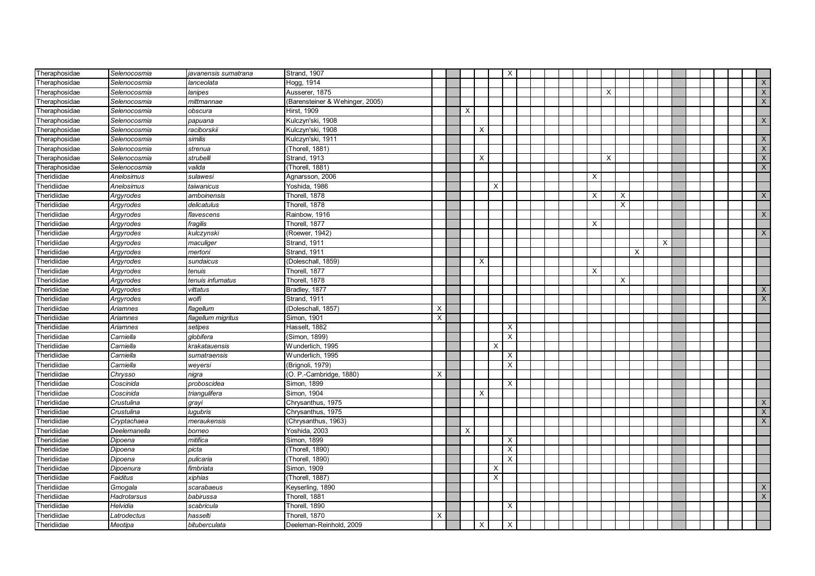| Theraphosidae | Selenocosmia | javanensis sumatrana | Strand, 1907                    |   |          |          |   | $\times$ |  |  |   |          |                           |   |   |  |  |                |
|---------------|--------------|----------------------|---------------------------------|---|----------|----------|---|----------|--|--|---|----------|---------------------------|---|---|--|--|----------------|
| Theraphosidae | Selenocosmia | lanceolata           | Hogg, 1914                      |   |          |          |   |          |  |  |   |          |                           |   |   |  |  | X              |
| Theraphosidae | Selenocosmia | lanipes              | Ausserer, 1875                  |   |          |          |   |          |  |  |   | $\times$ |                           |   |   |  |  | $\mathsf{X}$   |
| Theraphosidae | Selenocosmia | mittmannae           | (Barensteiner & Wehinger, 2005) |   |          |          |   |          |  |  |   |          |                           |   |   |  |  | $\mathsf X$    |
| Theraphosidae | Selenocosmia | obscura              | Hirst, 1909                     |   | $\times$ |          |   |          |  |  |   |          |                           |   |   |  |  |                |
| Theraphosidae | Selenocosmia | papuana              | Kulczyn'ski, 1908               |   |          |          |   |          |  |  |   |          |                           |   |   |  |  | $\mathsf{X}$   |
| Theraphosidae | Selenocosmia | raciborskii          | Kulczyn'ski, 1908               |   |          | Х        |   |          |  |  |   |          |                           |   |   |  |  |                |
| Theraphosidae | Selenocosmia | similis              | Kulczyn'ski, 1911               |   |          |          |   |          |  |  |   |          |                           |   |   |  |  | X              |
| Theraphosidae | Selenocosmia | strenua              | (Thorell, 1881)                 |   |          |          |   |          |  |  |   |          |                           |   |   |  |  | $\mathsf{X}$   |
| Theraphosidae | Selenocosmia | strubelli            | <b>Strand, 1913</b>             |   |          | X        |   |          |  |  |   | $\times$ |                           |   |   |  |  | $\overline{X}$ |
| Theraphosidae | Selenocosmia | valida               | (Thorell, 1881)                 |   |          |          |   |          |  |  |   |          |                           |   |   |  |  | $\mathsf X$    |
| Theridiidae   | Anelosimus   | sulawesi             | Agnarsson, 2006                 |   |          |          |   |          |  |  | X |          |                           |   |   |  |  |                |
| Theridiidae   | Anelosimus   | taiwanicus           | Yoshida, 1986                   |   |          |          | X |          |  |  |   |          |                           |   |   |  |  |                |
| Theridiidae   | Argyrodes    | amboinensis          | Thorell, 1878                   |   |          |          |   |          |  |  | X |          | $\boldsymbol{\mathsf{X}}$ |   |   |  |  | X              |
| Theridiidae   | Argyrodes    | delicatulus          | Thorell, 1878                   |   |          |          |   |          |  |  |   |          | X                         |   |   |  |  |                |
| Theridiidae   | Argyrodes    | flavescens           | Rainbow, 1916                   |   |          |          |   |          |  |  |   |          |                           |   |   |  |  | X              |
| Theridiidae   | Argyrodes    | fragilis             | Thorell, 1877                   |   |          |          |   |          |  |  | X |          |                           |   |   |  |  |                |
| Theridiidae   | Argyrodes    | kulczynski           | (Roewer, 1942)                  |   |          |          |   |          |  |  |   |          |                           |   |   |  |  | $\mathsf{X}$   |
| Theridiidae   | Argyrodes    | maculiger            | Strand, 1911                    |   |          |          |   |          |  |  |   |          |                           |   | X |  |  |                |
| Theridiidae   | Argyrodes    | mertoni              | Strand, 1911                    |   |          |          |   |          |  |  |   |          |                           | X |   |  |  |                |
| Theridiidae   | Argyrodes    | sundaicus            | (Doleschall, 1859)              |   |          | X        |   |          |  |  |   |          |                           |   |   |  |  |                |
| Theridiidae   | Argyrodes    | tenuis               | Thorell, 1877                   |   |          |          |   |          |  |  | X |          |                           |   |   |  |  |                |
| Theridiidae   | Argyrodes    | tenuis infumatus     | Thorell, 1878                   |   |          |          |   |          |  |  |   |          | $\times$                  |   |   |  |  |                |
| Theridiidae   | Argyrodes    | vittatus             | Bradley, 1877                   |   |          |          |   |          |  |  |   |          |                           |   |   |  |  | X              |
| Theridiidae   | Argyrodes    | wolfi                | Strand, 1911                    |   |          |          |   |          |  |  |   |          |                           |   |   |  |  | $\mathsf{X}$   |
| Theridiidae   | Ariamnes     | iagellum             | (Doleschall, 1857)              | X |          |          |   |          |  |  |   |          |                           |   |   |  |  |                |
| Theridiidae   | Ariamnes     | flagellum migritus   | Simon, 1901                     | X |          |          |   |          |  |  |   |          |                           |   |   |  |  |                |
| Theridiidae   | Ariamnes     | setipes              | Hasselt, 1882                   |   |          |          |   | $\times$ |  |  |   |          |                           |   |   |  |  |                |
| Theridiidae   | Carniella    | qlobifera            | (Simon, 1899)                   |   |          |          |   | $\times$ |  |  |   |          |                           |   |   |  |  |                |
| Theridiidae   | Carniella    | krakatauensis        | Wunderlich, 1995                |   |          |          | х |          |  |  |   |          |                           |   |   |  |  |                |
| Theridiidae   | Carniella    | sumatraensis         | Wunderlich, 1995                |   |          |          |   | $\times$ |  |  |   |          |                           |   |   |  |  |                |
| Theridiidae   | Carniella    | weyersi              | (Brignoli, 1979)                |   |          |          |   | $\times$ |  |  |   |          |                           |   |   |  |  |                |
| Theridiidae   | Chrysso      | niqra                | (O. P.-Cambridge, 1880)         | X |          |          |   |          |  |  |   |          |                           |   |   |  |  |                |
| Theridiidae   | Coscinida    | proboscidea          | Simon, 1899                     |   |          |          |   | $\times$ |  |  |   |          |                           |   |   |  |  |                |
| Theridiidae   | Coscinida    | triangulifera        | Simon, 1904                     |   |          | $\times$ |   |          |  |  |   |          |                           |   |   |  |  |                |
| Theridiidae   | Crustulina   | grayi                | Chrysanthus, 1975               |   |          |          |   |          |  |  |   |          |                           |   |   |  |  | X              |
| Theridiidae   | Crustulina   | lugubris             | Chrysanthus, 1975               |   |          |          |   |          |  |  |   |          |                           |   |   |  |  | $\mathsf{X}$   |
| Theridiidae   | Cryptachaea  | meraukensis          | (Chrysanthus, 1963)             |   |          |          |   |          |  |  |   |          |                           |   |   |  |  | X              |
| Theridiidae   | Deelemanella | borneo               | Yoshida, 2003                   |   | $\times$ |          |   |          |  |  |   |          |                           |   |   |  |  |                |
| Theridiidae   | Dipoena      | mitifica             | Simon, 1899                     |   |          |          |   | $\times$ |  |  |   |          |                           |   |   |  |  |                |
| Theridiidae   | Dipoena      | picta                | (Thorell, 1890)                 |   |          |          |   | $\times$ |  |  |   |          |                           |   |   |  |  |                |
| Theridiidae   | Dipoena      | pulicaria            | Thorell, 1890)                  |   |          |          |   | $\times$ |  |  |   |          |                           |   |   |  |  |                |
| Theridiidae   | Dipoenura    | fimbriata            | Simon, 1909                     |   |          |          | X |          |  |  |   |          |                           |   |   |  |  |                |
| Theridiidae   | Faiditus     | xiphias              | Thorell, 1887)                  |   |          |          | X |          |  |  |   |          |                           |   |   |  |  |                |
| Theridiidae   | Gmogala      | scarabaeus           | Keyserling, 1890                |   |          |          |   |          |  |  |   |          |                           |   |   |  |  | X              |
| Theridiidae   | Hadrotarsus  | babirussa            | Thorell, 1881                   |   |          |          |   |          |  |  |   |          |                           |   |   |  |  | X              |
| Theridiidae   | Helvidia     | scabricula           | Thorell, 1890                   |   |          |          |   | X        |  |  |   |          |                           |   |   |  |  |                |
| Theridiidae   | Latrodectus  | hasselti             | Thorell, 1870                   | X |          |          |   |          |  |  |   |          |                           |   |   |  |  |                |
| Theridiidae   | Meotipa      | bituberculata        | Deeleman-Reinhold, 2009         |   |          | X        |   | $\times$ |  |  |   |          |                           |   |   |  |  |                |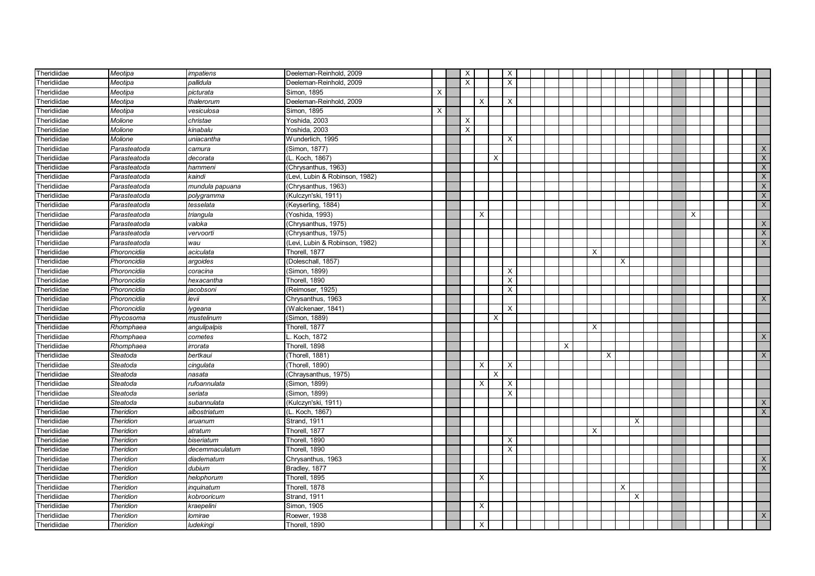| Theridiidae | Meotipa          | impatiens       | Deeleman-Reinhold, 2009        |   | $\times$       |          |          | $\times$                  |  |   |          |   |          |  |   |  |              |
|-------------|------------------|-----------------|--------------------------------|---|----------------|----------|----------|---------------------------|--|---|----------|---|----------|--|---|--|--------------|
| Theridiidae | Meotipa          | pallidula       | Deeleman-Reinhold, 2009        |   | $\overline{X}$ |          |          | $\sf X$                   |  |   |          |   |          |  |   |  |              |
| Theridiidae | Meotipa          | picturata       | Simon, 1895                    | X |                |          |          |                           |  |   |          |   |          |  |   |  |              |
| Theridiidae | Meotipa          | thalerorum      | Deeleman-Reinhold, 2009        |   |                | $\times$ |          | $\times$                  |  |   |          |   |          |  |   |  |              |
| Theridiidae | Meotipa          | vesiculosa      | Simon, 1895                    | X |                |          |          |                           |  |   |          |   |          |  |   |  |              |
| Theridiidae | Molione          | christae        | Yoshida, 2003                  |   | X              |          |          |                           |  |   |          |   |          |  |   |  |              |
| Theridiidae | Molione          | kinabalu        | Yoshida, 2003                  |   | X              |          |          |                           |  |   |          |   |          |  |   |  |              |
| Theridiidae | Molione          | uniacantha      | Wunderlich, 1995               |   |                |          |          | X                         |  |   |          |   |          |  |   |  |              |
| Theridiidae | Parasteatoda     | camura          | (Simon, 1877)                  |   |                |          |          |                           |  |   |          |   |          |  |   |  | X            |
| Theridiidae | Parasteatoda     | decorata        | (L. Koch, 1867)                |   |                |          | $\times$ |                           |  |   |          |   |          |  |   |  | $\times$     |
| Theridiidae | Parasteatoda     | hammeni         | (Chrysanthus, 1963)            |   |                |          |          |                           |  |   |          |   |          |  |   |  | $\mathsf{X}$ |
| Theridiidae | Parasteatoda     | kaindi          | (Levi, Lubin & Robinson, 1982) |   |                |          |          |                           |  |   |          |   |          |  |   |  | $\mathsf{X}$ |
| Theridiidae | Parasteatoda     | mundula papuana | (Chrysanthus, 1963)            |   |                |          |          |                           |  |   |          |   |          |  |   |  | $\mathsf X$  |
| Theridiidae | Parasteatoda     | polygramma      | (Kulczyn'ski, 1911)            |   |                |          |          |                           |  |   |          |   |          |  |   |  | $\times$     |
| Theridiidae | Parasteatoda     | tesselata       | (Keyserling, 1884)             |   |                |          |          |                           |  |   |          |   |          |  |   |  | X            |
| Theridiidae | Parasteatoda     | triangula       | (Yoshida, 1993)                |   |                | $\times$ |          |                           |  |   |          |   |          |  | X |  |              |
| Theridiidae | Parasteatoda     | valoka          | (Chrysanthus, 1975)            |   |                |          |          |                           |  |   |          |   |          |  |   |  | $\mathsf{X}$ |
| Theridiidae | Parasteatoda     | vervoorti       | (Chrysanthus, 1975)            |   |                |          |          |                           |  |   |          |   |          |  |   |  | $\mathsf{X}$ |
| Theridiidae | Parasteatoda     | wau             | (Levi, Lubin & Robinson, 1982) |   |                |          |          |                           |  |   |          |   |          |  |   |  | $\mathsf{X}$ |
| Theridiidae | Phoroncidia      | aciculata       | Thorell, 1877                  |   |                |          |          |                           |  |   | X        |   |          |  |   |  |              |
| Theridiidae | Phoroncidia      | argoides        | (Doleschall, 1857)             |   |                |          |          |                           |  |   |          | X |          |  |   |  |              |
| Theridiidae | Phoroncidia      | coracina        | (Simon, 1899)                  |   |                |          |          | $\times$                  |  |   |          |   |          |  |   |  |              |
| Theridiidae | Phoroncidia      | hexacantha      | Thorell, 1890                  |   |                |          |          | $\times$                  |  |   |          |   |          |  |   |  |              |
| Theridiidae | Phoroncidia      | iacobsoni       | (Reimoser, 1925)               |   |                |          |          | $\boldsymbol{\mathsf{X}}$ |  |   |          |   |          |  |   |  |              |
| Theridiidae | Phoroncidia      | levii           | Chrysanthus, 1963              |   |                |          |          |                           |  |   |          |   |          |  |   |  | $\mathsf{X}$ |
| Theridiidae | Phoroncidia      | lygeana         | (Walckenaer, 1841)             |   |                |          |          | $\times$                  |  |   |          |   |          |  |   |  |              |
| Theridiidae | Phycosoma        | mustelinum      | (Simon, 1889)                  |   |                |          | Х        |                           |  |   |          |   |          |  |   |  |              |
| Theridiidae | Rhomphaea        | angulipalpis    | Thorell, 1877                  |   |                |          |          |                           |  |   | X        |   |          |  |   |  |              |
| Theridiidae | Rhomphaea        | cometes         | Koch, 1872                     |   |                |          |          |                           |  |   |          |   |          |  |   |  | $\times$     |
| Theridiidae | Rhomphaea        | irrorata        | Thorell, 1898                  |   |                |          |          |                           |  | X |          |   |          |  |   |  |              |
| Theridiidae | Steatoda         | bertkaui        | (Thorell, 1881)                |   |                |          |          |                           |  |   | $\times$ |   |          |  |   |  | $\times$     |
| Theridiidae | Steatoda         | cingulata       | (Thorell, 1890)                |   |                | X        |          | $\times$                  |  |   |          |   |          |  |   |  |              |
| Theridiidae | Steatoda         | nasata          | (Chraysanthus, 1975)           |   |                |          | $\times$ |                           |  |   |          |   |          |  |   |  |              |
| Theridiidae | Steatoda         | rufoannulata    | (Simon, 1899)                  |   |                | $\times$ |          | $\times$                  |  |   |          |   |          |  |   |  |              |
| Theridiidae | Steatoda         | seriata         | (Simon, 1899)                  |   |                |          |          | $\times$                  |  |   |          |   |          |  |   |  |              |
| Theridiidae | Steatoda         | subannulata     | (Kulczyn'ski, 1911)            |   |                |          |          |                           |  |   |          |   |          |  |   |  | $\mathsf{X}$ |
| Theridiidae | <b>Theridion</b> | albostriatum    | (L. Koch, 1867)                |   |                |          |          |                           |  |   |          |   |          |  |   |  | $\times$     |
| Theridiidae | <b>Theridion</b> | aruanum         | Strand, 1911                   |   |                |          |          |                           |  |   |          |   | $\times$ |  |   |  |              |
| Theridiidae | <b>Theridion</b> | atratum         | Thorell, 1877                  |   |                |          |          |                           |  |   | $\times$ |   |          |  |   |  |              |
| Theridiidae | <b>Theridion</b> | biseriatum      | Thorell, 1890                  |   |                |          |          | $\times$                  |  |   |          |   |          |  |   |  |              |
| Theridiidae | <b>Theridion</b> | decemmaculatum  | Thorell, 1890                  |   |                |          |          | $\times$                  |  |   |          |   |          |  |   |  |              |
| Theridiidae | <b>Theridion</b> | diadematum      | Chrysanthus, 1963              |   |                |          |          |                           |  |   |          |   |          |  |   |  | $\mathsf{X}$ |
| Theridiidae | <b>Theridion</b> | dubium          | Bradley, 1877                  |   |                |          |          |                           |  |   |          |   |          |  |   |  | $\times$     |
| Theridiidae | Theridion        | helophorum      | Thorell, 1895                  |   |                | X        |          |                           |  |   |          |   |          |  |   |  |              |
| Theridiidae | Theridion        | inquinatum      | Thorell, 1878                  |   |                |          |          |                           |  |   |          | X |          |  |   |  |              |
| Theridiidae | Theridion        | kobrooricum     | Strand, 1911                   |   |                |          |          |                           |  |   |          |   | X        |  |   |  |              |
| Theridiidae | Theridion        | kraepelini      | Simon, 1905                    |   |                | X        |          |                           |  |   |          |   |          |  |   |  |              |
| Theridiidae | Theridion        | lomirae         | Roewer, 1938                   |   |                |          |          |                           |  |   |          |   |          |  |   |  | $\mathsf{X}$ |
| Theridiidae | <b>Theridion</b> | ludekingi       | Thorell, 1890                  |   |                | $\times$ |          |                           |  |   |          |   |          |  |   |  |              |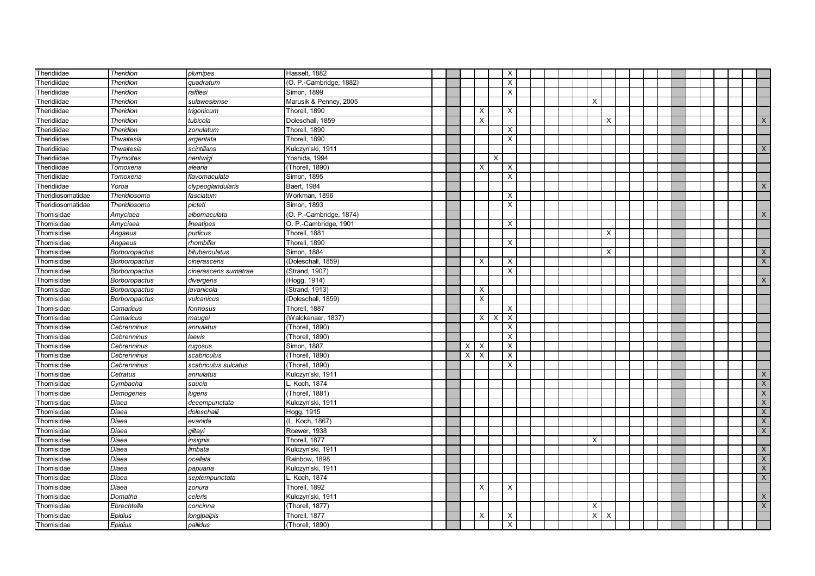| Theridiidae              | <b>Theridion</b>     | plumipes             | Hasselt, 1882                      |  |   |                           |   | $\times$                                    |  |          |                           |  |  |  |                                |
|--------------------------|----------------------|----------------------|------------------------------------|--|---|---------------------------|---|---------------------------------------------|--|----------|---------------------------|--|--|--|--------------------------------|
| Theridiidae              | <b>Theridion</b>     | quadratum            | (O. P.-Cambridge, 1882)            |  |   |                           |   | X                                           |  |          |                           |  |  |  |                                |
| Theridiidae              | <b>Theridion</b>     | rafflesi             | Simon, 1899                        |  |   |                           |   | $\times$                                    |  |          |                           |  |  |  |                                |
| Theridiidae              | <b>Theridion</b>     | sulawesiense         | Marusik & Penney, 2005             |  |   |                           |   |                                             |  | X        |                           |  |  |  |                                |
| Theridiidae              | <b>Theridion</b>     | trigonicum           | Thorell, 1890                      |  |   | $\times$                  |   | $\times$                                    |  |          |                           |  |  |  |                                |
| Theridiidae              | Theridion            | tubicola             | Doleschall, 1859                   |  |   | $\pmb{\times}$            |   |                                             |  |          | X                         |  |  |  | X                              |
| Theridiidae              | <b>Theridion</b>     | zonulatum            | Thorell, 1890                      |  |   |                           |   | $\times$                                    |  |          |                           |  |  |  |                                |
| Theridiidae              | Thwaitesia           | argentata            | Thorell, 1890                      |  |   |                           |   | $\overline{\mathsf{x}}$                     |  |          |                           |  |  |  |                                |
| Theridiidae              | Thwaitesia           | scintillans          | Kulczyn'ski, 1911                  |  |   |                           |   |                                             |  |          |                           |  |  |  | X                              |
| Theridiidae              | Thymoites            | nentwigi             | Yoshida, 1994                      |  |   |                           | X |                                             |  |          |                           |  |  |  |                                |
| Theridiidae              | Tomoxena             | alearia              | (Thorell, 1890)                    |  |   | $\times$                  |   | X                                           |  |          |                           |  |  |  |                                |
| Theridiidae              | Tomoxena             | flavomaculata        | Simon, 1895                        |  |   |                           |   | $\boldsymbol{\mathsf{X}}$                   |  |          |                           |  |  |  |                                |
| Theridiidae              | Yoroa                | clypeoglandularis    | Baert, 1984                        |  |   |                           |   |                                             |  |          |                           |  |  |  | X                              |
| Theridiosomatidae        | Theridiosoma         | fasciatum            | Workman, 1896                      |  |   |                           |   | X                                           |  |          |                           |  |  |  |                                |
| Theridiosomatidae        | Theridiosoma         | picteti              | Simon, 1893                        |  |   |                           |   | $\times$                                    |  |          |                           |  |  |  |                                |
| Thomisidae               | Amyciaea             | albomaculata         | (O. P.-Cambridge, 1874)            |  |   |                           |   |                                             |  |          |                           |  |  |  | $\mathsf{X}$                   |
| Thomisidae               | Amyciaea             | lineatipes           | O. P.-Cambridge, 1901              |  |   |                           |   | X                                           |  |          |                           |  |  |  |                                |
| Thomisidae               | Angaeus              | pudicus              | Thorell, 1881                      |  |   |                           |   |                                             |  |          | X                         |  |  |  |                                |
| Thomisidae               | Angaeus              | rhombifer            | Thorell, 1890                      |  |   |                           |   | $\times$                                    |  |          |                           |  |  |  |                                |
| Thomisidae               | Borboropactus        | bituberculatus       | Simon, 1884                        |  |   |                           |   |                                             |  |          | $\boldsymbol{\mathsf{X}}$ |  |  |  | $\mathsf{X}$                   |
| Thomisidae               | Borboropactus        | cinerascens          | (Doleschall, 1859)                 |  |   | $\times$                  |   | $\times$                                    |  |          |                           |  |  |  | $\times$                       |
| Thomisidae               | Borboropactus        | cinerascens sumatrae | (Strand, 1907)                     |  |   |                           |   | $\times$                                    |  |          |                           |  |  |  |                                |
| Thomisidae               | <b>Borboropactus</b> | divergens            | (Hogg, 1914)                       |  |   |                           |   |                                             |  |          |                           |  |  |  | X                              |
| Thomisidae               | Borboropactus        | javanicola           | (Strand, 1913)                     |  |   | $\boldsymbol{\mathsf{X}}$ |   |                                             |  |          |                           |  |  |  |                                |
| Thomisidae               | <b>Borboropactus</b> | vulcanicus           | (Doleschall, 1859)                 |  |   | $\boldsymbol{\mathsf{X}}$ |   |                                             |  |          |                           |  |  |  |                                |
| Thomisidae               | Camaricus            | formosus             | Thorell, 1887                      |  |   |                           |   | $\times$                                    |  |          |                           |  |  |  |                                |
| Thomisidae               | Camaricus            | maugei               | (Walckenaer, 1837)                 |  |   | X                         | X | $\boldsymbol{\mathsf{X}}$                   |  |          |                           |  |  |  |                                |
| Thomisidae               | Cebrenninus          | annulatus            | (Thorell, 1890)                    |  |   |                           |   | $\pmb{\times}$                              |  |          |                           |  |  |  |                                |
| Thomisidae               | Cebrenninus          | laevis               | (Thorell, 1890)                    |  |   |                           |   | X                                           |  |          |                           |  |  |  |                                |
| Thomisidae               | Cebrenninus          | rugosus              | Simon, 1887                        |  | X | $\boldsymbol{\mathsf{X}}$ |   | X                                           |  |          |                           |  |  |  |                                |
| Thomisidae               | Cebrenninus          | scabriculus          | (Thorell, 1890)                    |  | X | $\overline{X}$            |   | $\overline{\mathsf{x}}$                     |  |          |                           |  |  |  |                                |
| Thomisidae               | Cebrenninus          | scabriculus sulcatus | (Thorell, 1890)                    |  |   |                           |   | X                                           |  |          |                           |  |  |  |                                |
| Thomisidae               | Cetratus             | annulatus            | Kulczyn'ski, 1911                  |  |   |                           |   |                                             |  |          |                           |  |  |  | X                              |
| Thomisidae               | Cymbacha             | saucia               | Koch, 1874                         |  |   |                           |   |                                             |  |          |                           |  |  |  | $\times$                       |
| Thomisidae               | Demogenes            | lugens               | (Thorell, 1881)                    |  |   |                           |   |                                             |  |          |                           |  |  |  | $\mathsf{X}$                   |
| Thomisidae               | Diaea                | decempunctata        | Kulczyn'ski, 1911                  |  |   |                           |   |                                             |  |          |                           |  |  |  | $\mathsf{X}$                   |
| Thomisidae               | Diaea                | doleschalli          | Hogg, 1915                         |  |   |                           |   |                                             |  |          |                           |  |  |  | $\mathsf{X}$                   |
| Thomisidae               | Diaea                | evanida              | (L. Koch, 1867)                    |  |   |                           |   |                                             |  |          |                           |  |  |  | $\mathsf{X}$                   |
| Thomisidae               | Diaea                | giltayi              | Roewer, 1938                       |  |   |                           |   |                                             |  |          |                           |  |  |  | $\mathsf{X}$                   |
| Thomisidae               | Diaea                | insignis             | Thorell, 1877                      |  |   |                           |   |                                             |  | X        |                           |  |  |  |                                |
| Thomisidae<br>Thomisidae | Diaea<br>Diaea       | limbata<br>ocellata  | Kulczyn'ski, 1911<br>Rainbow, 1898 |  |   |                           |   |                                             |  |          |                           |  |  |  | $\mathsf{X}$<br>$\overline{X}$ |
|                          | Diaea                |                      |                                    |  |   |                           |   |                                             |  |          |                           |  |  |  | $\mathsf{X}$                   |
| Thomisidae               |                      | papuana              | Kulczyn'ski, 1911<br>Koch, 1874    |  |   |                           |   |                                             |  |          |                           |  |  |  | $\overline{X}$                 |
| Thomisidae               | Diaea                | septempunctata       |                                    |  |   |                           |   |                                             |  |          |                           |  |  |  |                                |
| Thomisidae               | Diaea                | zonura<br>celeris    | Thorell, 1892<br>Kulczyn'ski, 1911 |  |   | $\boldsymbol{\mathsf{X}}$ |   | $\times$                                    |  |          |                           |  |  |  | $\mathsf{X}$                   |
| Thomisidae               | Domatha              |                      |                                    |  |   |                           |   |                                             |  |          |                           |  |  |  | $\mathsf{X}$                   |
| Thomisidae               | Ebrechtella          | concinna             | (Thorell, 1877)<br>Thorell, 1877   |  |   |                           |   |                                             |  | X        |                           |  |  |  |                                |
| Thomisidae               | Epidius              | longipalpis          |                                    |  |   | $\pmb{\times}$            |   | $\boldsymbol{\mathsf{X}}$<br>$\pmb{\times}$ |  | $\times$ | $\boldsymbol{\mathsf{X}}$ |  |  |  |                                |
| Thomisidae               | Epidius              | pallidus             | (Thorell, 1890)                    |  |   |                           |   |                                             |  |          |                           |  |  |  |                                |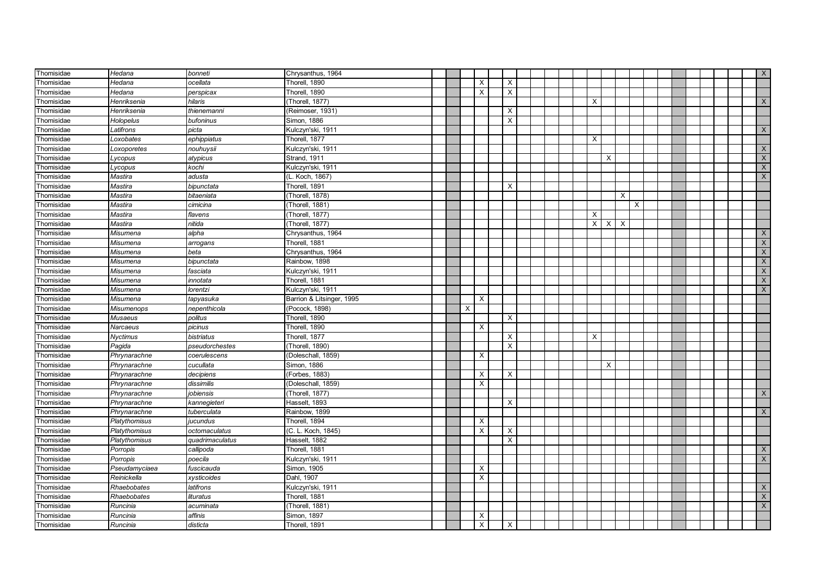| Thomisidae | Hedana            | bonneti         | Chrysanthus, 1964         |  |          |                           |                           |  |          |          |   |   |  |  |  | $\mathsf{X}$              |
|------------|-------------------|-----------------|---------------------------|--|----------|---------------------------|---------------------------|--|----------|----------|---|---|--|--|--|---------------------------|
| Thomisidae | Hedana            | ocellata        | Thorell, 1890             |  |          | $\boldsymbol{\mathsf{X}}$ | $\times$                  |  |          |          |   |   |  |  |  |                           |
| Thomisidae | Hedana            | perspicax       | Thorell, 1890             |  |          | $\times$                  | $\mathsf{x}$              |  |          |          |   |   |  |  |  |                           |
| Thomisidae | Henriksenia       | hilaris         | (Thorell, 1877)           |  |          |                           |                           |  | X        |          |   |   |  |  |  | $\mathsf{X}$              |
| Thomisidae | Henriksenia       | thienemanni     | (Reimoser, 1931)          |  |          |                           | X                         |  |          |          |   |   |  |  |  |                           |
| Thomisidae | Holopelus         | bufoninus       | Simon, 1886               |  |          |                           | $\mathsf{X}$              |  |          |          |   |   |  |  |  |                           |
| Thomisidae | Latifrons         | picta           | Kulczyn'ski, 1911         |  |          |                           |                           |  |          |          |   |   |  |  |  | X                         |
| Thomisidae | Loxobates         | ephippiatus     | Thorell, 1877             |  |          |                           |                           |  | X        |          |   |   |  |  |  |                           |
| Thomisidae | Loxoporetes       | nouhuysii       | Kulczyn'ski, 1911         |  |          |                           |                           |  |          |          |   |   |  |  |  | $\boldsymbol{\mathsf{X}}$ |
| Thomisidae | Lycopus           | atypicus        | Strand, 1911              |  |          |                           |                           |  |          | X        |   |   |  |  |  | $\boldsymbol{\mathsf{X}}$ |
| Thomisidae | ycopus            | kochi           | Kulczyn'ski, 1911         |  |          |                           |                           |  |          |          |   |   |  |  |  | $\boldsymbol{\mathsf{X}}$ |
| Thomisidae | Mastira           | adusta          | (L. Koch, 1867)           |  |          |                           |                           |  |          |          |   |   |  |  |  | $\mathsf X$               |
| Thomisidae | Mastira           | bipunctata      | Thorell, 1891             |  |          |                           | X                         |  |          |          |   |   |  |  |  |                           |
| Thomisidae | Mastira           | bitaeniata      | (Thorell, 1878)           |  |          |                           |                           |  |          |          | X |   |  |  |  |                           |
| Thomisidae | Mastira           | cimicina        | (Thorell, 1881)           |  |          |                           |                           |  |          |          |   | X |  |  |  |                           |
| Thomisidae | Mastira           | flavens         | (Thorell, 1877)           |  |          |                           |                           |  | $\times$ |          |   |   |  |  |  |                           |
| Thomisidae | Mastira           | nitida          | (Thorell, 1877)           |  |          |                           |                           |  | $\times$ | $\times$ | X |   |  |  |  |                           |
| Thomisidae | Misumena          | alpha           | Chrysanthus, 1964         |  |          |                           |                           |  |          |          |   |   |  |  |  | X                         |
| Thomisidae | Misumena          | arrogans        | Thorell, 1881             |  |          |                           |                           |  |          |          |   |   |  |  |  | $\overline{X}$            |
| Thomisidae | Misumena          | beta            | Chrysanthus, 1964         |  |          |                           |                           |  |          |          |   |   |  |  |  | $\overline{X}$            |
| Thomisidae | Misumena          | bipunctata      | Rainbow, 1898             |  |          |                           |                           |  |          |          |   |   |  |  |  | $\overline{X}$            |
| Thomisidae | Misumena          | fasciata        | Kulczyn'ski, 1911         |  |          |                           |                           |  |          |          |   |   |  |  |  | $\boldsymbol{\mathsf{X}}$ |
| Thomisidae | Misumena          | innotata        | Thorell, 1881             |  |          |                           |                           |  |          |          |   |   |  |  |  | $\overline{X}$            |
| Thomisidae | Misumena          | lorentzi        | Kulczyn'ski, 1911         |  |          |                           |                           |  |          |          |   |   |  |  |  | $\mathsf{X}$              |
| Thomisidae | Misumena          | tapyasuka       | Barrion & Litsinger, 1995 |  |          | $\times$                  |                           |  |          |          |   |   |  |  |  |                           |
| Thomisidae | <b>Misumenops</b> | nepenthicola    | (Pocock, 1898)            |  | $\times$ |                           |                           |  |          |          |   |   |  |  |  |                           |
| Thomisidae | Musaeus           | politus         | Thorell, 1890             |  |          |                           | $\boldsymbol{\mathsf{X}}$ |  |          |          |   |   |  |  |  |                           |
| Thomisidae | Narcaeus          | picinus         | Thorell, 1890             |  |          | X                         |                           |  |          |          |   |   |  |  |  |                           |
| Thomisidae | Nyctimus          | bistriatus      | Thorell, 1877             |  |          |                           | X                         |  | Х        |          |   |   |  |  |  |                           |
| Thomisidae | Pagida            | pseudorchestes  | (Thorell, 1890)           |  |          |                           | $\overline{\mathsf{x}}$   |  |          |          |   |   |  |  |  |                           |
| Thomisidae | Phrynarachne      | coerulescens    | (Doleschall, 1859)        |  |          | X                         |                           |  |          |          |   |   |  |  |  |                           |
| Thomisidae | Phrynarachne      | cucullata       | Simon, 1886               |  |          |                           |                           |  |          | X        |   |   |  |  |  |                           |
| Thomisidae | Phrynarachne      | decipiens       | (Forbes, 1883)            |  |          | X                         | Χ                         |  |          |          |   |   |  |  |  |                           |
| Thomisidae | Phrynarachne      | dissimilis      | (Doleschall, 1859)        |  |          | $\times$                  |                           |  |          |          |   |   |  |  |  |                           |
| Thomisidae | Phrynarachne      | jobiensis       | (Thorell, 1877)           |  |          |                           |                           |  |          |          |   |   |  |  |  | $\times$                  |
| Thomisidae | Phrynarachne      | kannegieteri    | Hasselt, 1893             |  |          |                           | $\times$                  |  |          |          |   |   |  |  |  |                           |
| Thomisidae | Phrynarachne      | tuberculata     | Rainbow, 1899             |  |          |                           |                           |  |          |          |   |   |  |  |  | X                         |
| Thomisidae | Platythomisus     | jucundus        | Thorell, 1894             |  |          | $\times$                  |                           |  |          |          |   |   |  |  |  |                           |
| Thomisidae | Platythomisus     | octomaculatus   | (C. L. Koch, 1845)        |  |          | $\times$                  | X                         |  |          |          |   |   |  |  |  |                           |
| Thomisidae | Platythomisus     | quadrimaculatus | Hasselt, 1882             |  |          |                           | $\times$                  |  |          |          |   |   |  |  |  |                           |
| Thomisidae | Porropis          | callipoda       | Thorell, 1881             |  |          |                           |                           |  |          |          |   |   |  |  |  | $\mathsf{X}$              |
| Thomisidae | Porropis          | poecila         | Kulczyn'ski, 1911         |  |          |                           |                           |  |          |          |   |   |  |  |  | $\overline{X}$            |
| Thomisidae | Pseudamyciaea     | fuscicauda      | Simon, 1905               |  |          | $\times$                  |                           |  |          |          |   |   |  |  |  |                           |
| Thomisidae | Reinickella       | xysticoides     | Dahl, 1907                |  |          | $\times$                  |                           |  |          |          |   |   |  |  |  |                           |
| Thomisidae | Rhaebobates       | latifrons       | Kulczyn'ski, 1911         |  |          |                           |                           |  |          |          |   |   |  |  |  | $\mathsf{X}$              |
| Thomisidae | Rhaebobates       | lituratus       | Thorell, 1881             |  |          |                           |                           |  |          |          |   |   |  |  |  | $\boldsymbol{\mathsf{X}}$ |
| Thomisidae | Runcinia          | acuminata       | (Thorell, 1881)           |  |          |                           |                           |  |          |          |   |   |  |  |  | $\mathsf X$               |
| Thomisidae | Runcinia          | affinis         | Simon, 1897               |  |          | X                         |                           |  |          |          |   |   |  |  |  |                           |
| Thomisidae | Runcinia          | disticta        | Thorell, 1891             |  |          | X                         | X                         |  |          |          |   |   |  |  |  |                           |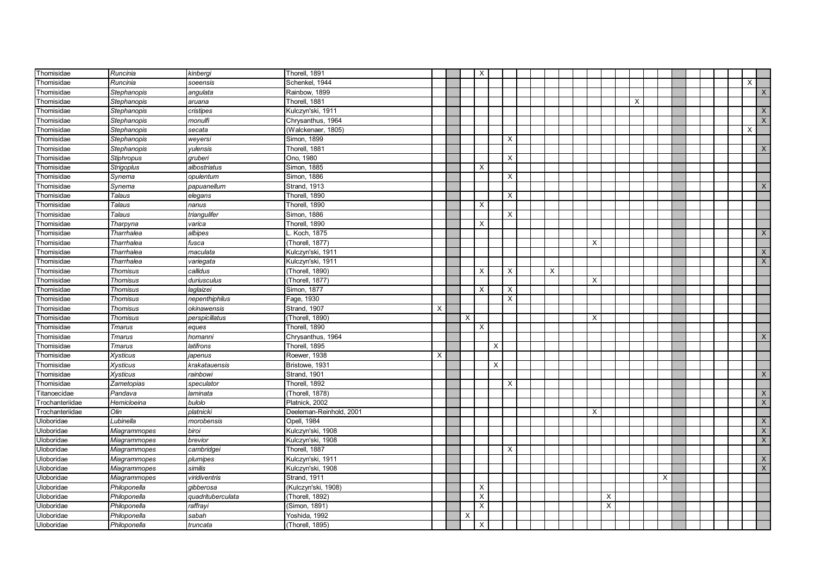| Thomisidae      | Runcinia            | kinbergi          | Thorell, 1891           |   |          | X        |          |                           |          |   |                |   |   |  |  |          |                |
|-----------------|---------------------|-------------------|-------------------------|---|----------|----------|----------|---------------------------|----------|---|----------------|---|---|--|--|----------|----------------|
| Thomisidae      | Runcinia            | soeensis          | Schenkel. 1944          |   |          |          |          |                           |          |   |                |   |   |  |  | $\times$ |                |
| Thomisidae      | Stephanopis         | angulata          | Rainbow, 1899           |   |          |          |          |                           |          |   |                |   |   |  |  |          | X              |
| Thomisidae      | Stephanopis         | aruana            | Thorell, 1881           |   |          |          |          |                           |          |   |                | X |   |  |  |          |                |
| Thomisidae      | Stephanopis         | cristipes         | Kulczyn'ski, 1911       |   |          |          |          |                           |          |   |                |   |   |  |  |          | X              |
| Thomisidae      | Stephanopis         | monulfi           | Chrysanthus, 1964       |   |          |          |          |                           |          |   |                |   |   |  |  |          | $\mathsf{X}$   |
| Thomisidae      | Stephanopis         | secata            | (Walckenaer, 1805)      |   |          |          |          |                           |          |   |                |   |   |  |  | X        |                |
| Thomisidae      | Stephanopis         | weyersi           | Simon, 1899             |   |          |          |          | $\boldsymbol{\mathsf{X}}$ |          |   |                |   |   |  |  |          |                |
| Thomisidae      | Stephanopis         | yulensis          | Thorell, 1881           |   |          |          |          |                           |          |   |                |   |   |  |  |          | X              |
| Thomisidae      | <b>Stiphropus</b>   | qruberi           | Ono, 1980               |   |          |          |          | $\times$                  |          |   |                |   |   |  |  |          |                |
| Thomisidae      | <b>Strigoplus</b>   | albostriatus      | Simon, 1885             |   |          | $\times$ |          |                           |          |   |                |   |   |  |  |          |                |
| Thomisidae      | Synema              | opulentum         | Simon, 1886             |   |          |          |          | $\times$                  |          |   |                |   |   |  |  |          |                |
| Thomisidae      | Synema              | papuanellum       | Strand, 1913            |   |          |          |          |                           |          |   |                |   |   |  |  |          | X              |
| Thomisidae      | Talaus              | elegans           | Thorell, 1890           |   |          |          |          | $\times$                  |          |   |                |   |   |  |  |          |                |
| Thomisidae      | Talaus              | nanus             | Thorell, 1890           |   |          | X        |          |                           |          |   |                |   |   |  |  |          |                |
| Thomisidae      | <b>Talaus</b>       | triangulifer      | Simon, 1886             |   |          |          |          | $\times$                  |          |   |                |   |   |  |  |          |                |
| Thomisidae      | Tharpyna            | varica            | Thorell, 1890           |   |          | $\times$ |          |                           |          |   |                |   |   |  |  |          |                |
| Thomisidae      | Tharrhalea          | albipes           | Koch, 1875              |   |          |          |          |                           |          |   |                |   |   |  |  |          | $\mathsf X$    |
| Thomisidae      | Tharrhalea          | fusca             | (Thorell, 1877)         |   |          |          |          |                           |          | X |                |   |   |  |  |          |                |
| Thomisidae      | Tharrhalea          | maculata          | Kulczyn'ski, 1911       |   |          |          |          |                           |          |   |                |   |   |  |  |          | $\mathsf{X}$   |
| Thomisidae      | Tharrhalea          | variegata         | Kulczyn'ski, 1911       |   |          |          |          |                           |          |   |                |   |   |  |  |          | X              |
| Thomisidae      | <b>Thomisus</b>     | callidus          | (Thorell, 1890)         |   |          | $\times$ |          | $\times$                  | $\times$ |   |                |   |   |  |  |          |                |
| Thomisidae      | <b>Thomisus</b>     | duriusculus       | (Thorell, 1877)         |   |          |          |          |                           |          | X |                |   |   |  |  |          |                |
| Thomisidae      | <b>Thomisus</b>     | laglaizei         | Simon, 1877             |   |          | $\times$ |          | $\pmb{\times}$            |          |   |                |   |   |  |  |          |                |
| Thomisidae      | Thomisus            | nepenthiphilus    | Fage, 1930              |   |          |          |          | X                         |          |   |                |   |   |  |  |          |                |
| Thomisidae      | Thomisus            | okinawensis       | Strand, 1907            | X |          |          |          |                           |          |   |                |   |   |  |  |          |                |
| Thomisidae      | <b>Thomisus</b>     | perspicillatus    | (Thorell, 1890)         |   | $\times$ |          |          |                           |          | X |                |   |   |  |  |          |                |
| Thomisidae      | Tmarus              | eques             | Thorell, 1890           |   |          | $\times$ |          |                           |          |   |                |   |   |  |  |          |                |
| Thomisidae      | <b>Tmarus</b>       | homanni           | Chrysanthus, 1964       |   |          |          |          |                           |          |   |                |   |   |  |  |          | X              |
| Thomisidae      | Tmarus              | latifrons         | Thorell, 1895           |   |          |          | $\times$ |                           |          |   |                |   |   |  |  |          |                |
| Thomisidae      | <b>Xysticus</b>     | japenus           | Roewer, 1938            | X |          |          |          |                           |          |   |                |   |   |  |  |          |                |
| Thomisidae      | Xysticus            | krakatauensis     | Bristowe, 1931          |   |          |          | X        |                           |          |   |                |   |   |  |  |          |                |
| Thomisidae      | Xysticus            | rainbowi          | Strand, 1901            |   |          |          |          |                           |          |   |                |   |   |  |  |          | X              |
| Thomisidae      | Zametopias          | speculator        | Thorell, 1892           |   |          |          |          | $\times$                  |          |   |                |   |   |  |  |          |                |
| Titanoecidae    | Pandava             | laminata          | (Thorell, 1878)         |   |          |          |          |                           |          |   |                |   |   |  |  |          | X              |
| Trochanteriidae | Hemicloeina         | bulolo            | Platnick, 2002          |   |          |          |          |                           |          |   |                |   |   |  |  |          | X              |
| Trochanteriidae | Olin                | platnicki         | Deeleman-Reinhold, 2001 |   |          |          |          |                           |          | X |                |   |   |  |  |          |                |
| Uloboridae      | Lubinella           | morobensis        | Opell, 1984             |   |          |          |          |                           |          |   |                |   |   |  |  |          | $\mathsf{X}$   |
| Uloboridae      | <b>Miagrammopes</b> | biroi             | Kulczyn'ski, 1908       |   |          |          |          |                           |          |   |                |   |   |  |  |          | $\mathsf X$    |
| Uloboridae      | <b>Miagrammopes</b> | brevior           | Kulczyn'ski, 1908       |   |          |          |          |                           |          |   |                |   |   |  |  |          | $\mathsf X$    |
| Uloboridae      | <b>Miagrammopes</b> | cambridgei        | Thorell, 1887           |   |          |          |          | $\times$                  |          |   |                |   |   |  |  |          |                |
| Uloboridae      | <b>Miagrammopes</b> | plumipes          | Kulczyn'ski, 1911       |   |          |          |          |                           |          |   |                |   |   |  |  |          | X              |
| Uloboridae      | <b>Miagrammopes</b> | similis           | Kulczyn'ski, 1908       |   |          |          |          |                           |          |   |                |   |   |  |  |          | $\overline{X}$ |
| Uloboridae      | Miagrammopes        | viridiventris     | Strand, 1911            |   |          |          |          |                           |          |   |                |   | X |  |  |          |                |
| Uloboridae      | Philoponella        | qibberosa         | (Kulczyn'ski, 1908)     |   |          | X        |          |                           |          |   |                |   |   |  |  |          |                |
| Uloboridae      | Philoponella        | quadrituberculata | (Thorell, 1892)         |   |          | X        |          |                           |          |   | X              |   |   |  |  |          |                |
| Uloboridae      | Philoponella        | raffrayi          | Simon, 1891)            |   |          | X        |          |                           |          |   | $\pmb{\times}$ |   |   |  |  |          |                |
| Uloboridae      | Philoponella        | sabah             | Yoshida, 1992           |   | $\times$ |          |          |                           |          |   |                |   |   |  |  |          |                |
| Uloboridae      | Philoponella        | truncata          | (Thorell, 1895)         |   |          | X        |          |                           |          |   |                |   |   |  |  |          |                |